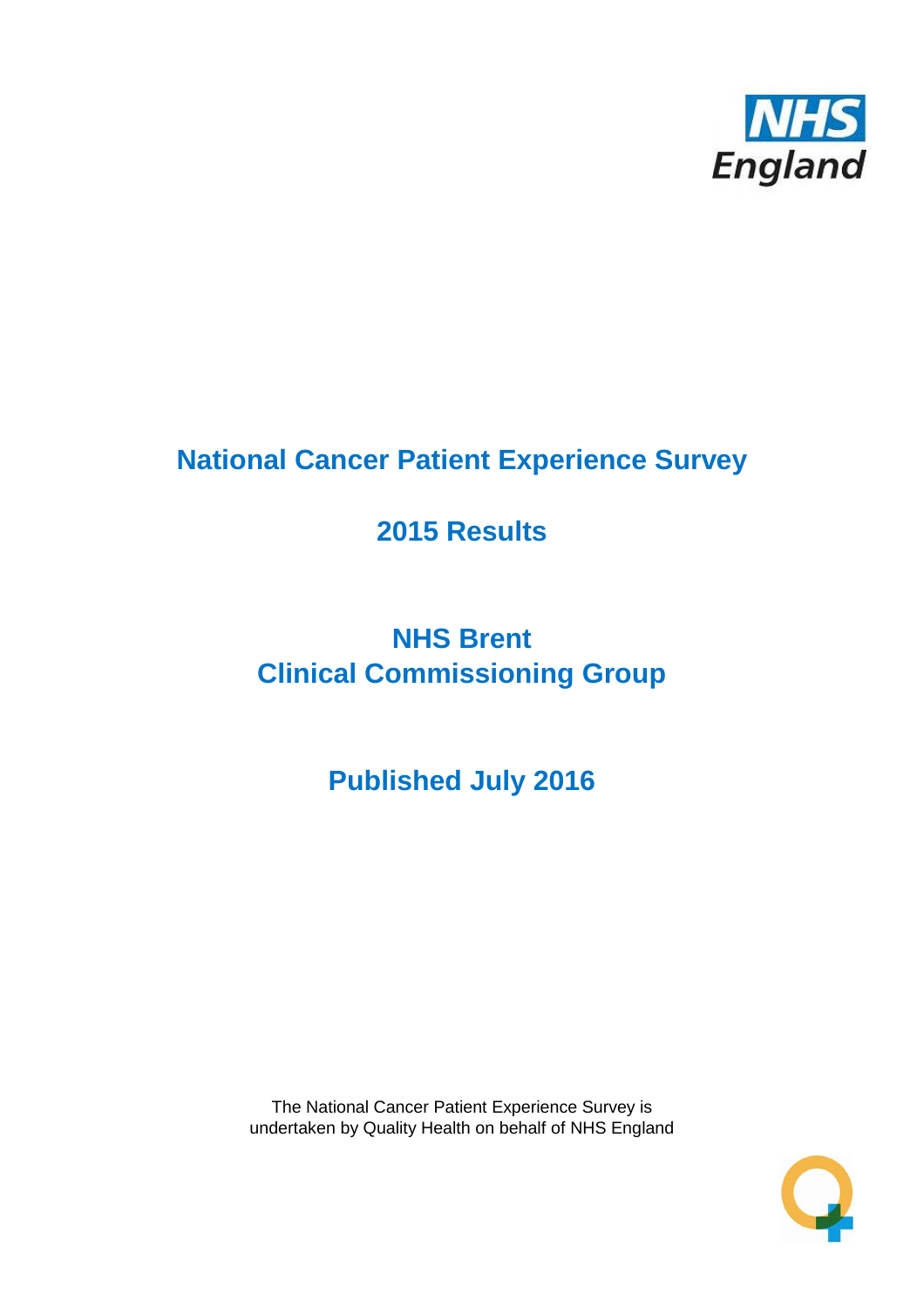

# **National Cancer Patient Experience Survey**

# **2015 Results**

# **NHS Brent Clinical Commissioning Group**

# **Published July 2016**

The National Cancer Patient Experience Survey is undertaken by Quality Health on behalf of NHS England

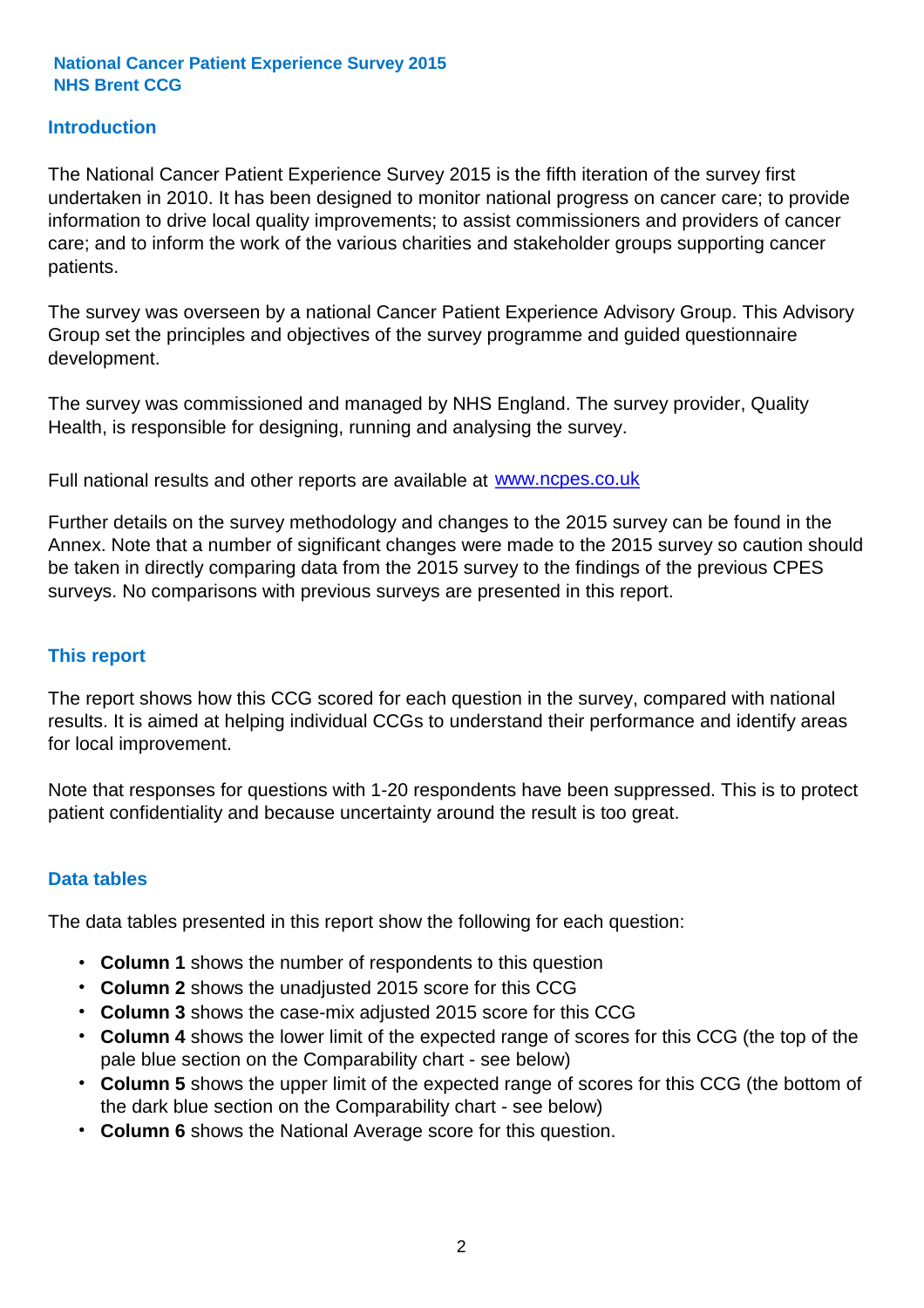### **Introduction**

The National Cancer Patient Experience Survey 2015 is the fifth iteration of the survey first undertaken in 2010. It has been designed to monitor national progress on cancer care; to provide information to drive local quality improvements; to assist commissioners and providers of cancer care; and to inform the work of the various charities and stakeholder groups supporting cancer patients.

The survey was overseen by a national Cancer Patient Experience Advisory Group. This Advisory Group set the principles and objectives of the survey programme and guided questionnaire development.

The survey was commissioned and managed by NHS England. The survey provider, Quality Health, is responsible for designing, running and analysing the survey.

Full national results and other reports are available at www.ncpes.co.uk

Further details on the survey methodology and changes to the 2015 survey can be found in the Annex. Note that a number of significant changes were made to the 2015 survey so caution should be taken in directly comparing data from the 2015 survey to the findings of the previous CPES surveys. No comparisons with previous surveys are presented in this report.

#### **This report**

The report shows how this CCG scored for each question in the survey, compared with national results. It is aimed at helping individual CCGs to understand their performance and identify areas for local improvement.

Note that responses for questions with 1-20 respondents have been suppressed. This is to protect patient confidentiality and because uncertainty around the result is too great.

#### **Data tables**

The data tables presented in this report show the following for each question:

- **Column 1** shows the number of respondents to this question
- **Column 2** shows the unadjusted 2015 score for this CCG
- **Column 3** shows the case-mix adjusted 2015 score for this CCG
- **Column 4** shows the lower limit of the expected range of scores for this CCG (the top of the pale blue section on the Comparability chart - see below)
- **Column 5** shows the upper limit of the expected range of scores for this CCG (the bottom of the dark blue section on the Comparability chart - see below)
- **Column 6** shows the National Average score for this question.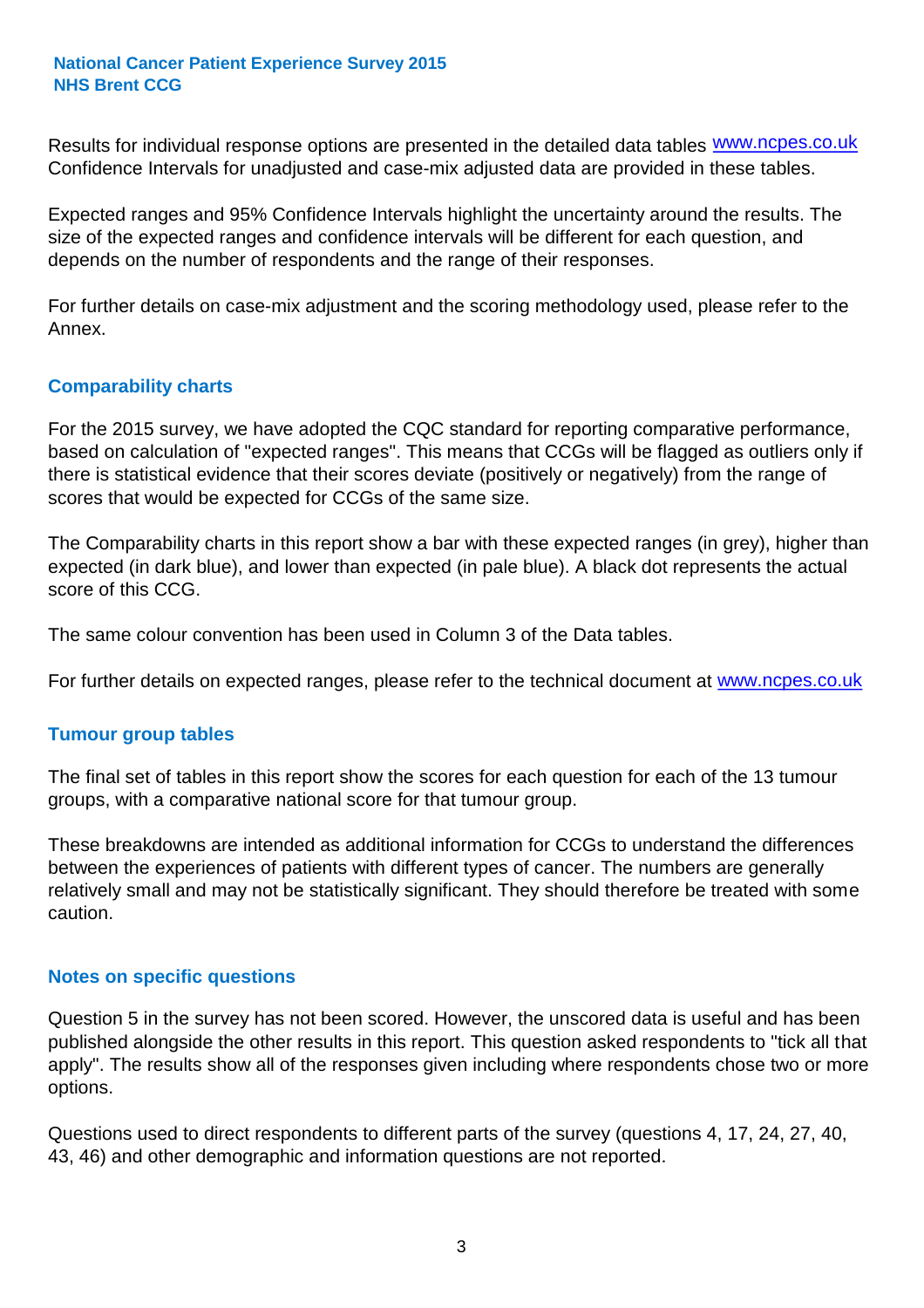Results for individual response options are presented in the detailed data tables **WWW.ncpes.co.uk** Confidence Intervals for unadjusted and case-mix adjusted data are provided in these tables.

Expected ranges and 95% Confidence Intervals highlight the uncertainty around the results. The size of the expected ranges and confidence intervals will be different for each question, and depends on the number of respondents and the range of their responses.

For further details on case-mix adjustment and the scoring methodology used, please refer to the Annex.

### **Comparability charts**

For the 2015 survey, we have adopted the CQC standard for reporting comparative performance, based on calculation of "expected ranges". This means that CCGs will be flagged as outliers only if there is statistical evidence that their scores deviate (positively or negatively) from the range of scores that would be expected for CCGs of the same size.

The Comparability charts in this report show a bar with these expected ranges (in grey), higher than expected (in dark blue), and lower than expected (in pale blue). A black dot represents the actual score of this CCG.

The same colour convention has been used in Column 3 of the Data tables.

For further details on expected ranges, please refer to the technical document at **www.ncpes.co.uk** 

#### **Tumour group tables**

The final set of tables in this report show the scores for each question for each of the 13 tumour groups, with a comparative national score for that tumour group.

These breakdowns are intended as additional information for CCGs to understand the differences between the experiences of patients with different types of cancer. The numbers are generally relatively small and may not be statistically significant. They should therefore be treated with some caution.

#### **Notes on specific questions**

Question 5 in the survey has not been scored. However, the unscored data is useful and has been published alongside the other results in this report. This question asked respondents to "tick all that apply". The results show all of the responses given including where respondents chose two or more options.

Questions used to direct respondents to different parts of the survey (questions 4, 17, 24, 27, 40, 43, 46) and other demographic and information questions are not reported.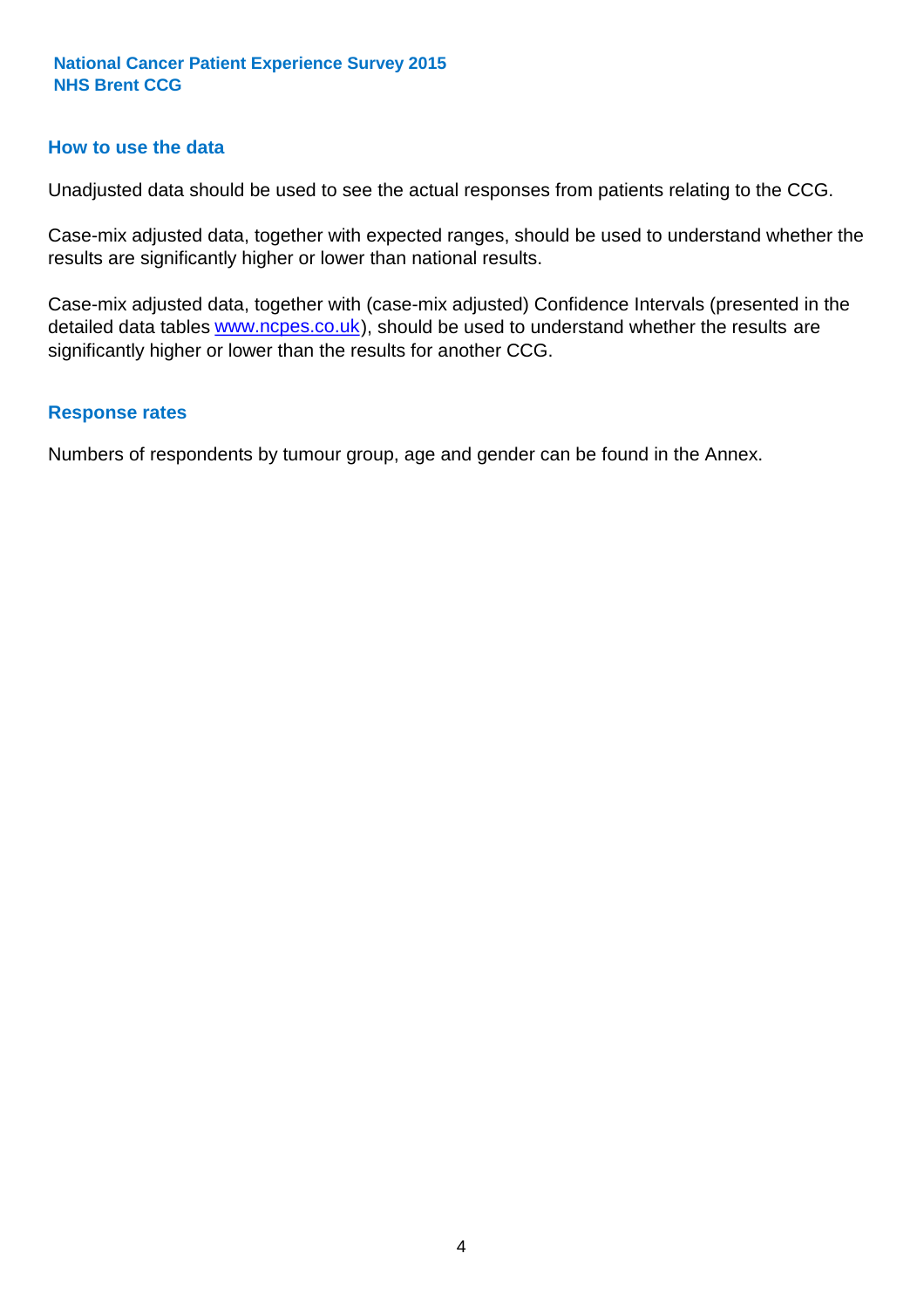#### **How to use the data**

Unadjusted data should be used to see the actual responses from patients relating to the CCG.

Case-mix adjusted data, together with expected ranges, should be used to understand whether the results are significantly higher or lower than national results.

Case-mix adjusted data, together with (case-mix adjusted) Confidence Intervals (presented in the detailed data tables **www.ncpes.co.uk**), should be used to understand whether the results are significantly higher or lower than the results for another CCG.

#### **Response rates**

Numbers of respondents by tumour group, age and gender can be found in the Annex.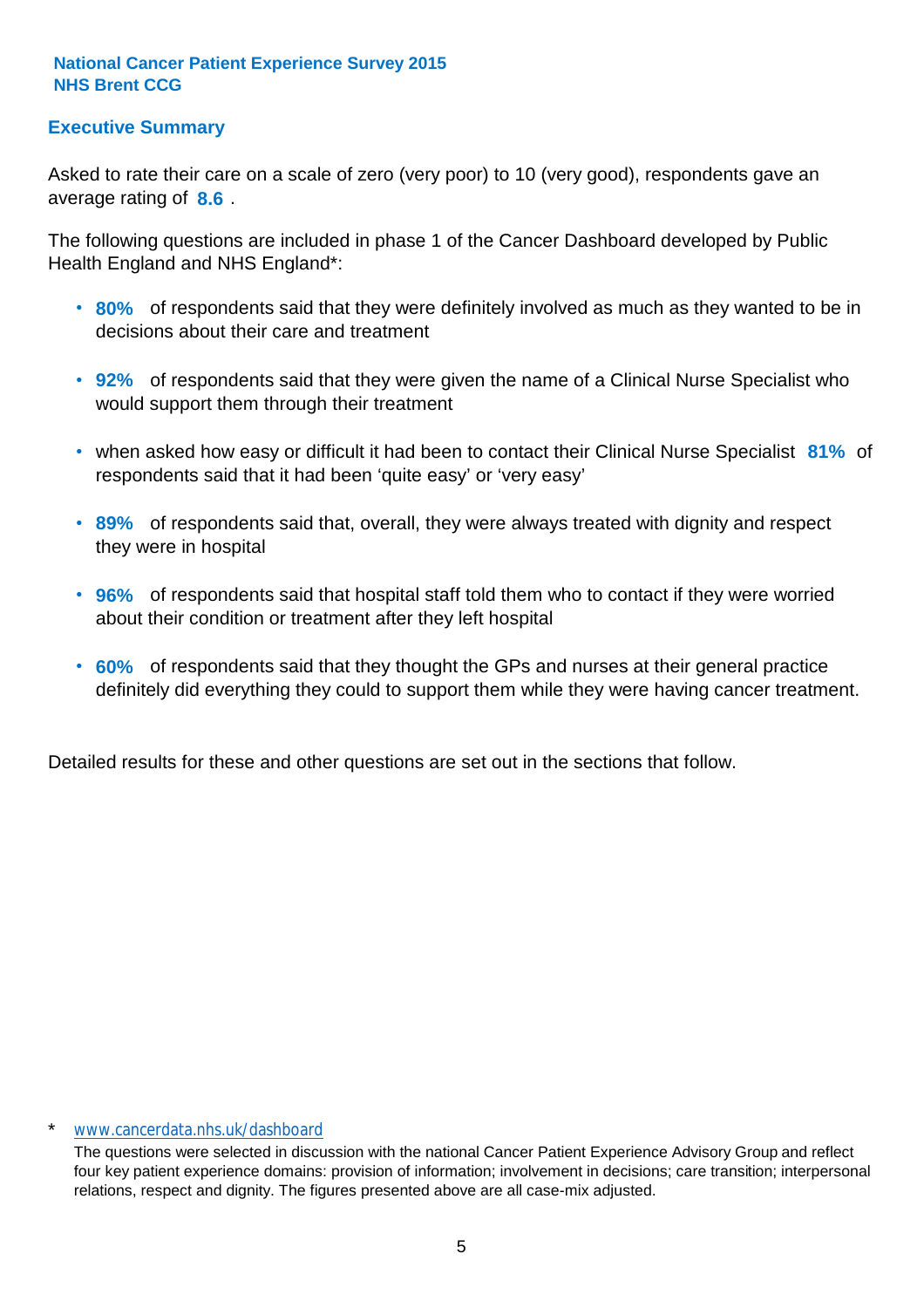### **Executive Summary**

average rating of 8.6. Asked to rate their care on a scale of zero (very poor) to 10 (very good), respondents gave an

The following questions are included in phase 1 of the Cancer Dashboard developed by Public Health England and NHS England\*:

- **80%** of respondents said that they were definitely involved as much as they wanted to be in decisions about their care and treatment
- **92%** of respondents said that they were given the name of a Clinical Nurse Specialist who would support them through their treatment
- when asked how easy or difficult it had been to contact their Clinical Nurse Specialist 81% of respondents said that it had been 'quite easy' or 'very easy'
- **89%** of respondents said that, overall, they were always treated with dignity and respect they were in hospital
- **96%** of respondents said that hospital staff told them who to contact if they were worried about their condition or treatment after they left hospital
- **60%** of respondents said that they thought the GPs and nurses at their general practice definitely did everything they could to support them while they were having cancer treatment.

Detailed results for these and other questions are set out in the sections that follow.

#### \* www.cancerdata.nhs.uk/dashboard

The questions were selected in discussion with the national Cancer Patient Experience Advisory Group and reflect four key patient experience domains: provision of information; involvement in decisions; care transition; interpersonal relations, respect and dignity. The figures presented above are all case-mix adjusted.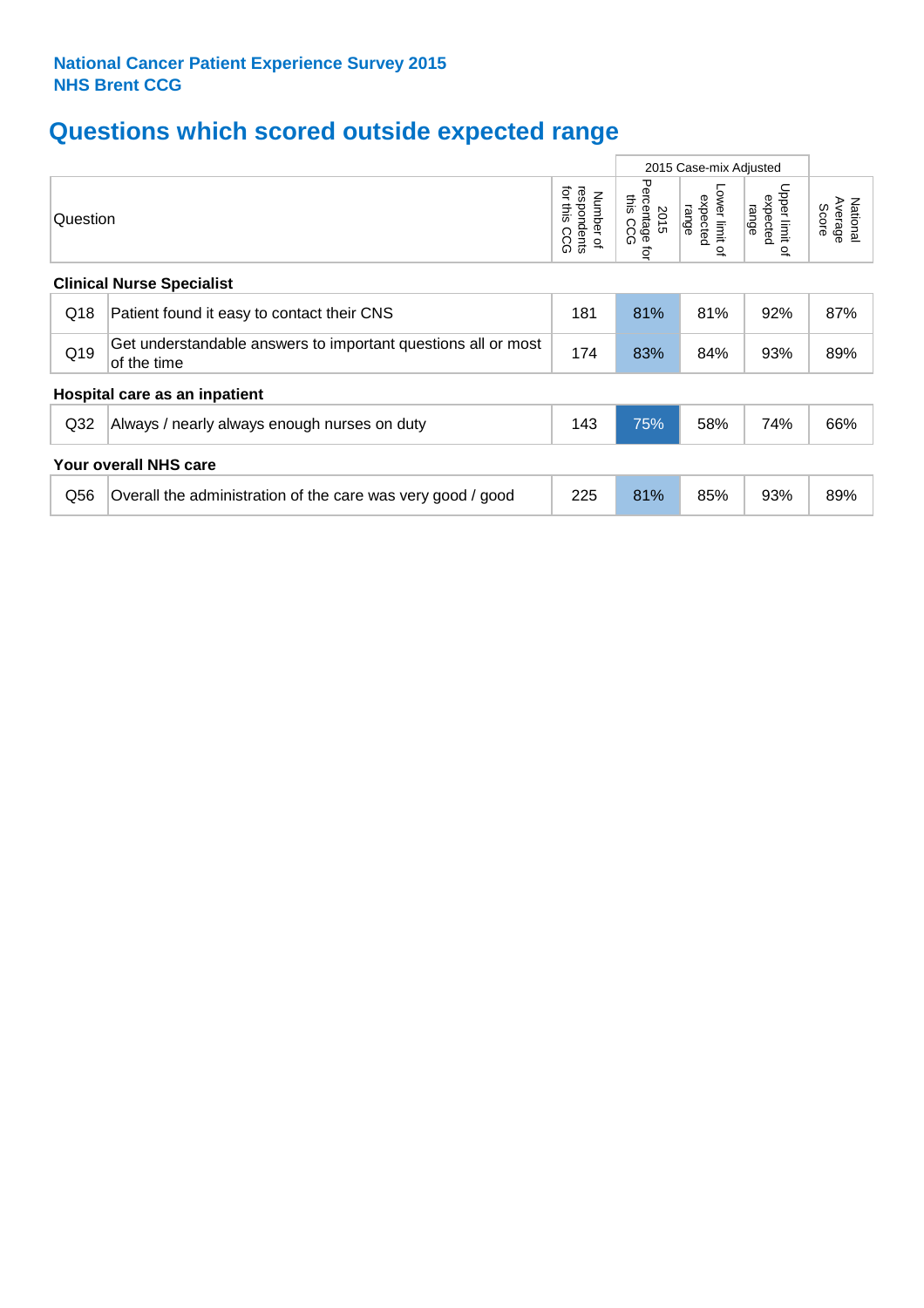# **Questions which scored outside expected range**

|                                  |                                                                              |     | 2015 Case-mix Adjusted |                                    |                                     |                              |  |  |  |
|----------------------------------|------------------------------------------------------------------------------|-----|------------------------|------------------------------------|-------------------------------------|------------------------------|--|--|--|
|                                  | Question                                                                     |     |                        | ower limit of<br>expected<br>range | Upper limit of<br>expected<br>range | National<br>Average<br>Score |  |  |  |
| <b>Clinical Nurse Specialist</b> |                                                                              |     |                        |                                    |                                     |                              |  |  |  |
| Q18                              | Patient found it easy to contact their CNS                                   | 181 | 81%                    | 81%                                | 92%                                 | 87%                          |  |  |  |
| Q19                              | Get understandable answers to important questions all or most<br>of the time | 174 | 83%                    | 84%                                | 93%                                 | 89%                          |  |  |  |
|                                  | Hospital care as an inpatient                                                |     |                        |                                    |                                     |                              |  |  |  |
| Q <sub>32</sub>                  | Always / nearly always enough nurses on duty                                 | 143 | 75%                    | 58%                                | 74%                                 | 66%                          |  |  |  |
|                                  | Your overall NHS care                                                        |     |                        |                                    |                                     |                              |  |  |  |
| Q56                              | Overall the administration of the care was very good / good                  | 225 | 81%                    | 85%                                | 93%                                 | 89%                          |  |  |  |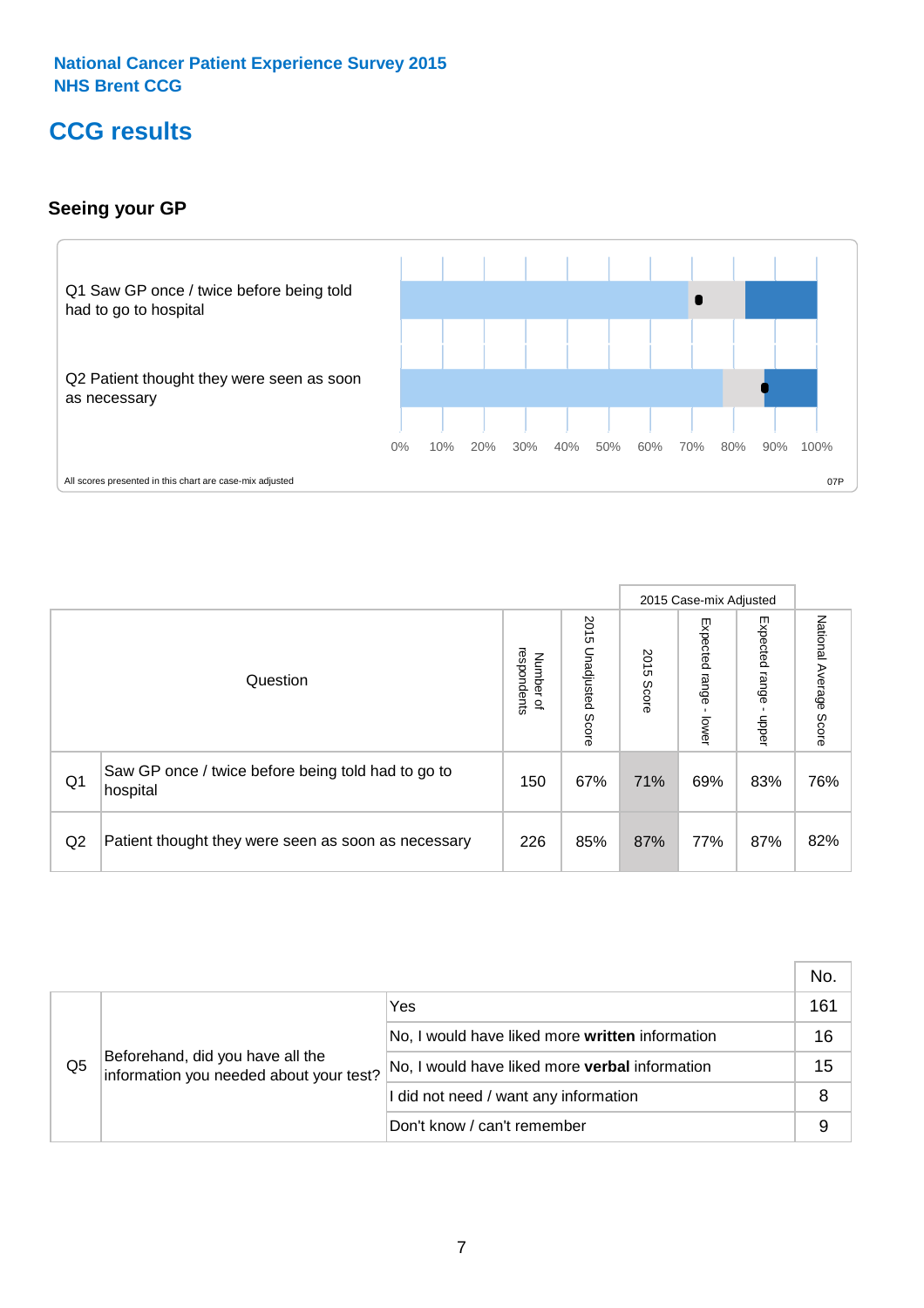# **CCG results**

## **Seeing your GP**



|    |                                                                |                                              |                             |               | 2015 Case-mix Adjusted     |                            |                           |
|----|----------------------------------------------------------------|----------------------------------------------|-----------------------------|---------------|----------------------------|----------------------------|---------------------------|
|    | Question                                                       | respondents<br>Number<br>$\overline{\sigma}$ | 2015<br>Unadjusted<br>Score | 2015<br>Score | Expected<br>range<br>lower | Expected<br>range<br>nbber | National Average<br>Score |
| Q1 | Saw GP once / twice before being told had to go to<br>hospital | 150                                          | 67%                         | 71%           | 69%                        | 83%                        | 76%                       |
| Q2 | Patient thought they were seen as soon as necessary            | 226                                          | 85%                         | 87%           | 77%                        | 87%                        | 82%                       |

|    |                                                                             |                                                 | No. |
|----|-----------------------------------------------------------------------------|-------------------------------------------------|-----|
|    | Beforehand, did you have all the<br>information you needed about your test? | Yes                                             | 161 |
|    |                                                                             | No, I would have liked more written information | 16  |
| Q5 |                                                                             | No, I would have liked more verbal information  | 15  |
|    |                                                                             | I did not need / want any information           | 8   |
|    |                                                                             | Don't know / can't remember                     | 9   |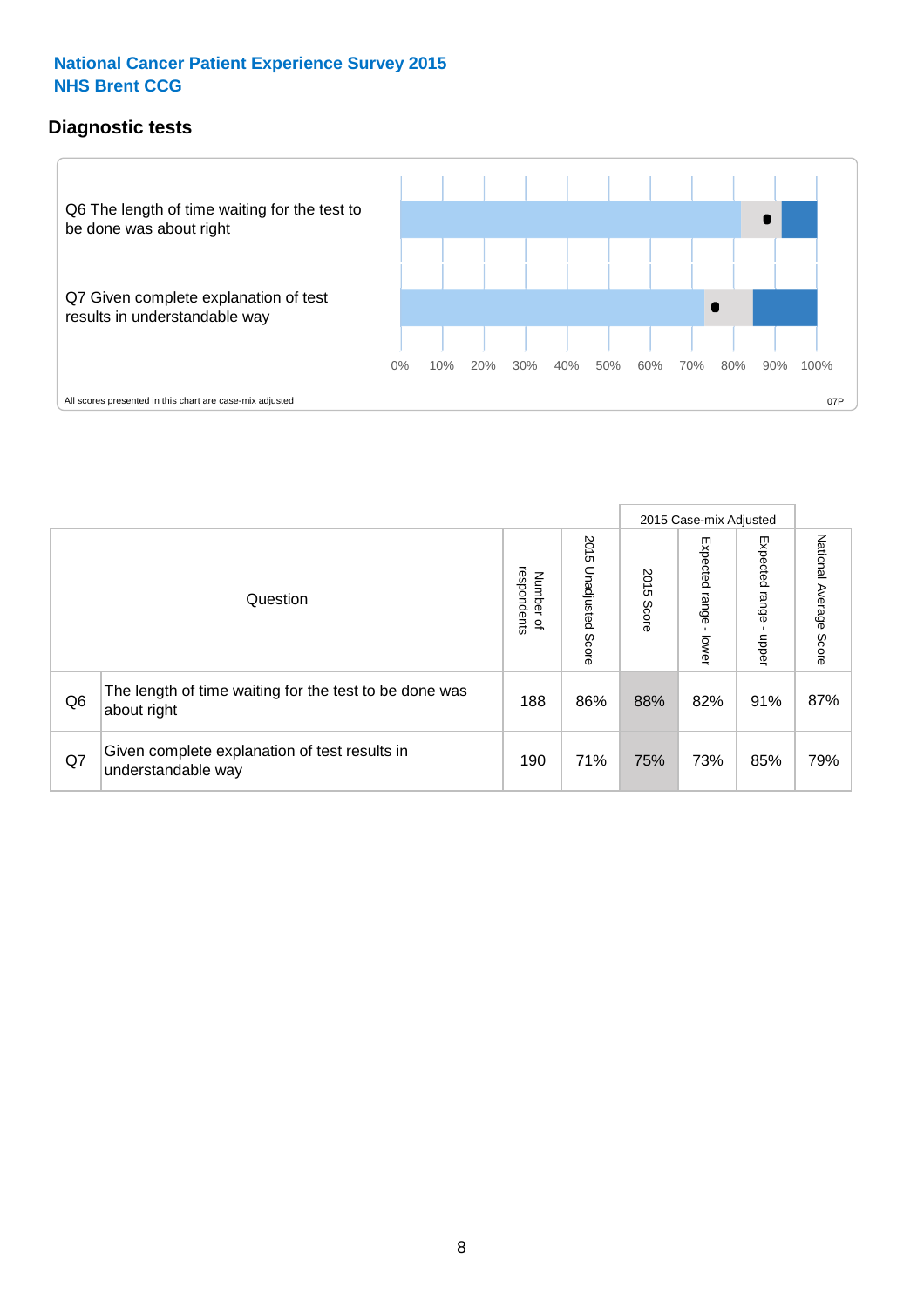### **Diagnostic tests**



|                |                                                                       |                                       |                             |               | 2015 Case-mix Adjusted       |                         |                           |
|----------------|-----------------------------------------------------------------------|---------------------------------------|-----------------------------|---------------|------------------------------|-------------------------|---------------------------|
|                | Question                                                              | respondents<br>Number<br>$\mathbf{Q}$ | 2015<br>Unadjusted<br>Score | 2015<br>Score | Expected<br>I range<br>lower | Expected range<br>nbber | National Average<br>Score |
| Q <sub>6</sub> | The length of time waiting for the test to be done was<br>about right | 188                                   | 86%                         | 88%           | 82%                          | 91%                     | 87%                       |
| Q7             | Given complete explanation of test results in<br>understandable way   | 190                                   | 71%                         | 75%           | 73%                          | 85%                     | 79%                       |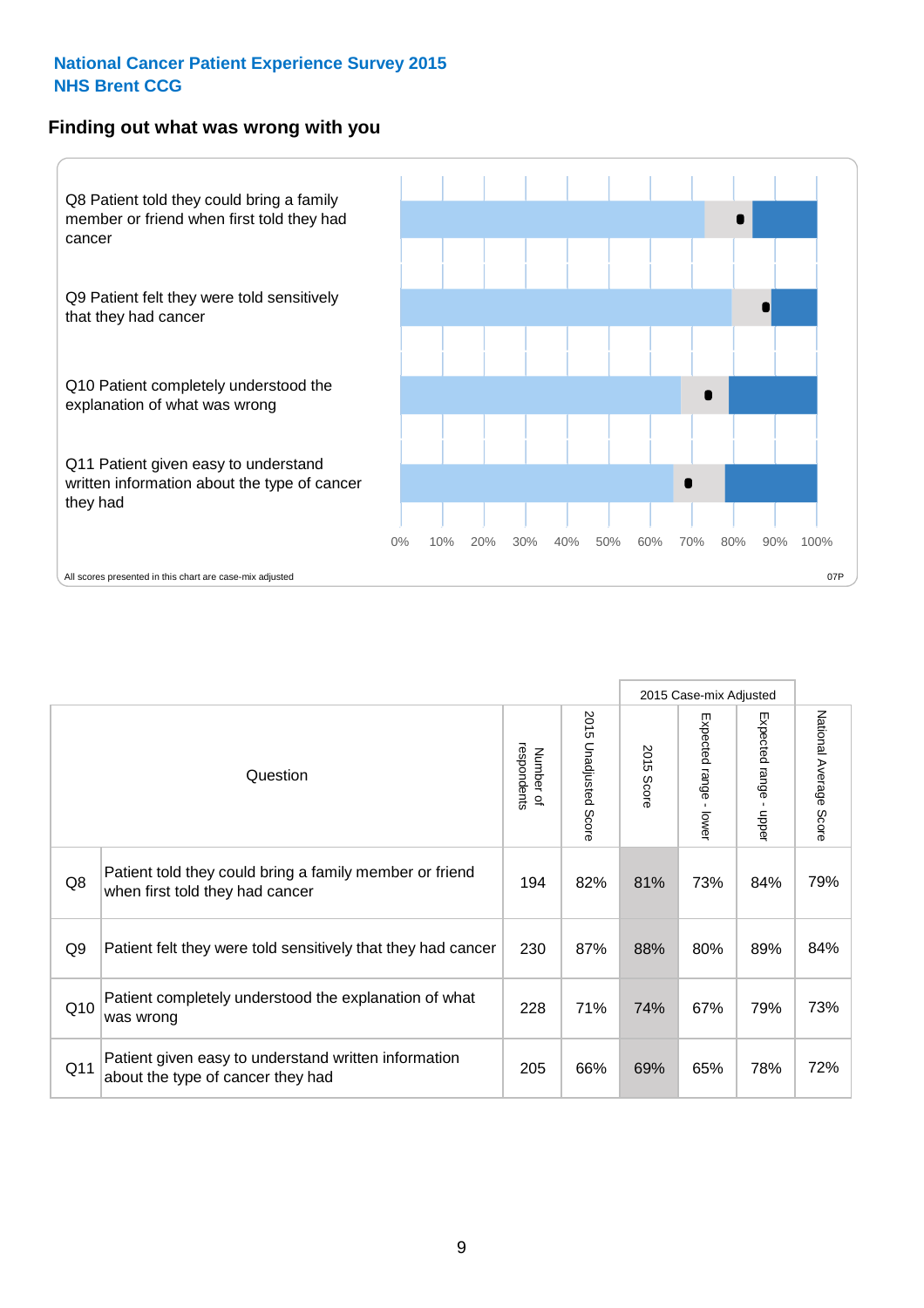#### **Finding out what was wrong with you**



|                |                                                                                            |                          |                                 |                      | 2015 Case-mix Adjusted                  |                                           |                        |
|----------------|--------------------------------------------------------------------------------------------|--------------------------|---------------------------------|----------------------|-----------------------------------------|-------------------------------------------|------------------------|
|                | Question                                                                                   | respondents<br>Number of | 2015<br><b>Unadjusted Score</b> | 2015<br><b>Score</b> | Expected range<br>$\mathbf{r}$<br>lower | Expected range<br>$\blacksquare$<br>nbber | National Average Score |
| Q8             | Patient told they could bring a family member or friend<br>when first told they had cancer | 194                      | 82%                             | 81%                  | 73%                                     | 84%                                       | 79%                    |
| Q <sub>9</sub> | Patient felt they were told sensitively that they had cancer                               | 230                      | 87%                             | 88%                  | 80%                                     | 89%                                       | 84%                    |
| Q10            | Patient completely understood the explanation of what<br>was wrong                         | 228                      | 71%                             | 74%                  | 67%                                     | 79%                                       | 73%                    |
| Q11            | Patient given easy to understand written information<br>about the type of cancer they had  | 205                      | 66%                             | 69%                  | 65%                                     | 78%                                       | 72%                    |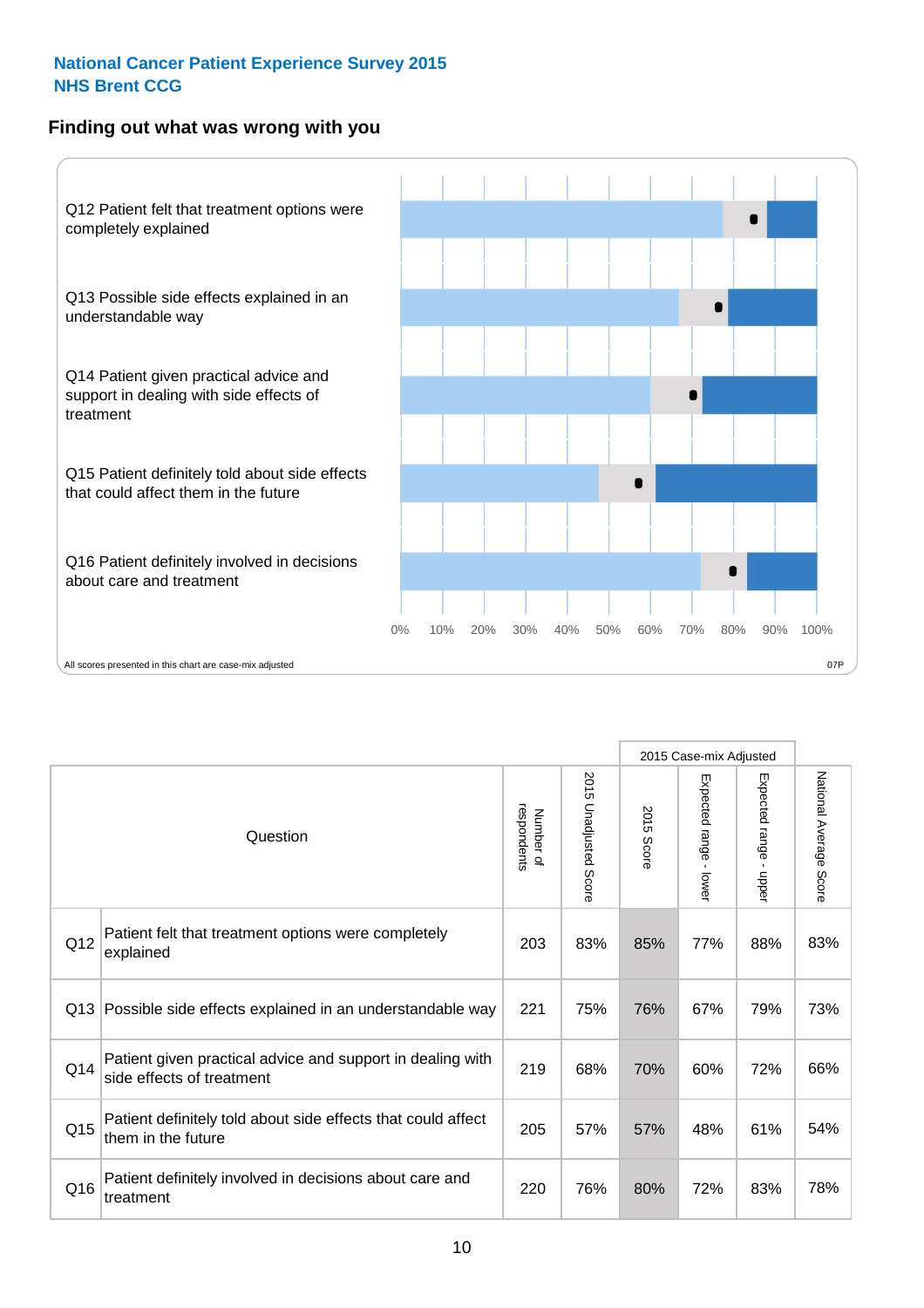### **Finding out what was wrong with you**



|     |                                                                                         |                          |                       |               | 2015 Case-mix Adjusted                  |                           |                        |
|-----|-----------------------------------------------------------------------------------------|--------------------------|-----------------------|---------------|-----------------------------------------|---------------------------|------------------------|
|     | Question                                                                                | respondents<br>Number of | 2015 Unadjusted Score | 2015<br>Score | Expected range<br>$\mathbf{r}$<br>lower | Expected range -<br>nbber | National Average Score |
| Q12 | Patient felt that treatment options were completely<br>explained                        | 203                      | 83%                   | 85%           | 77%                                     | 88%                       | 83%                    |
| Q13 | Possible side effects explained in an understandable way                                | 221                      | 75%                   | 76%           | 67%                                     | 79%                       | 73%                    |
| Q14 | Patient given practical advice and support in dealing with<br>side effects of treatment | 219                      | 68%                   | 70%           | 60%                                     | 72%                       | 66%                    |
| Q15 | Patient definitely told about side effects that could affect<br>them in the future      | 205                      | 57%                   | 57%           | 48%                                     | 61%                       | 54%                    |
| Q16 | Patient definitely involved in decisions about care and<br>treatment                    | 220                      | 76%                   | 80%           | 72%                                     | 83%                       | 78%                    |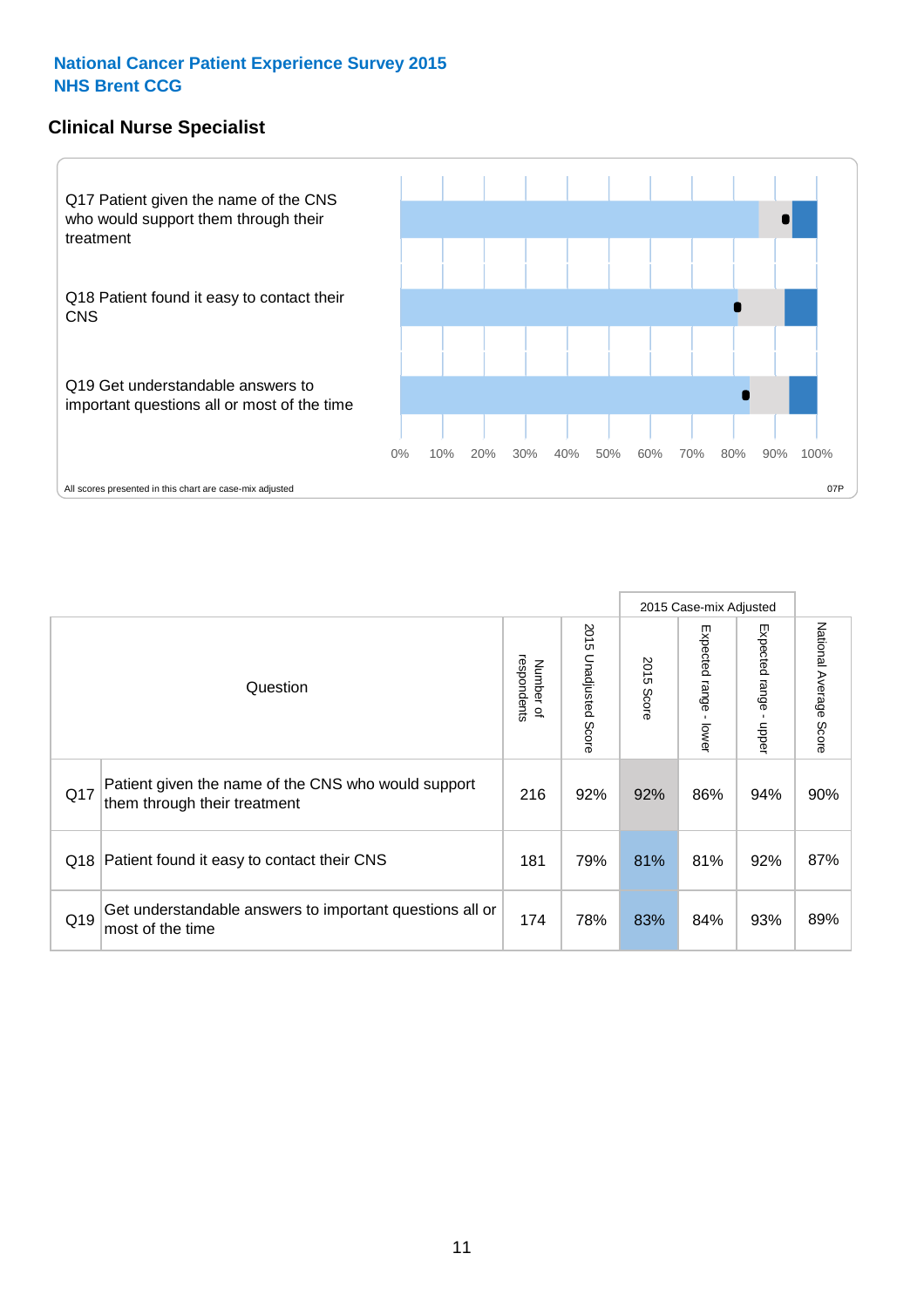### **Clinical Nurse Specialist**



|     |                                                                                     |                          |                       |               | 2015 Case-mix Adjusted  |                         |                        |
|-----|-------------------------------------------------------------------------------------|--------------------------|-----------------------|---------------|-------------------------|-------------------------|------------------------|
|     | Question                                                                            | respondents<br>Number of | 2015 Unadjusted Score | 2015<br>Score | Expected range<br>lower | Expected range<br>nbber | National Average Score |
| Q17 | Patient given the name of the CNS who would support<br>them through their treatment | 216                      | 92%                   | 92%           | 86%                     | 94%                     | 90%                    |
|     | Q18 Patient found it easy to contact their CNS                                      | 181                      | 79%                   | 81%           | 81%                     | 92%                     | 87%                    |
| Q19 | Get understandable answers to important questions all or<br>most of the time        | 174                      | 78%                   | 83%           | 84%                     | 93%                     | 89%                    |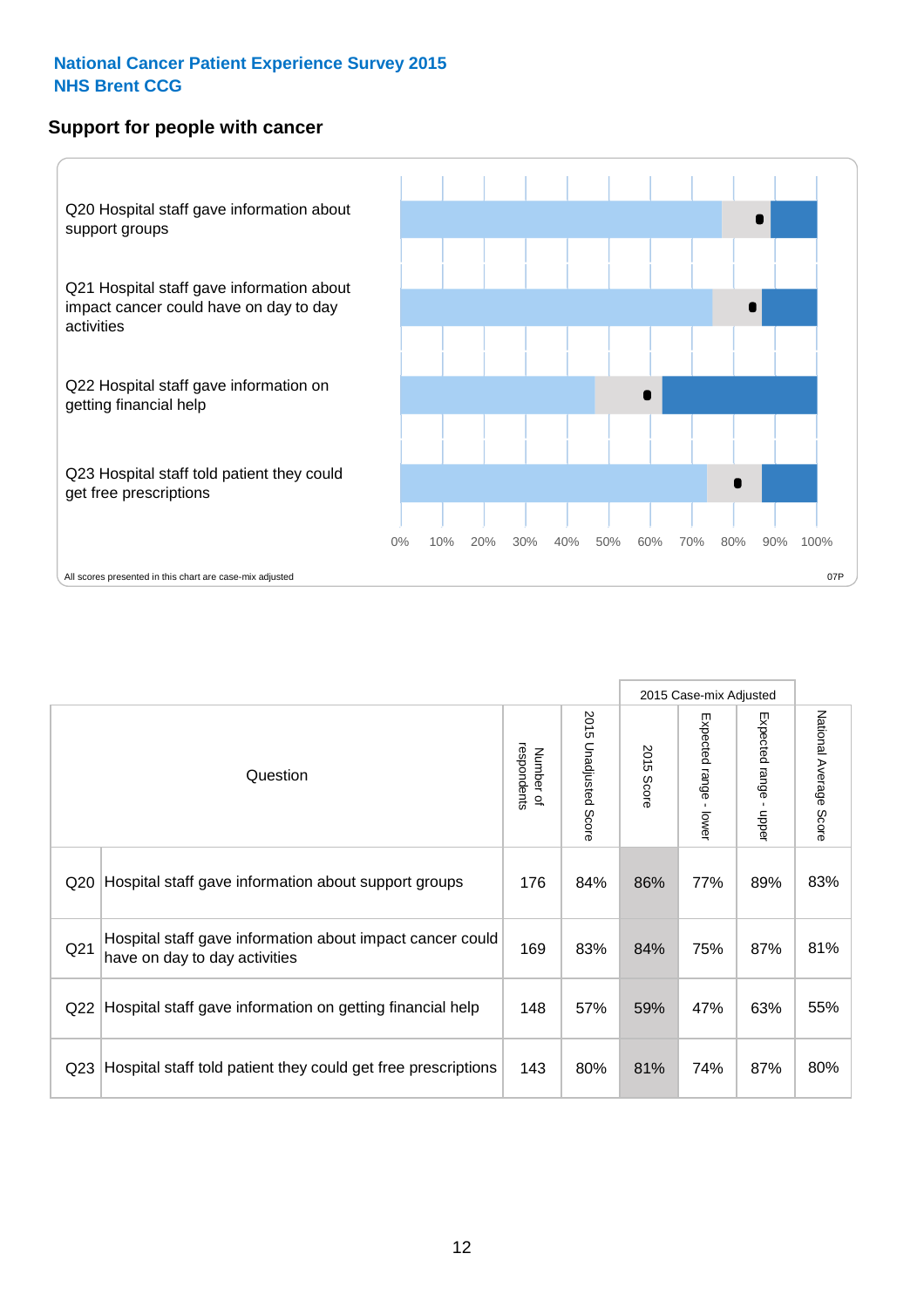### **Support for people with cancer**



|                 |                                                                                            |                          |                                 |               | 2015 Case-mix Adjusted                  |                                           |                        |
|-----------------|--------------------------------------------------------------------------------------------|--------------------------|---------------------------------|---------------|-----------------------------------------|-------------------------------------------|------------------------|
|                 | Question                                                                                   | respondents<br>Number of | 2015<br><b>Unadjusted Score</b> | 2015<br>Score | Expected range<br>$\mathbf{I}$<br>lower | Expected range<br>$\blacksquare$<br>nbber | National Average Score |
| Q <sub>20</sub> | Hospital staff gave information about support groups                                       | 176                      | 84%                             | 86%           | 77%                                     | 89%                                       | 83%                    |
| Q <sub>21</sub> | Hospital staff gave information about impact cancer could<br>have on day to day activities | 169                      | 83%                             | 84%           | 75%                                     | 87%                                       | 81%                    |
| Q <sub>22</sub> | Hospital staff gave information on getting financial help                                  | 148                      | 57%                             | 59%           | 47%                                     | 63%                                       | 55%                    |
| Q <sub>23</sub> | Hospital staff told patient they could get free prescriptions                              | 143                      | 80%                             | 81%           | 74%                                     | 87%                                       | 80%                    |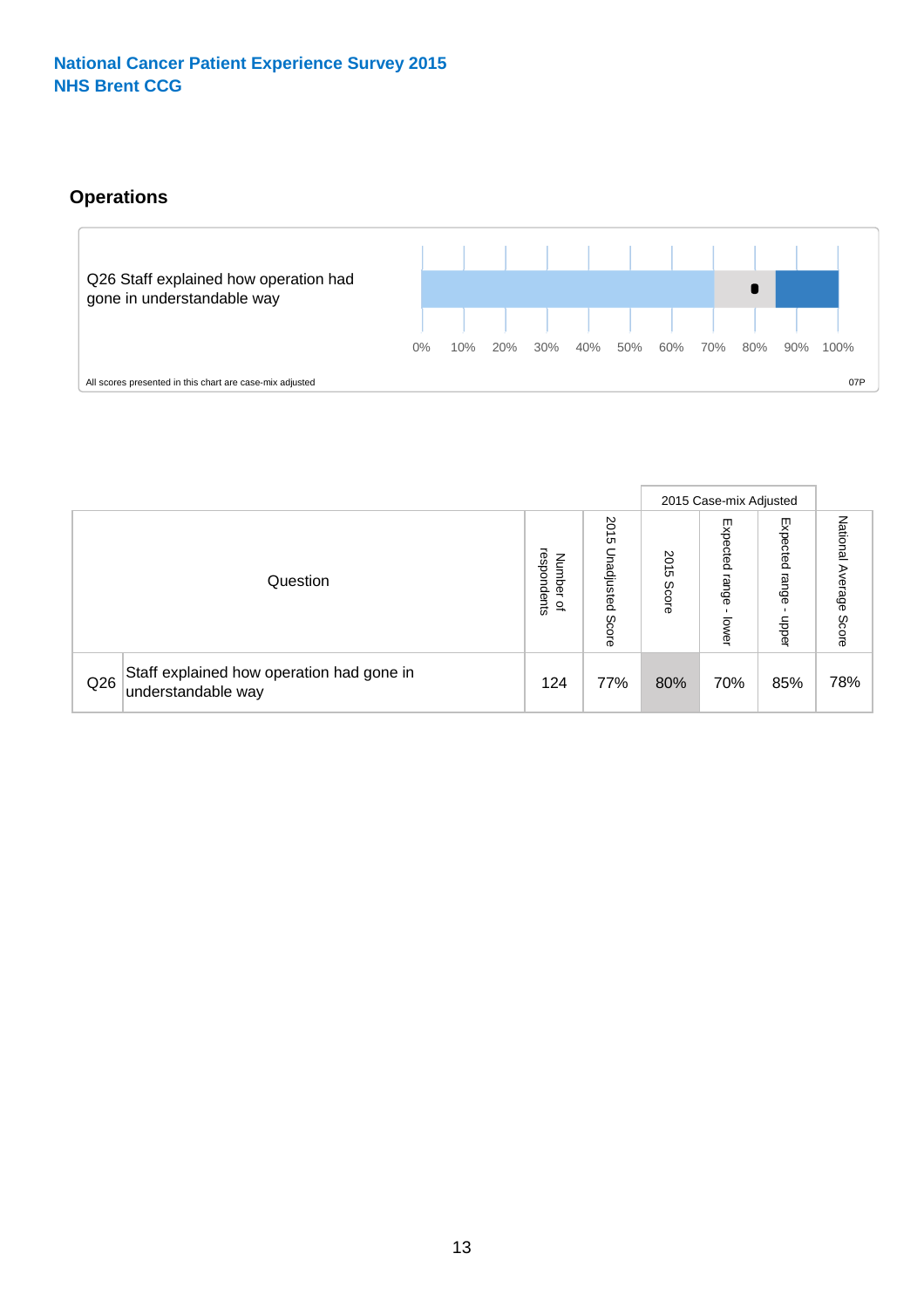# **Operations**



|     |                                                                 |                                         |                             |               | 2015 Case-mix Adjusted     |                           |                           |
|-----|-----------------------------------------------------------------|-----------------------------------------|-----------------------------|---------------|----------------------------|---------------------------|---------------------------|
|     | Question                                                        | respondents<br>Number<br>$\overline{a}$ | 2015<br>Unadjusted<br>Score | 2015<br>Score | Expected<br>range<br>lower | Expected<br>range<br>ddoe | National Average<br>Score |
| Q26 | Staff explained how operation had gone in<br>understandable way | 124                                     | 77%                         | 80%           | 70%                        | 85%                       | 78%                       |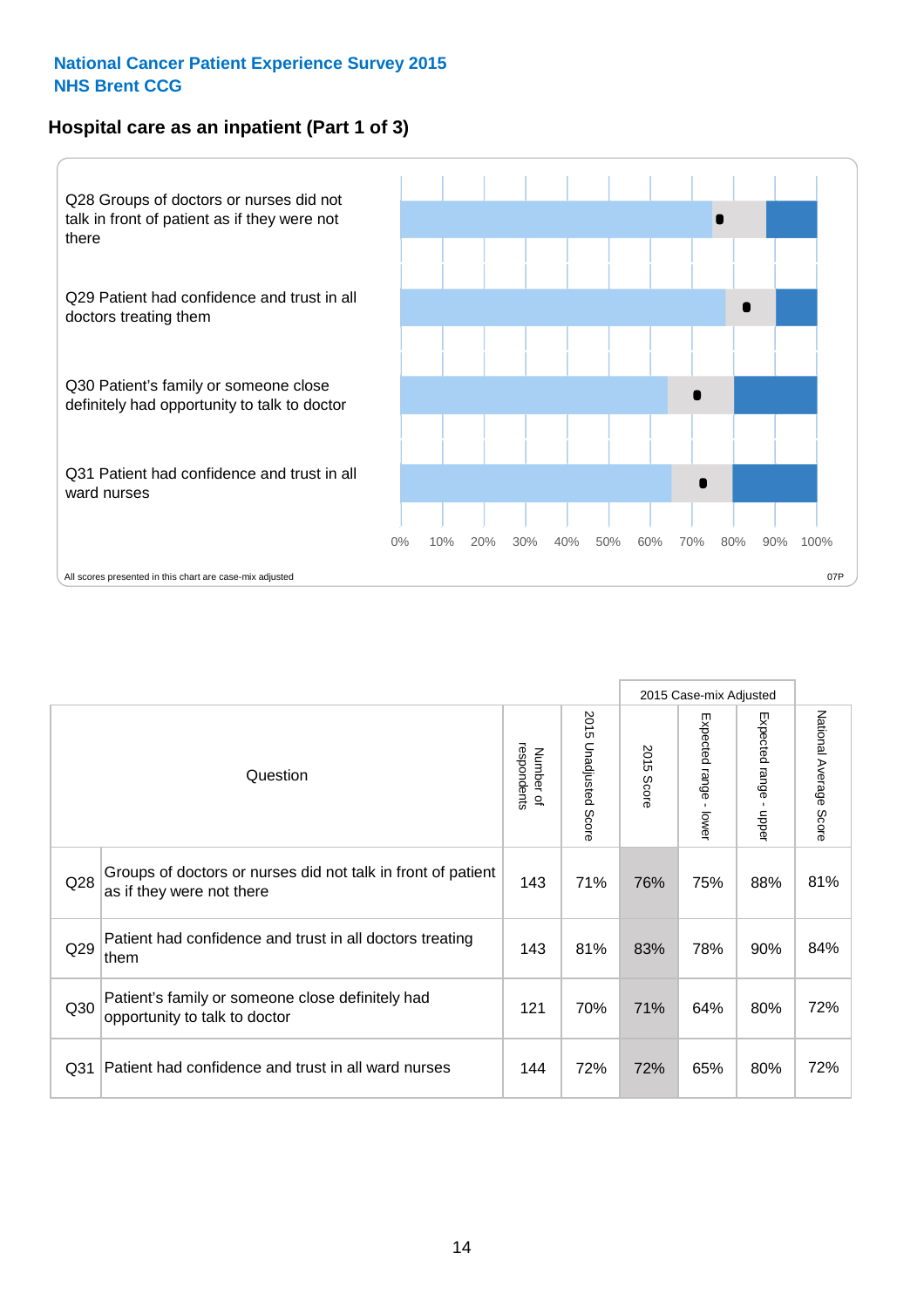# **Hospital care as an inpatient (Part 1 of 3)**



All scores presented in this chart are case-mix adjusted  $07P$ 

|                 |                                                                                           |                          |                       |                      | 2015 Case-mix Adjusted                  |                                           |                        |
|-----------------|-------------------------------------------------------------------------------------------|--------------------------|-----------------------|----------------------|-----------------------------------------|-------------------------------------------|------------------------|
|                 | Question                                                                                  | respondents<br>Number of | 2015 Unadjusted Score | 2015<br><b>Score</b> | Expected range<br>$\mathbf{r}$<br>lower | Expected range<br>$\blacksquare$<br>nbber | National Average Score |
| Q28             | Groups of doctors or nurses did not talk in front of patient<br>as if they were not there | 143                      | 71%                   | 76%                  | 75%                                     | 88%                                       | 81%                    |
| Q29             | Patient had confidence and trust in all doctors treating<br>them                          | 143                      | 81%                   | 83%                  | 78%                                     | 90%                                       | 84%                    |
| Q30             | Patient's family or someone close definitely had<br>opportunity to talk to doctor         | 121                      | 70%                   | 71%                  | 64%                                     | 80%                                       | 72%                    |
| Q <sub>31</sub> | Patient had confidence and trust in all ward nurses                                       | 144                      | 72%                   | 72%                  | 65%                                     | 80%                                       | 72%                    |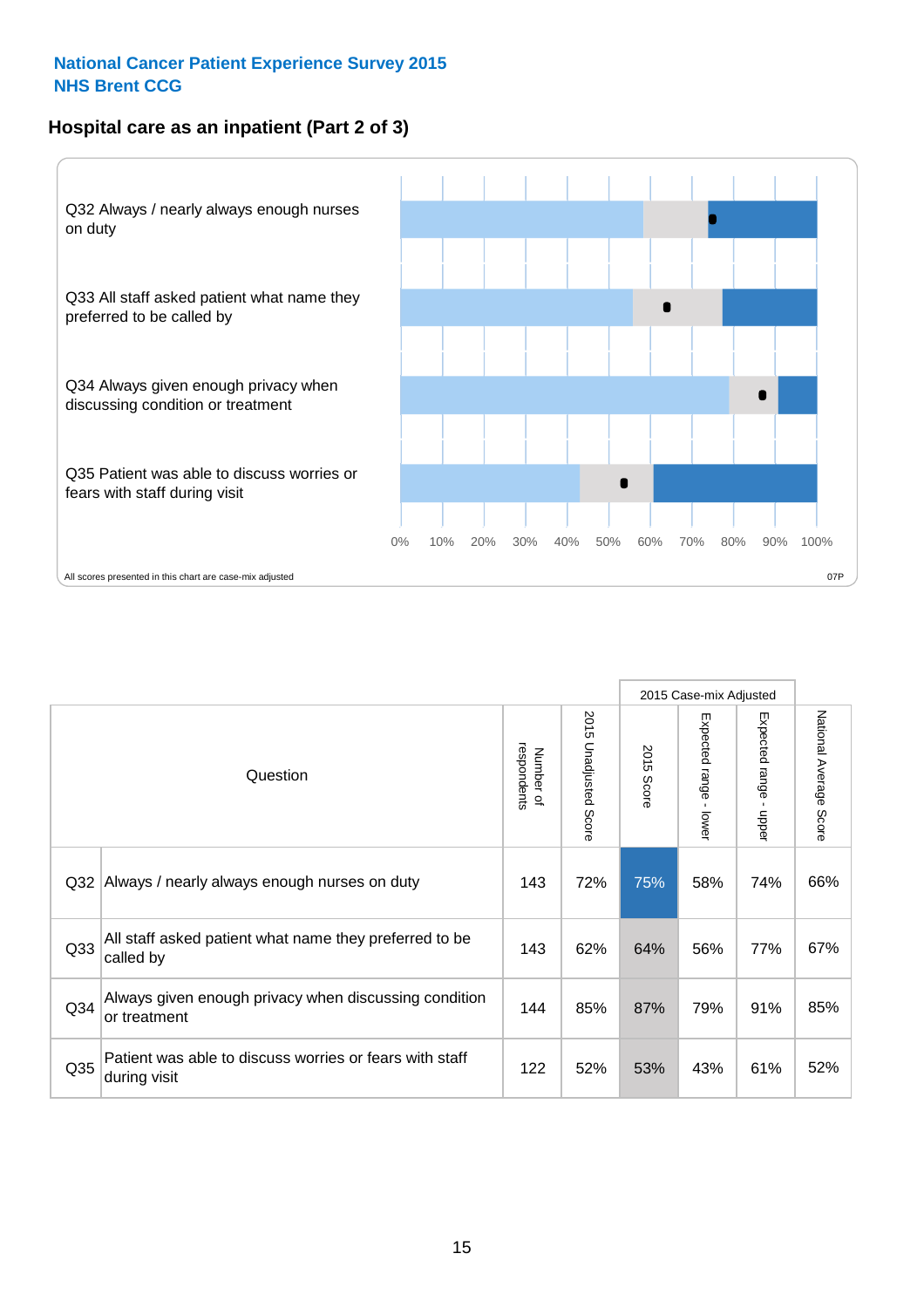### **Hospital care as an inpatient (Part 2 of 3)**



|                 |                                                                         |                          |                       |               | 2015 Case-mix Adjusted |                                           |                        |
|-----------------|-------------------------------------------------------------------------|--------------------------|-----------------------|---------------|------------------------|-------------------------------------------|------------------------|
|                 | Question                                                                | respondents<br>Number of | 2015 Unadjusted Score | 2015<br>Score | Expected range - lower | Expected range<br>$\blacksquare$<br>nbber | National Average Score |
| Q <sub>32</sub> | Always / nearly always enough nurses on duty                            | 143                      | 72%                   | 75%           | 58%                    | 74%                                       | 66%                    |
| Q <sub>33</sub> | All staff asked patient what name they preferred to be<br>called by     | 143                      | 62%                   | 64%           | 56%                    | 77%                                       | 67%                    |
| Q <sub>34</sub> | Always given enough privacy when discussing condition<br>or treatment   | 144                      | 85%                   | 87%           | 79%                    | 91%                                       | 85%                    |
| Q35             | Patient was able to discuss worries or fears with staff<br>during visit | 122                      | 52%                   | 53%           | 43%                    | 61%                                       | 52%                    |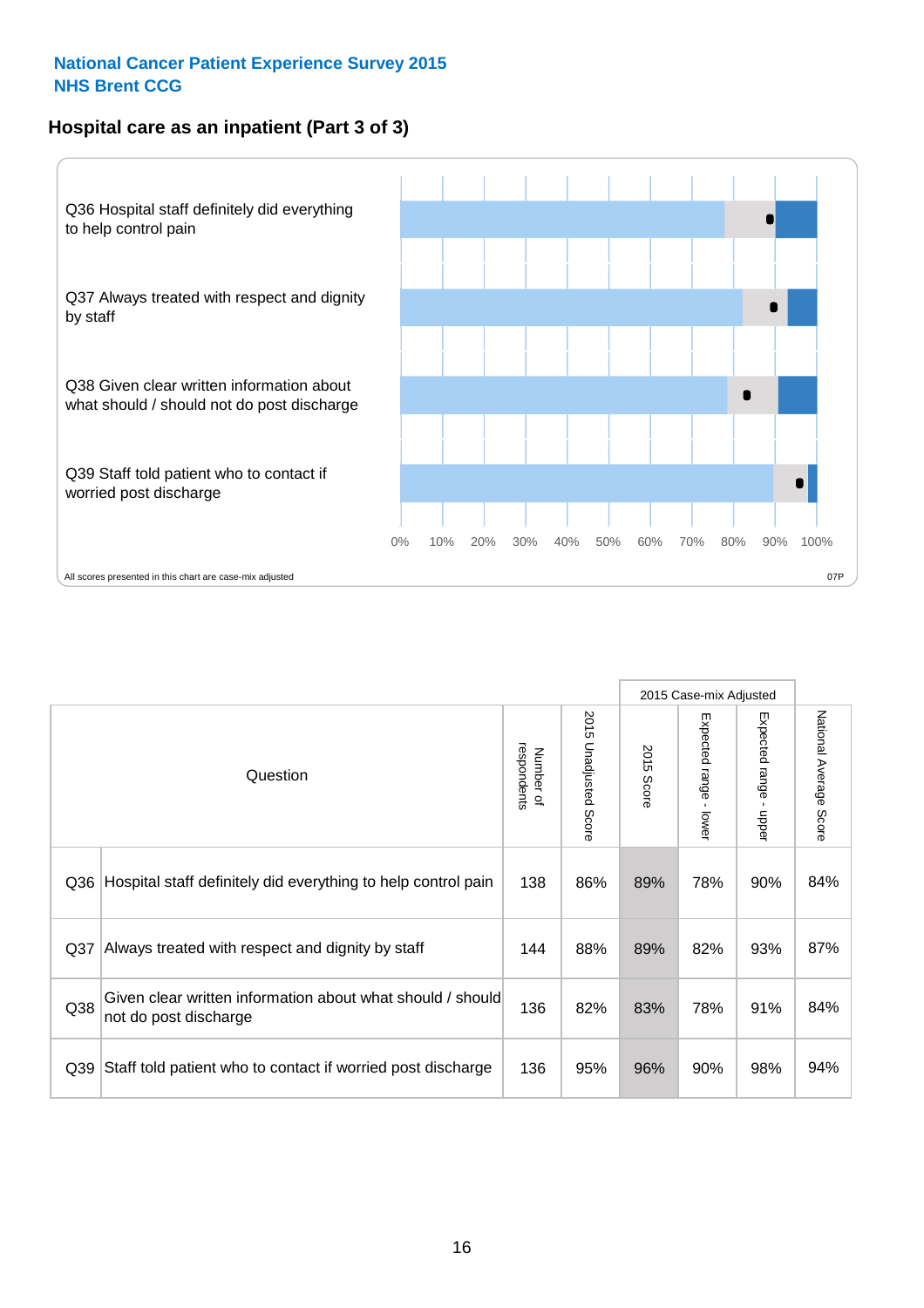### **Hospital care as an inpatient (Part 3 of 3)**



|                 |                                                                                     |                          |                                 |               | 2015 Case-mix Adjusted                    |                           |                        |
|-----------------|-------------------------------------------------------------------------------------|--------------------------|---------------------------------|---------------|-------------------------------------------|---------------------------|------------------------|
|                 | Question                                                                            | Number of<br>respondents | 2015<br><b>Unadjusted Score</b> | 2015<br>Score | Expected range<br>$\blacksquare$<br>lower | Expected range -<br>nbber | National Average Score |
| Q36             | Hospital staff definitely did everything to help control pain                       | 138                      | 86%                             | 89%           | 78%                                       | 90%                       | 84%                    |
| Q <sub>37</sub> | Always treated with respect and dignity by staff                                    | 144                      | 88%                             | 89%           | 82%                                       | 93%                       | 87%                    |
| Q38             | Given clear written information about what should / should<br>not do post discharge | 136                      | 82%                             | 83%           | 78%                                       | 91%                       | 84%                    |
| Q39             | Staff told patient who to contact if worried post discharge                         | 136                      | 95%                             | 96%           | 90%                                       | 98%                       | 94%                    |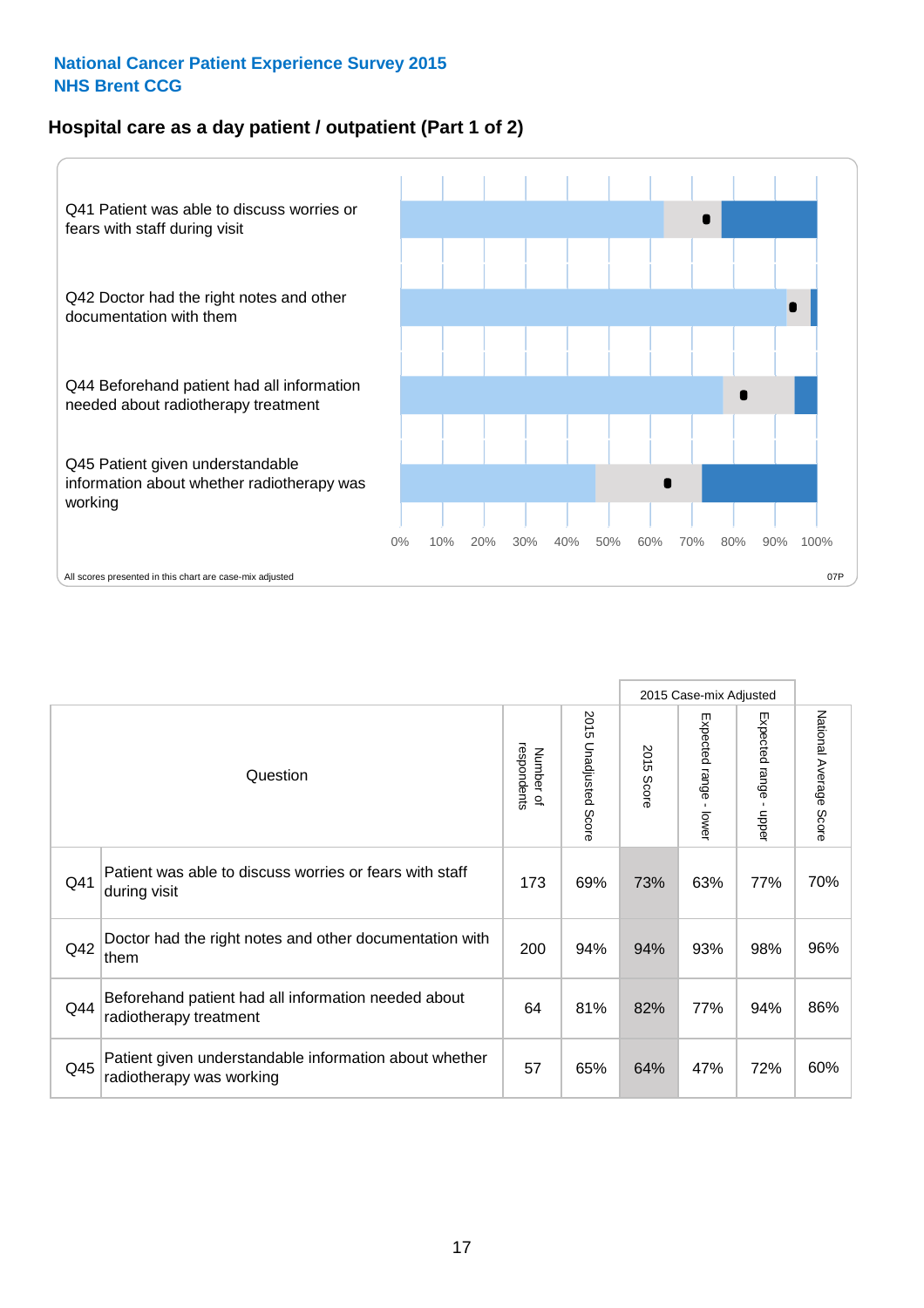### **Hospital care as a day patient / outpatient (Part 1 of 2)**



|     |                                                                                    |                          |                              |               | 2015 Case-mix Adjusted                    |                                           |                        |
|-----|------------------------------------------------------------------------------------|--------------------------|------------------------------|---------------|-------------------------------------------|-------------------------------------------|------------------------|
|     | Question                                                                           | respondents<br>Number of | 201<br>C<br>Unadjusted Score | 2015<br>Score | Expected range<br>$\blacksquare$<br>lower | Expected range<br>$\blacksquare$<br>nbber | National Average Score |
| Q41 | Patient was able to discuss worries or fears with staff<br>during visit            | 173                      | 69%                          | 73%           | 63%                                       | 77%                                       | 70%                    |
| Q42 | Doctor had the right notes and other documentation with<br>them                    | 200                      | 94%                          | 94%           | 93%                                       | 98%                                       | 96%                    |
| Q44 | Beforehand patient had all information needed about<br>radiotherapy treatment      | 64                       | 81%                          | 82%           | 77%                                       | 94%                                       | 86%                    |
| Q45 | Patient given understandable information about whether<br>radiotherapy was working | 57                       | 65%                          | 64%           | 47%                                       | 72%                                       | 60%                    |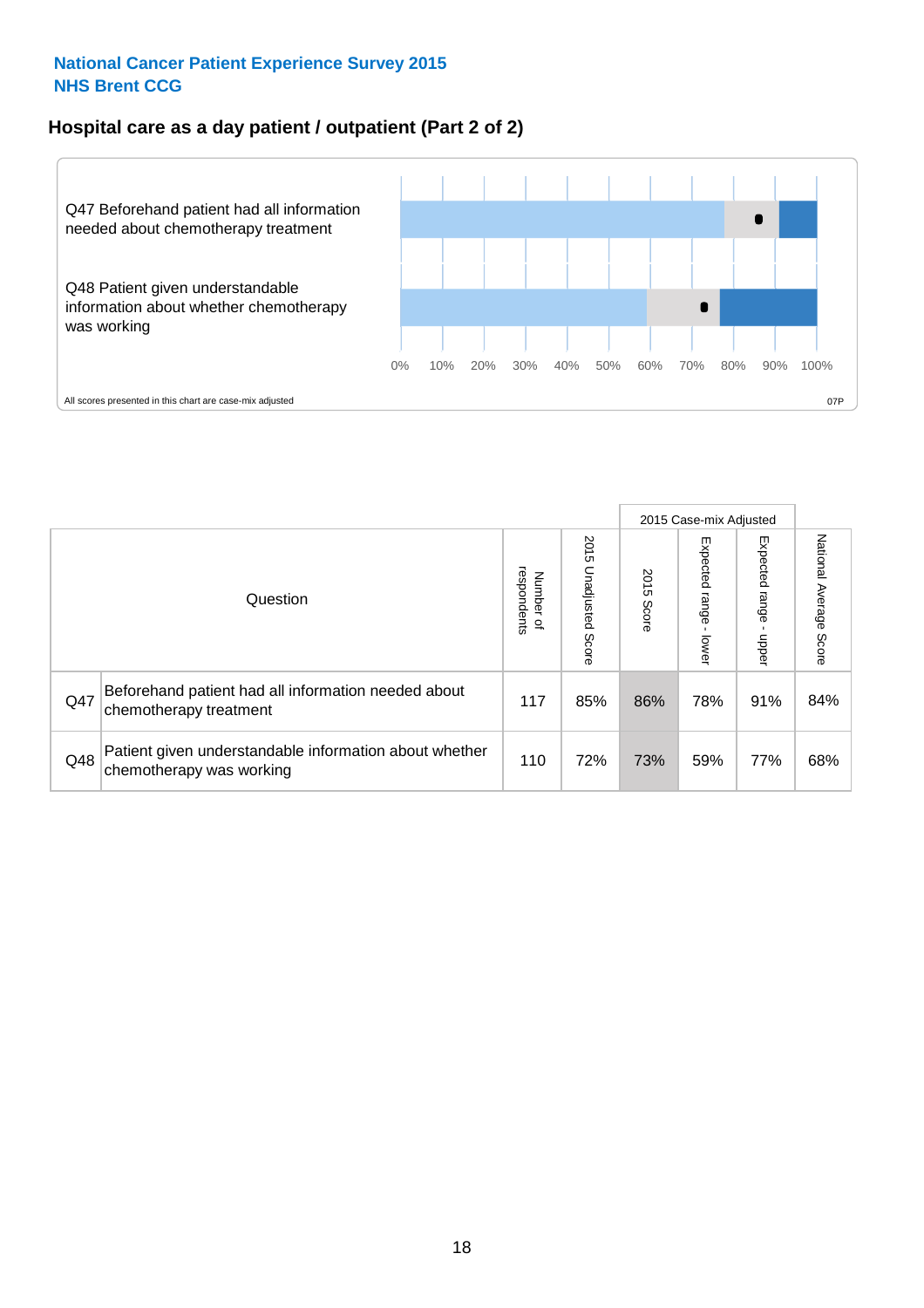### **Hospital care as a day patient / outpatient (Part 2 of 2)**



|     |                                                                                    |                                       |                             |               | 2015 Case-mix Adjusted  |                           |                           |
|-----|------------------------------------------------------------------------------------|---------------------------------------|-----------------------------|---------------|-------------------------|---------------------------|---------------------------|
|     | Question                                                                           | respondents<br>Number<br>$\mathbf{Q}$ | 2015<br>Unadjusted<br>Score | 2015<br>Score | Expected range<br>lower | Expected<br>ange<br>doper | National Average<br>Score |
| Q47 | Beforehand patient had all information needed about<br>chemotherapy treatment      | 117                                   | 85%                         | 86%           | 78%                     | 91%                       | 84%                       |
| Q48 | Patient given understandable information about whether<br>chemotherapy was working | 110                                   | 72%                         | 73%           | 59%                     | 77%                       | 68%                       |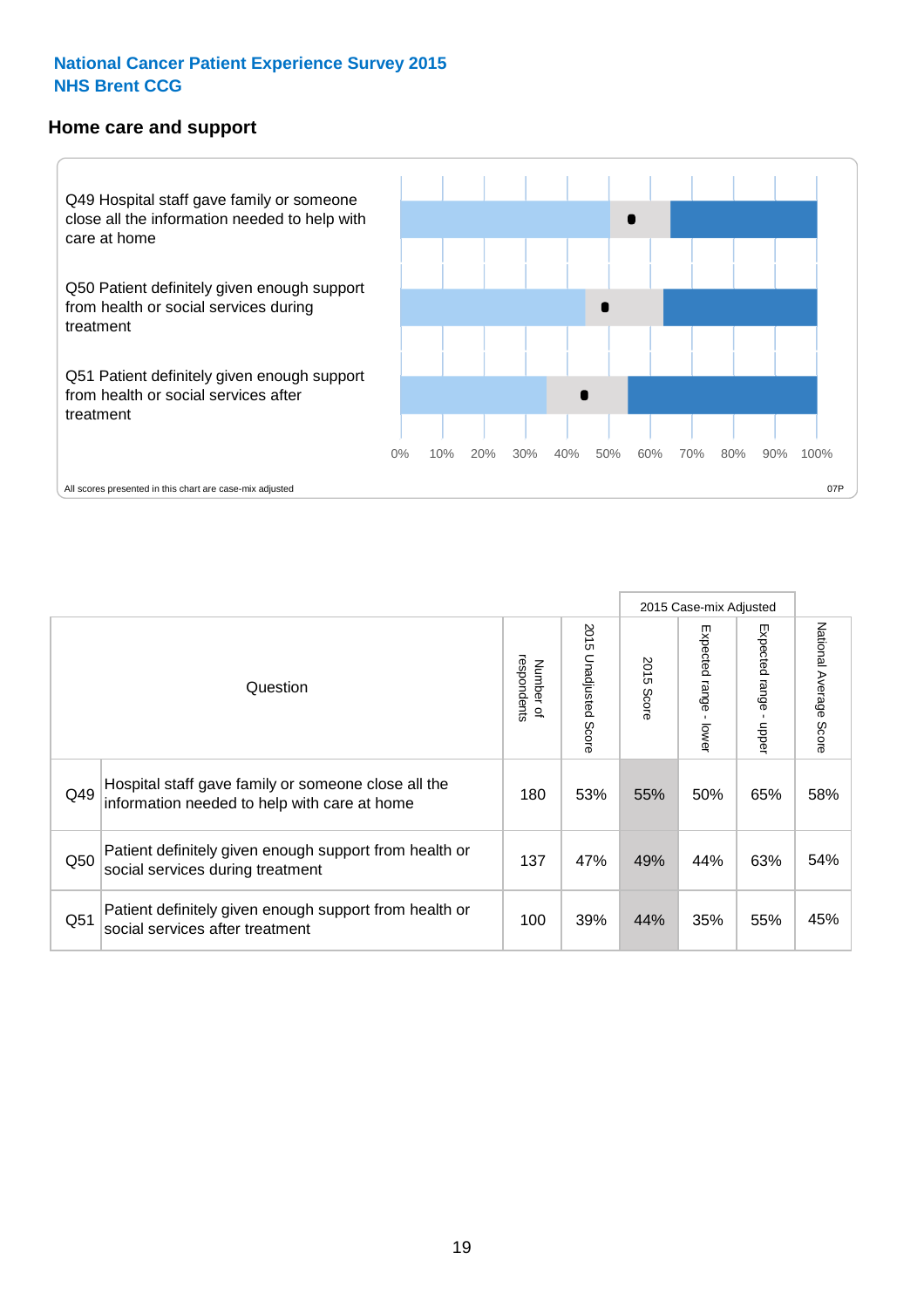#### **Home care and support**



2015 Case-mix Adjusted 2015 Unadjusted Score Expected range - upper National Average Score 2015 Unadjusted Score Expected range - lower National Average Score Expected range - lower Expected range - upper Number of<br>respondents 2015 Score respondents 2015 Score Number of Question Hospital staff gave family or someone close all the  $Q49$  information needed to help with care at home  $Q49$  |  $53\%$  |  $55\%$  |  $50\%$  |  $65\%$  |  $58\%$ Patient definitely given enough support from health or  $\frac{137}{\sqrt{137}}$  and the during treatment  $\frac{137}{\sqrt{137}}$   $\frac{47\%}{\sqrt{137}}$   $\frac{49\%}{\sqrt{137}}$   $\frac{49\%}{\sqrt{137}}$   $\frac{44\%}{\sqrt{137}}$  63%  $\frac{54\%}{\sqrt{137}}$ Patient definitely given enough support from health or  $\frac{1051}{\text{social services after treatment}}$  100 39% 44% 35% 55% 45%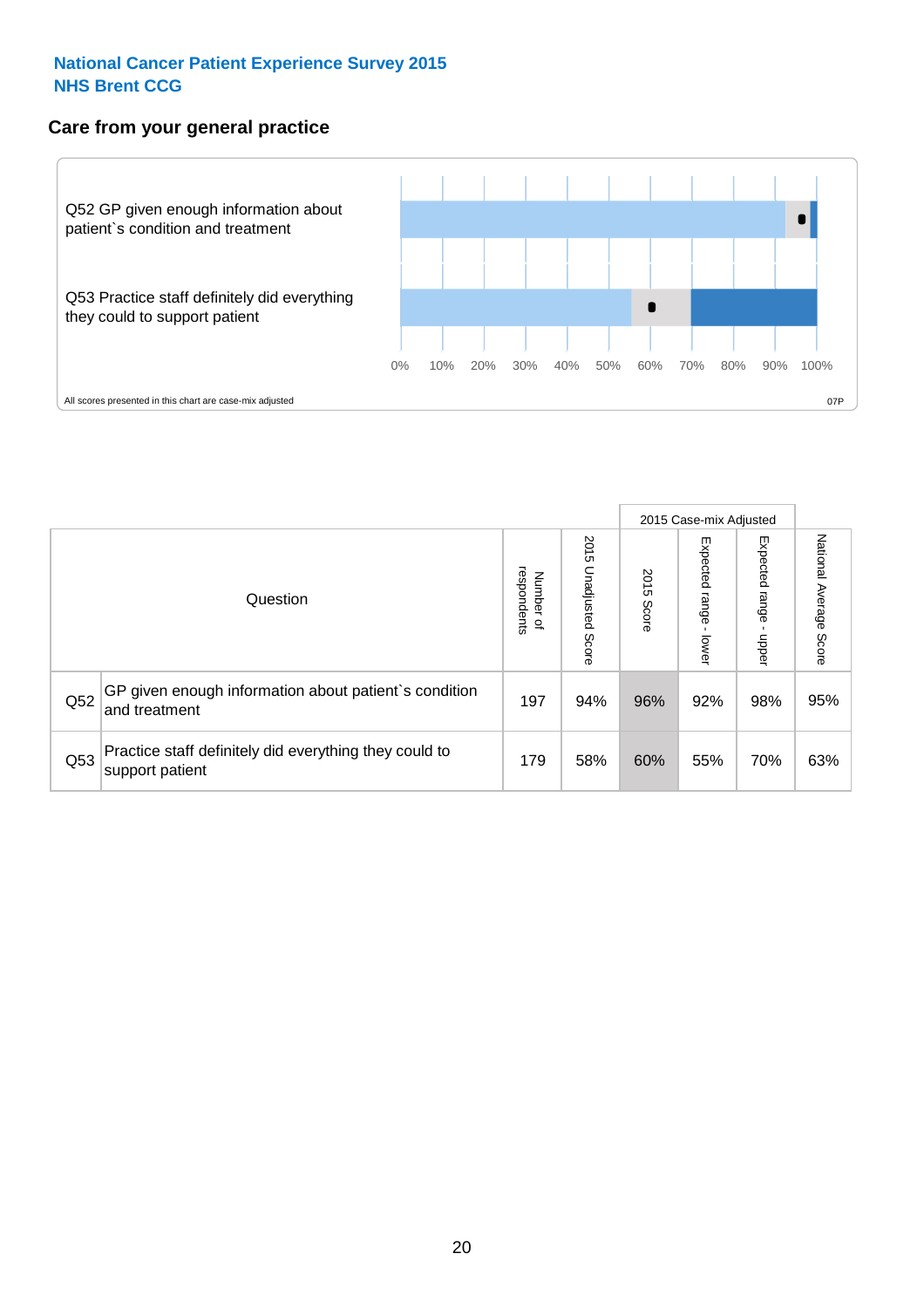## **Care from your general practice**



|     |                                                                           |                                       |                             |               |                                   | 2015 Case-mix Adjusted     |                           |
|-----|---------------------------------------------------------------------------|---------------------------------------|-----------------------------|---------------|-----------------------------------|----------------------------|---------------------------|
|     | Question                                                                  | respondents<br>Number<br>$\mathbf{Q}$ | 2015<br>Unadjusted<br>Score | 2015<br>Score | Expected<br><b>Lange</b><br>lower | Expected<br>range<br>doper | National Average<br>Score |
| Q52 | GP given enough information about patient's condition<br>and treatment    | 197                                   | 94%                         | 96%           | 92%                               | 98%                        | 95%                       |
| Q53 | Practice staff definitely did everything they could to<br>support patient | 179                                   | 58%                         | 60%           | 55%                               | 70%                        | 63%                       |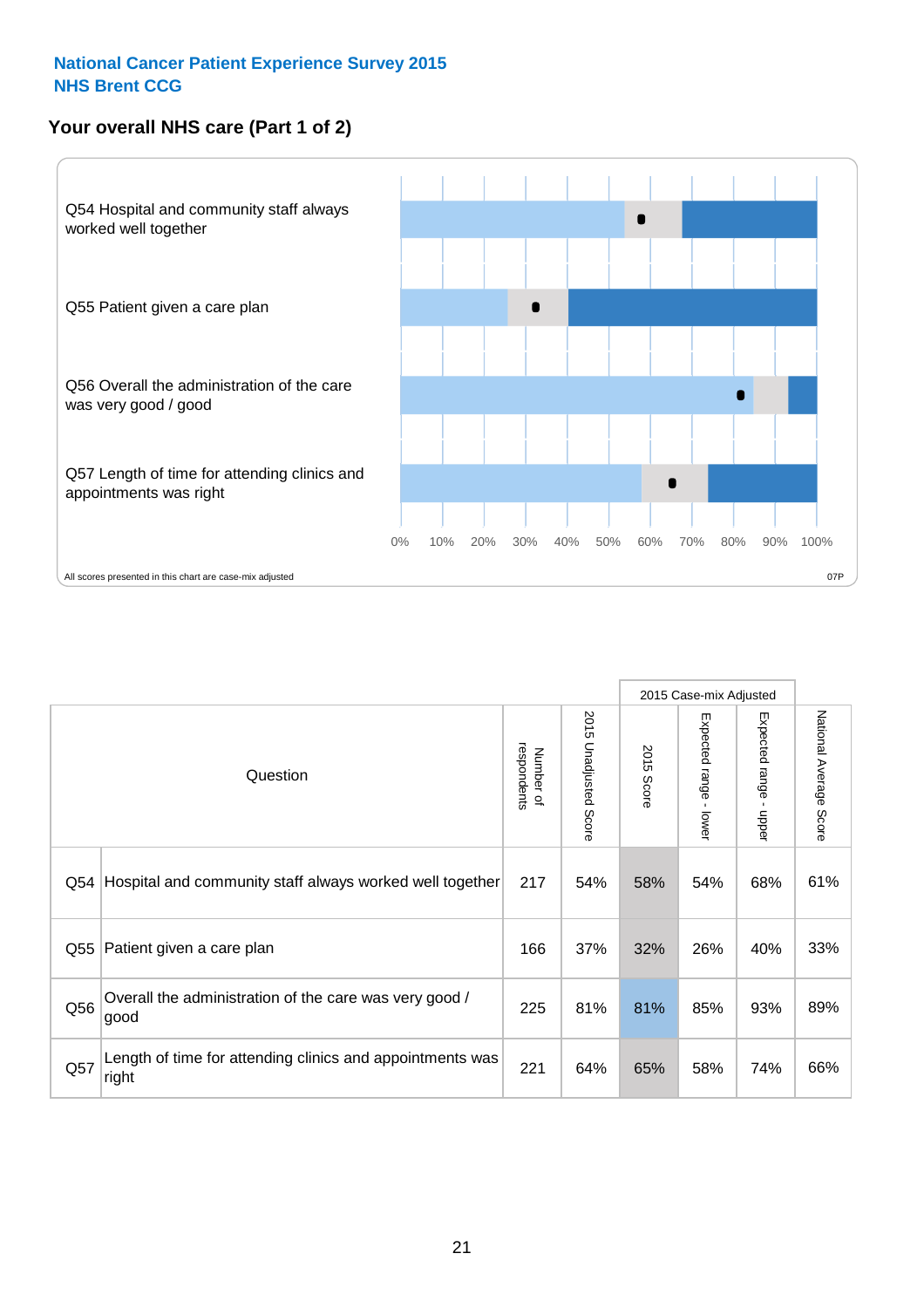# **Your overall NHS care (Part 1 of 2)**



|     |                                                                    |                          |                                 |               | 2015 Case-mix Adjusted                    |                                           |                        |
|-----|--------------------------------------------------------------------|--------------------------|---------------------------------|---------------|-------------------------------------------|-------------------------------------------|------------------------|
|     | Question                                                           | respondents<br>Number of | 2015<br><b>Unadjusted Score</b> | 2015<br>Score | Expected range<br>$\blacksquare$<br>lower | Expected range<br>$\blacksquare$<br>nbber | National Average Score |
| Q54 | Hospital and community staff always worked well together           | 217                      | 54%                             | 58%           | 54%                                       | 68%                                       | 61%                    |
| Q55 | Patient given a care plan                                          | 166                      | 37%                             | 32%           | 26%                                       | 40%                                       | 33%                    |
| Q56 | Overall the administration of the care was very good /<br>good     | 225                      | 81%                             | 81%           | 85%                                       | 93%                                       | 89%                    |
| Q57 | Length of time for attending clinics and appointments was<br>right | 221                      | 64%                             | 65%           | 58%                                       | 74%                                       | 66%                    |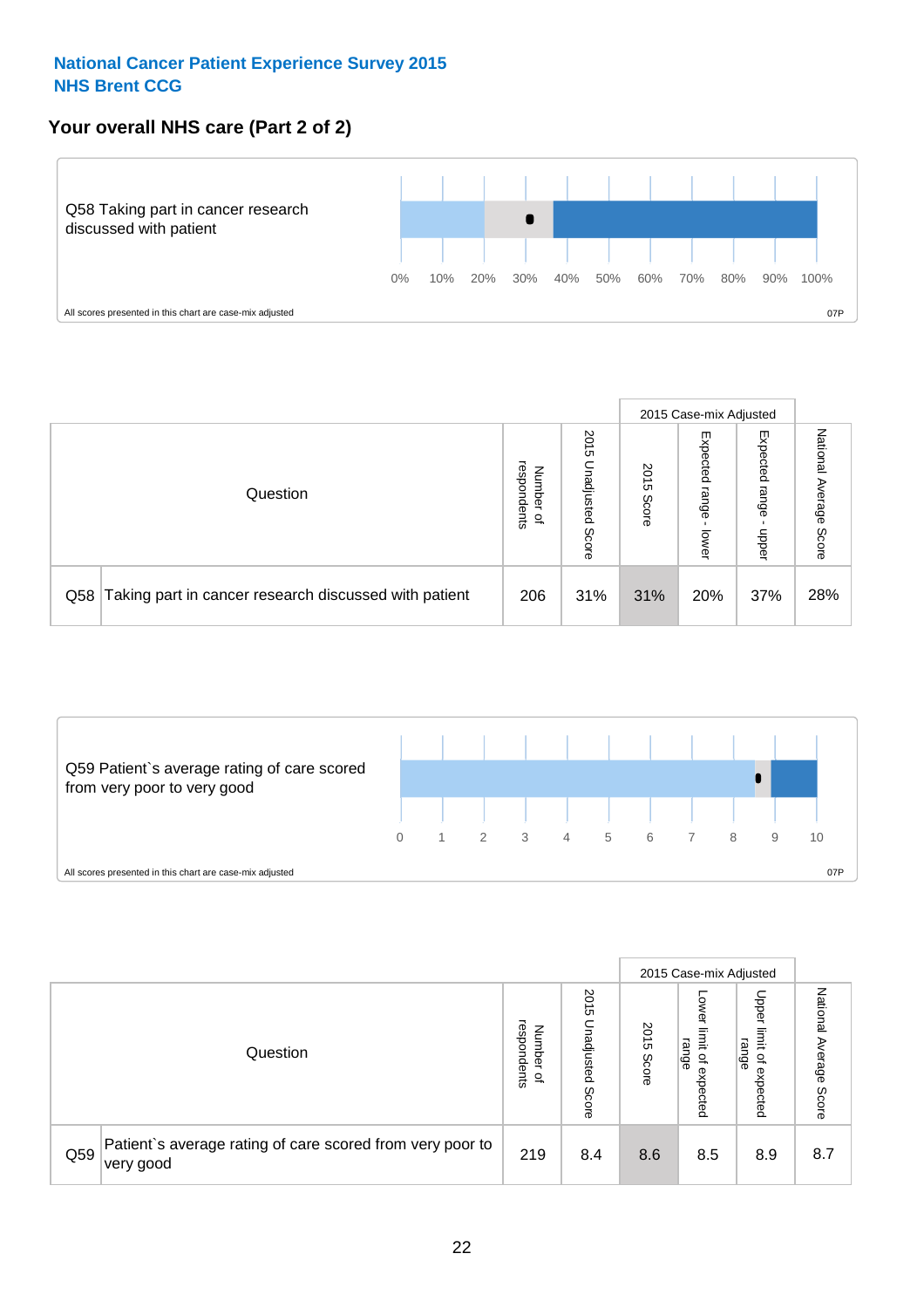# **Your overall NHS care (Part 2 of 2)**



|     |                                                       |                                   |                             |               | 2015 Case-mix Adjusted     |                            |                        |
|-----|-------------------------------------------------------|-----------------------------------|-----------------------------|---------------|----------------------------|----------------------------|------------------------|
|     | Question                                              | respondents<br>Number<br>$\Omega$ | 2015<br>Unadjusted<br>Score | 2015<br>Score | Expected<br>range<br>lower | Expected<br>range<br>nbber | National Average Score |
| Q58 | Taking part in cancer research discussed with patient | 206                               | 31%                         | 31%           | 20%                        | 37%                        | 28%                    |



|     |                                                                        |                                   |                             |               |                                                           | 2015 Case-mix Adjusted                                |                              |
|-----|------------------------------------------------------------------------|-----------------------------------|-----------------------------|---------------|-----------------------------------------------------------|-------------------------------------------------------|------------------------------|
|     | Question                                                               | respondents<br>Number<br>$\Omega$ | 2015<br>Jnadjusted<br>Score | 2015<br>Score | OWer<br>limit<br>range<br>$\overline{\sigma}$<br>expected | Upper<br>limit<br>range<br>$\overline{a}$<br>expected | National<br>Average<br>Score |
| Q59 | Patient's average rating of care scored from very poor to<br>very good | 219                               | 8.4                         | 8.6           | 8.5                                                       | 8.9                                                   | 8.7                          |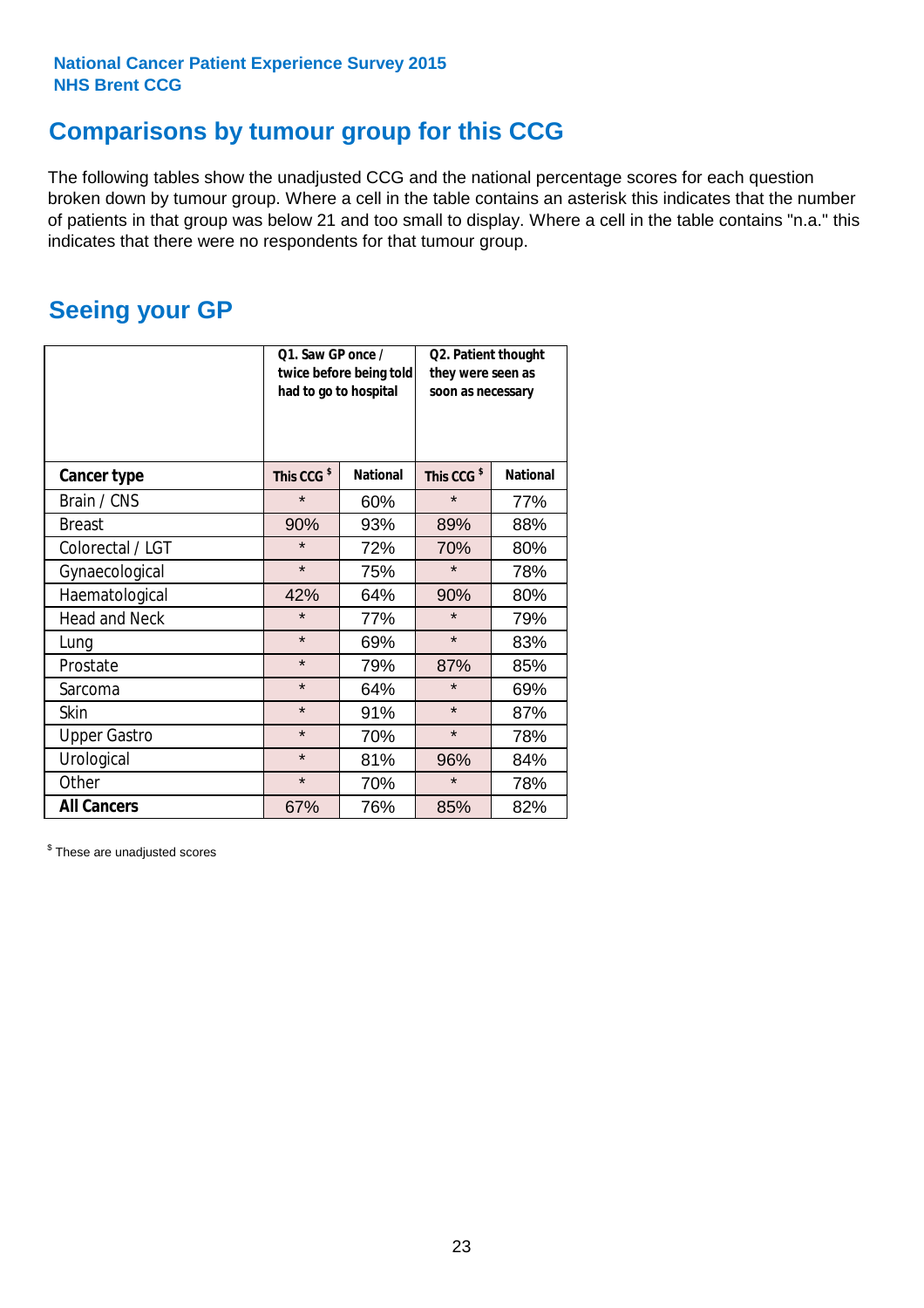# **Comparisons by tumour group for this CCG**

The following tables show the unadjusted CCG and the national percentage scores for each question broken down by tumour group. Where a cell in the table contains an asterisk this indicates that the number of patients in that group was below 21 and too small to display. Where a cell in the table contains "n.a." this indicates that there were no respondents for that tumour group.

# **Seeing your GP**

|                      | Q1. Saw GP once /<br>had to go to hospital | twice before being told | Q2. Patient thought<br>they were seen as<br>soon as necessary |                 |  |
|----------------------|--------------------------------------------|-------------------------|---------------------------------------------------------------|-----------------|--|
| <b>Cancer type</b>   | This CCG <sup>\$</sup>                     | <b>National</b>         | This CCG <sup>\$</sup>                                        | <b>National</b> |  |
| Brain / CNS          | $\star$                                    | 60%                     | $\star$                                                       | 77%             |  |
| <b>Breast</b>        | 90%                                        | 93%                     | 89%                                                           | 88%             |  |
| Colorectal / LGT     | $\star$                                    | 72%                     | 70%                                                           | 80%             |  |
| Gynaecological       | $\star$                                    | 75%                     | $\star$                                                       | 78%             |  |
| Haematological       | 42%                                        | 64%                     | 90%                                                           | 80%             |  |
| <b>Head and Neck</b> | $\star$                                    | 77%                     | $\star$                                                       | 79%             |  |
| Lung                 | $\star$                                    | 69%                     | $\star$                                                       | 83%             |  |
| Prostate             | $\star$                                    | 79%                     | 87%                                                           | 85%             |  |
| Sarcoma              | $\star$                                    | 64%                     | $\star$                                                       | 69%             |  |
| Skin                 | $\star$                                    | 91%                     | $\star$                                                       | 87%             |  |
| <b>Upper Gastro</b>  | $\star$                                    | 70%                     | $\star$                                                       | 78%             |  |
| Urological           | $\star$                                    | 81%                     | 96%                                                           | 84%             |  |
| Other                | $\star$                                    | 70%                     | $\star$                                                       | 78%             |  |
| <b>All Cancers</b>   | 67%                                        | 76%                     | 85%                                                           | 82%             |  |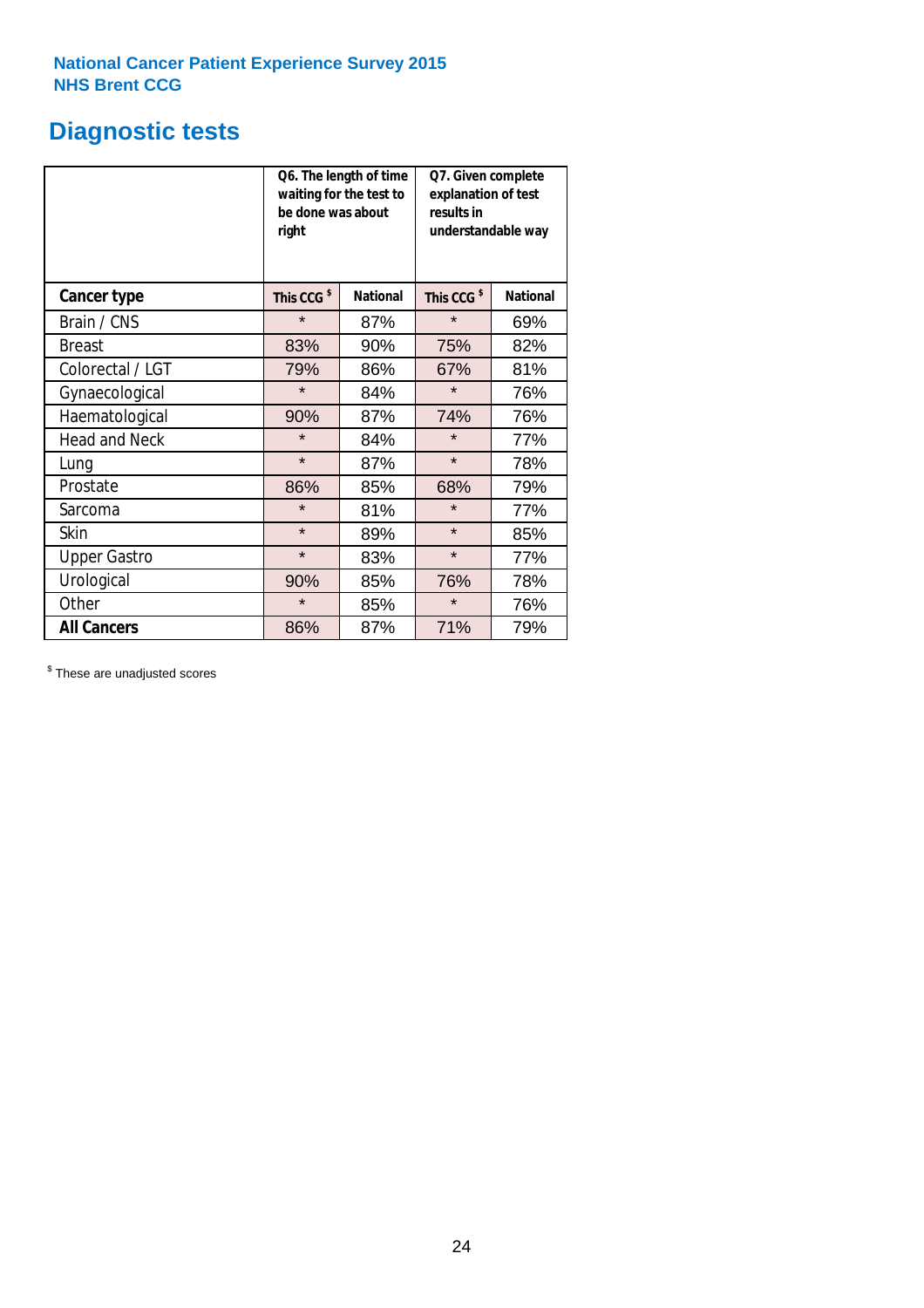# **Diagnostic tests**

|                      | be done was about<br>right | Q6. The length of time<br>waiting for the test to | Q7. Given complete<br>explanation of test<br>results in<br>understandable way |                 |  |
|----------------------|----------------------------|---------------------------------------------------|-------------------------------------------------------------------------------|-----------------|--|
| <b>Cancer type</b>   | This CCG <sup>\$</sup>     | <b>National</b>                                   | This CCG <sup>\$</sup>                                                        | <b>National</b> |  |
| Brain / CNS          | $\star$                    | 87%                                               | $\star$                                                                       | 69%             |  |
| <b>Breast</b>        | 83%                        | 90%                                               | 75%                                                                           | 82%             |  |
| Colorectal / LGT     | 79%                        | 86%                                               | 67%                                                                           | 81%             |  |
| Gynaecological       | $\star$                    | 84%                                               | $\star$                                                                       | 76%             |  |
| Haematological       | 90%                        | 87%                                               | 74%                                                                           | 76%             |  |
| <b>Head and Neck</b> | $\star$                    | 84%                                               | $\star$                                                                       | 77%             |  |
| Lung                 | $\star$                    | 87%                                               | $\star$                                                                       | 78%             |  |
| Prostate             | 86%                        | 85%                                               | 68%                                                                           | 79%             |  |
| Sarcoma              | $\star$                    | 81%                                               | $\star$                                                                       | 77%             |  |
| Skin                 | $\star$                    | 89%                                               | $\star$                                                                       | 85%             |  |
| <b>Upper Gastro</b>  | $\star$                    | 83%                                               | $\star$                                                                       | 77%             |  |
| Urological           | 90%                        | 85%                                               | 76%                                                                           | 78%             |  |
| Other                | $\star$                    | 85%                                               | $\star$                                                                       | 76%             |  |
| <b>All Cancers</b>   | 86%                        | 87%                                               | 71%                                                                           | 79%             |  |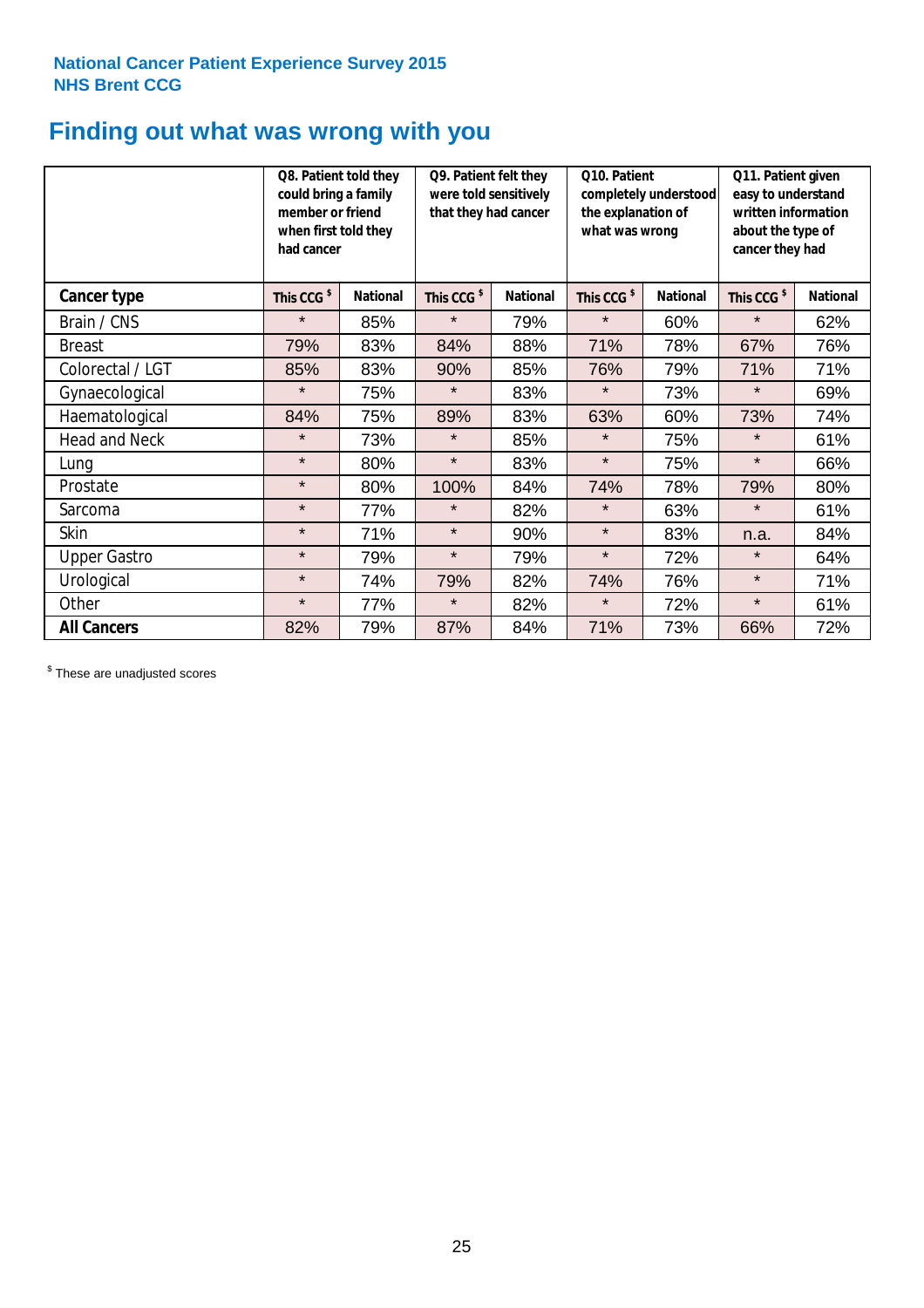# **Finding out what was wrong with you**

|                      | Q8. Patient told they<br>could bring a family<br>member or friend<br>when first told they<br>had cancer |                 | Q9. Patient felt they<br>were told sensitively<br>that they had cancer |                 | Q10. Patient<br>completely understood<br>the explanation of<br>what was wrong |                 | Q11. Patient given<br>easy to understand<br>written information<br>about the type of<br>cancer they had |                 |
|----------------------|---------------------------------------------------------------------------------------------------------|-----------------|------------------------------------------------------------------------|-----------------|-------------------------------------------------------------------------------|-----------------|---------------------------------------------------------------------------------------------------------|-----------------|
| <b>Cancer type</b>   | This CCG <sup>\$</sup>                                                                                  | <b>National</b> | This CCG <sup>\$</sup>                                                 | <b>National</b> | This CCG <sup>\$</sup>                                                        | <b>National</b> | This CCG <sup>\$</sup>                                                                                  | <b>National</b> |
| Brain / CNS          | $\star$                                                                                                 | 85%             | $\star$                                                                | 79%             | $\star$                                                                       | 60%             | $\star$                                                                                                 | 62%             |
| <b>Breast</b>        | 79%                                                                                                     | 83%             | 84%                                                                    | 88%             | 71%                                                                           | 78%             | 67%                                                                                                     | 76%             |
| Colorectal / LGT     | 85%                                                                                                     | 83%             | 90%                                                                    | 85%             | 76%                                                                           | 79%             | 71%                                                                                                     | 71%             |
| Gynaecological       | $\star$                                                                                                 | 75%             | $\star$                                                                | 83%             | $\star$                                                                       | 73%             | $\star$                                                                                                 | 69%             |
| Haematological       | 84%                                                                                                     | 75%             | 89%                                                                    | 83%             | 63%                                                                           | 60%             | 73%                                                                                                     | 74%             |
| <b>Head and Neck</b> | $\star$                                                                                                 | 73%             | $\star$                                                                | 85%             | $\star$                                                                       | 75%             | $\star$                                                                                                 | 61%             |
| Lung                 | $\star$                                                                                                 | 80%             | $\star$                                                                | 83%             | $\star$                                                                       | 75%             | $\star$                                                                                                 | 66%             |
| Prostate             | $\star$                                                                                                 | 80%             | 100%                                                                   | 84%             | 74%                                                                           | 78%             | 79%                                                                                                     | 80%             |
| Sarcoma              | $\star$                                                                                                 | 77%             | $\star$                                                                | 82%             | $\star$                                                                       | 63%             | $\star$                                                                                                 | 61%             |
| Skin                 | $\star$                                                                                                 | 71%             | $\star$                                                                | 90%             | $\star$                                                                       | 83%             | n.a.                                                                                                    | 84%             |
| <b>Upper Gastro</b>  | $\star$                                                                                                 | 79%             | $\star$                                                                | 79%             | $\star$                                                                       | 72%             | $\star$                                                                                                 | 64%             |
| Urological           | $\star$                                                                                                 | 74%             | 79%                                                                    | 82%             | 74%                                                                           | 76%             | $\star$                                                                                                 | 71%             |
| Other                | $\star$                                                                                                 | 77%             | $\star$                                                                | 82%             | $\star$                                                                       | 72%             | $\star$                                                                                                 | 61%             |
| <b>All Cancers</b>   | 82%                                                                                                     | 79%             | 87%                                                                    | 84%             | 71%                                                                           | 73%             | 66%                                                                                                     | 72%             |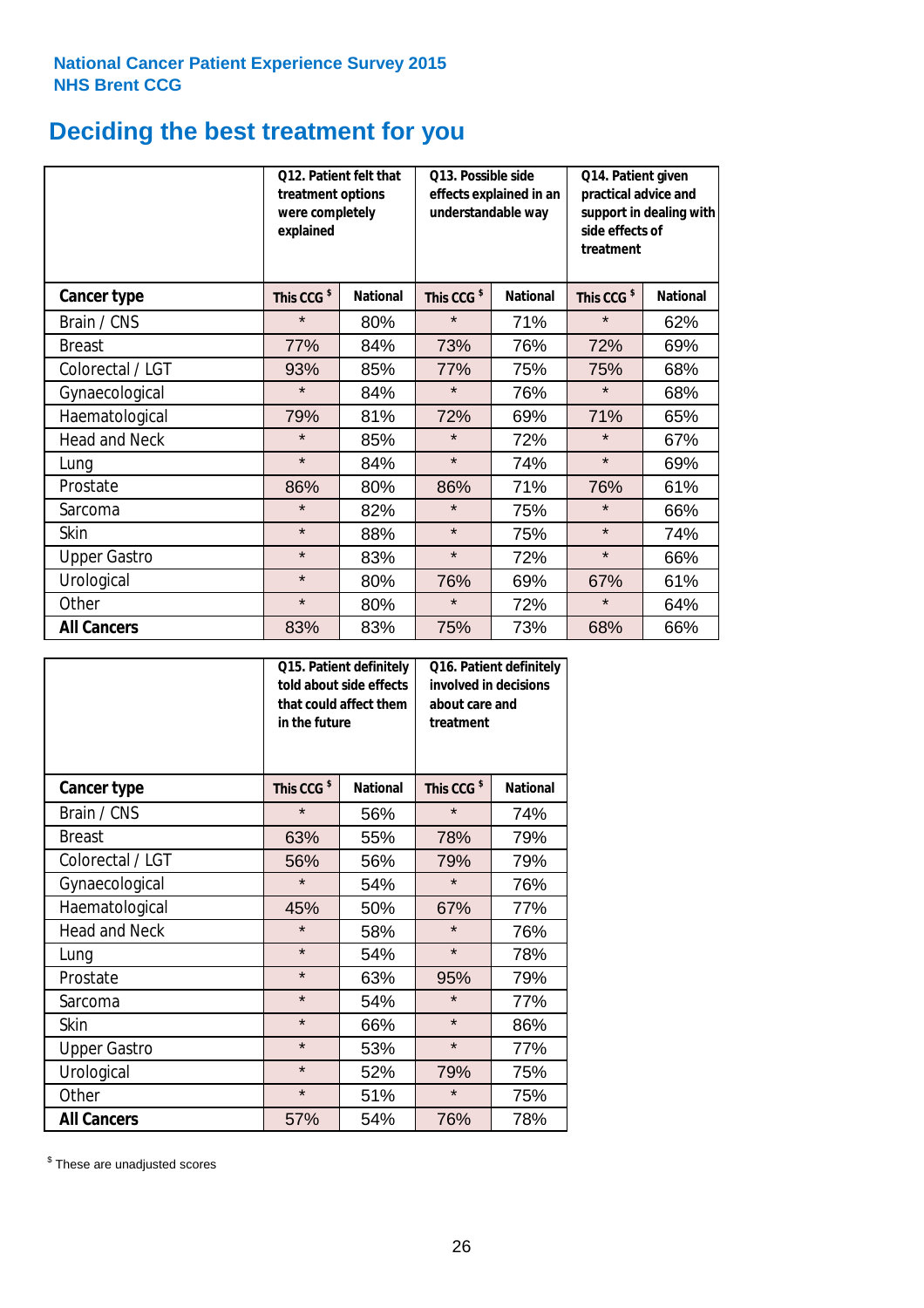# **Deciding the best treatment for you**

|                      | treatment options<br>were completely<br>explained | Q12. Patient felt that | Q13. Possible side<br>understandable way | effects explained in an | Q14. Patient given<br>practical advice and<br>support in dealing with<br>side effects of<br>treatment |                 |  |
|----------------------|---------------------------------------------------|------------------------|------------------------------------------|-------------------------|-------------------------------------------------------------------------------------------------------|-----------------|--|
| <b>Cancer type</b>   | This CCG <sup>\$</sup>                            | <b>National</b>        | This CCG <sup>\$</sup>                   | <b>National</b>         | This CCG <sup>\$</sup>                                                                                | <b>National</b> |  |
| Brain / CNS          | $\star$                                           | 80%                    | $\star$                                  | 71%                     | $\star$                                                                                               | 62%             |  |
| <b>Breast</b>        | 77%                                               | 84%                    | 73%                                      | 76%                     | 72%                                                                                                   | 69%             |  |
| Colorectal / LGT     | 93%                                               | 85%                    | 77%                                      | 75%                     | 75%                                                                                                   | 68%             |  |
| Gynaecological       | $\star$                                           | 84%                    | $\star$                                  | 76%                     | $\star$                                                                                               | 68%             |  |
| Haematological       | 79%                                               | 81%                    | 72%                                      | 69%                     | 71%                                                                                                   | 65%             |  |
| <b>Head and Neck</b> | $\star$                                           | 85%                    | $\star$                                  | 72%                     | $\star$                                                                                               | 67%             |  |
| Lung                 | $\star$                                           | 84%                    | $\star$                                  | 74%                     | $\star$                                                                                               | 69%             |  |
| Prostate             | 86%                                               | 80%                    | 86%                                      | 71%                     | 76%                                                                                                   | 61%             |  |
| Sarcoma              | $\star$                                           | 82%                    | $\star$                                  | 75%                     | $\star$                                                                                               | 66%             |  |
| Skin                 | $\star$                                           | 88%                    | $\star$                                  | 75%                     | $\star$                                                                                               | 74%             |  |
| <b>Upper Gastro</b>  | $\star$                                           | 83%                    | $\star$                                  | 72%                     | $\star$                                                                                               | 66%             |  |
| Urological           | $\star$                                           | 80%                    | 76%                                      | 69%                     | 67%                                                                                                   | 61%             |  |
| Other                | $\star$                                           | 80%                    | $\star$                                  | 72%                     | $\star$                                                                                               | 64%             |  |
| <b>All Cancers</b>   | 83%                                               | 83%                    | 75%                                      | 73%                     | 68%                                                                                                   | 66%             |  |

|                      | in the future          | Q15. Patient definitely<br>told about side effects<br>that could affect them | Q16. Patient definitely<br>involved in decisions<br>about care and<br>treatment |                 |  |
|----------------------|------------------------|------------------------------------------------------------------------------|---------------------------------------------------------------------------------|-----------------|--|
| <b>Cancer type</b>   | This CCG <sup>\$</sup> | <b>National</b>                                                              | This CCG <sup>\$</sup>                                                          | <b>National</b> |  |
| Brain / CNS          | $\star$                | 56%                                                                          | $\star$                                                                         | 74%             |  |
| <b>Breast</b>        | 63%                    | 55%                                                                          | 78%                                                                             | 79%             |  |
| Colorectal / LGT     | 56%                    | 56%                                                                          | 79%                                                                             | 79%             |  |
| Gynaecological       | $\star$                | 54%                                                                          | $\star$                                                                         | 76%             |  |
| Haematological       | 45%                    | 50%                                                                          |                                                                                 | 77%             |  |
| <b>Head and Neck</b> | $\star$                | 58%                                                                          | $\star$                                                                         | 76%             |  |
| Lung                 | $\star$                | 54%                                                                          | $\star$                                                                         | 78%             |  |
| Prostate             | $\star$                | 63%                                                                          | 95%                                                                             | 79%             |  |
| Sarcoma              | $\star$                | 54%                                                                          | $\star$                                                                         | 77%             |  |
| Skin                 | $\star$                | 66%                                                                          | $\star$                                                                         | 86%             |  |
| <b>Upper Gastro</b>  | $\star$                | 53%                                                                          | $\star$                                                                         | 77%             |  |
| Urological           | $\star$                | 52%                                                                          | 79%                                                                             | 75%             |  |
| Other                | $\star$                | 51%                                                                          | $\star$                                                                         | 75%             |  |
| <b>All Cancers</b>   | 57%                    | 54%                                                                          | 76%                                                                             | 78%             |  |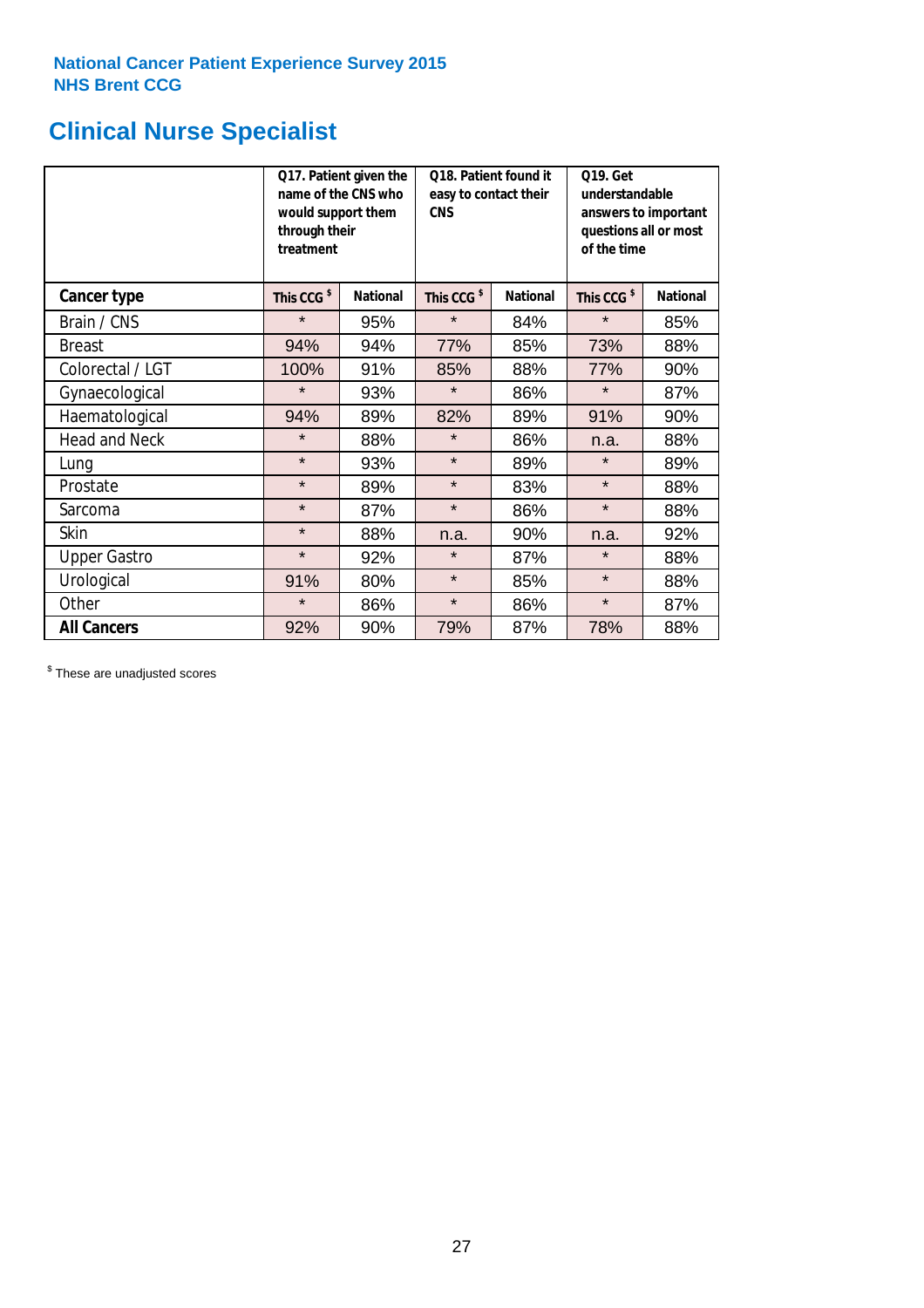# **Clinical Nurse Specialist**

|                      | would support them<br>through their<br>treatment | Q17. Patient given the<br>name of the CNS who | Q18. Patient found it<br>easy to contact their<br><b>CNS</b> |                 | <b>Q19. Get</b><br>understandable<br>answers to important<br>questions all or most<br>of the time |                 |  |
|----------------------|--------------------------------------------------|-----------------------------------------------|--------------------------------------------------------------|-----------------|---------------------------------------------------------------------------------------------------|-----------------|--|
| <b>Cancer type</b>   | This CCG <sup>\$</sup>                           | <b>National</b>                               | This CCG <sup>\$</sup>                                       | <b>National</b> | This CCG <sup>\$</sup>                                                                            | <b>National</b> |  |
| Brain / CNS          | $\star$                                          | 95%                                           | $\star$                                                      | 84%             | $\star$                                                                                           | 85%             |  |
| <b>Breast</b>        | 94%                                              | 94%                                           | 77%                                                          | 85%             | 73%                                                                                               | 88%             |  |
| Colorectal / LGT     | 100%                                             | 91%                                           | 85%                                                          | 88%             | 77%                                                                                               | 90%             |  |
| Gynaecological       | $\star$                                          | 93%                                           | $\star$                                                      | 86%             | $\star$                                                                                           | 87%             |  |
| Haematological       | 94%                                              | 89%                                           | 82%                                                          | 89%             | 91%                                                                                               | 90%             |  |
| <b>Head and Neck</b> | $\star$                                          | 88%                                           | $\star$                                                      | 86%             | n.a.                                                                                              | 88%             |  |
| Lung                 | $\star$                                          | 93%                                           | $\star$                                                      | 89%             | $\star$                                                                                           | 89%             |  |
| Prostate             | $\star$                                          | 89%                                           | $\star$                                                      | 83%             | $\star$                                                                                           | 88%             |  |
| Sarcoma              | $\star$                                          | 87%                                           | $\star$                                                      | 86%             | $\star$                                                                                           | 88%             |  |
| Skin                 | $\star$                                          | 88%                                           | n.a.                                                         | 90%             | n.a.                                                                                              | 92%             |  |
| <b>Upper Gastro</b>  | $\star$                                          | 92%                                           | $\star$                                                      | 87%             | $\star$                                                                                           | 88%             |  |
| Urological           | 91%                                              | 80%                                           | $\star$                                                      | 85%             | $\star$                                                                                           | 88%             |  |
| Other                | $\star$                                          | 86%                                           | $\star$                                                      | 86%             | $\star$                                                                                           | 87%             |  |
| <b>All Cancers</b>   | 92%                                              | 90%                                           | 79%                                                          | 87%             | 78%                                                                                               | 88%             |  |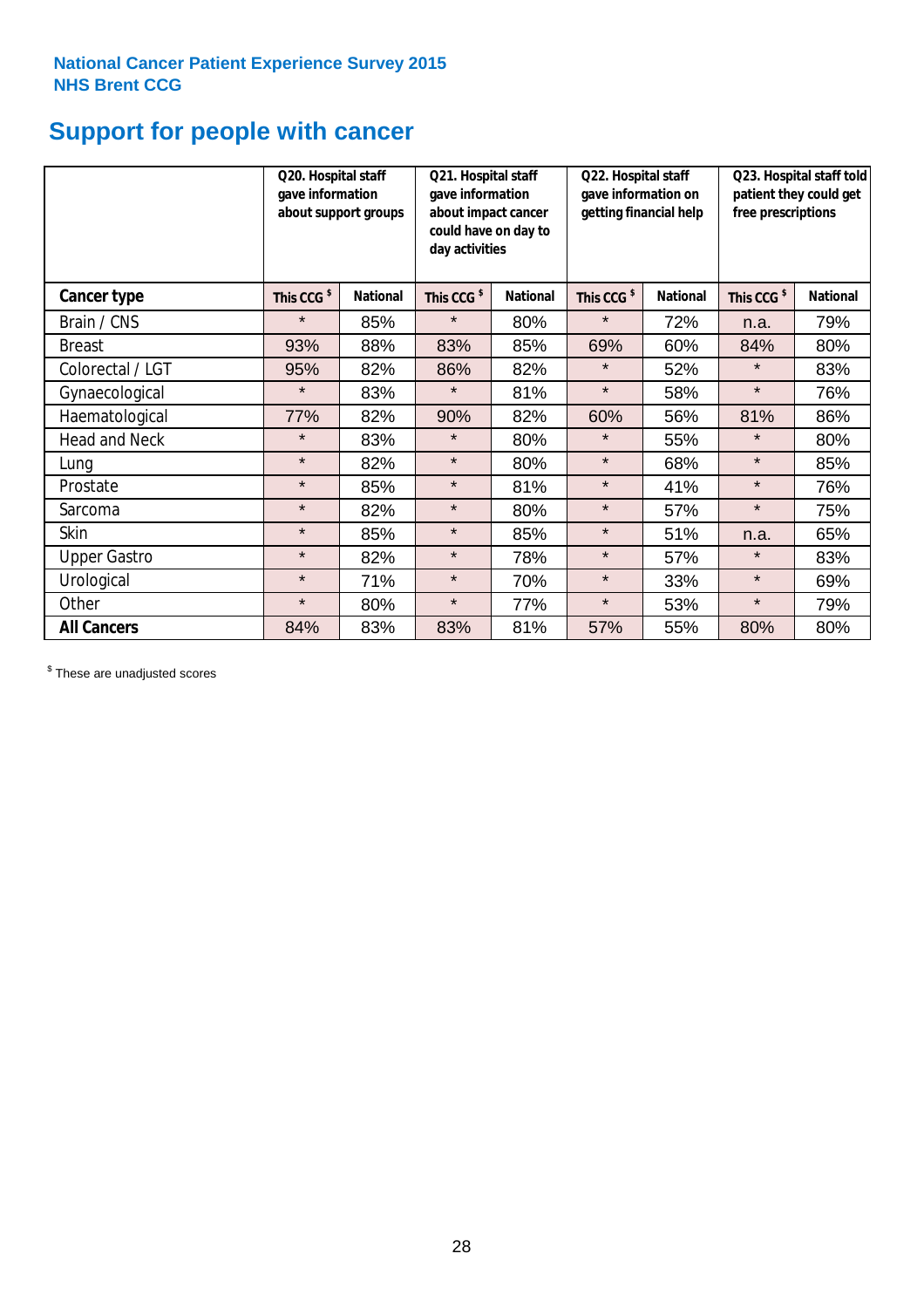# **Support for people with cancer**

|                      | Q20. Hospital staff<br>gave information | about support groups | Q21. Hospital staff<br>gave information<br>about impact cancer<br>could have on day to<br>day activities |                 | Q22. Hospital staff<br>gave information on<br>getting financial help |                 | Q23. Hospital staff told<br>patient they could get<br>free prescriptions |                 |
|----------------------|-----------------------------------------|----------------------|----------------------------------------------------------------------------------------------------------|-----------------|----------------------------------------------------------------------|-----------------|--------------------------------------------------------------------------|-----------------|
| <b>Cancer type</b>   | This CCG <sup>\$</sup>                  | <b>National</b>      | This CCG <sup>\$</sup>                                                                                   | <b>National</b> | This CCG <sup>\$</sup>                                               | <b>National</b> | This CCG <sup>\$</sup>                                                   | <b>National</b> |
| Brain / CNS          | $\star$                                 | 85%                  | $\star$                                                                                                  | 80%             | $\star$                                                              | 72%             | n.a.                                                                     | 79%             |
| <b>Breast</b>        | 93%                                     | 88%                  | 83%                                                                                                      | 85%             | 69%                                                                  | 60%             | 84%                                                                      | 80%             |
| Colorectal / LGT     | 95%                                     | 82%                  | 86%                                                                                                      | 82%             | $\star$                                                              | 52%             | $\star$                                                                  | 83%             |
| Gynaecological       | $\star$                                 | 83%                  | $\star$                                                                                                  | 81%             | $\star$                                                              | 58%             | $\star$                                                                  | 76%             |
| Haematological       | 77%                                     | 82%                  | 90%                                                                                                      | 82%             | 60%                                                                  | 56%             | 81%                                                                      | 86%             |
| <b>Head and Neck</b> | $\star$                                 | 83%                  | $\star$                                                                                                  | 80%             | $^\star$                                                             | 55%             | $\star$                                                                  | 80%             |
| Lung                 | $\star$                                 | 82%                  | $\star$                                                                                                  | 80%             | $\star$                                                              | 68%             | $\star$                                                                  | 85%             |
| Prostate             | $\star$                                 | 85%                  | $\star$                                                                                                  | 81%             | $\star$                                                              | 41%             | $\star$                                                                  | 76%             |
| Sarcoma              | $\star$                                 | 82%                  | $\star$                                                                                                  | 80%             | $\star$                                                              | 57%             | $\star$                                                                  | 75%             |
| Skin                 | $\star$                                 | 85%                  | $\star$                                                                                                  | 85%             | $\star$                                                              | 51%             | n.a.                                                                     | 65%             |
| <b>Upper Gastro</b>  | $\star$                                 | 82%                  | $\star$                                                                                                  | 78%             | $\star$                                                              | 57%             | $\star$                                                                  | 83%             |
| Urological           | $\star$                                 | 71%                  | $\star$                                                                                                  | 70%             | $\star$                                                              | 33%             | $\star$                                                                  | 69%             |
| Other                | $\star$                                 | 80%                  | $\star$                                                                                                  | 77%             | $\star$                                                              | 53%             | $\star$                                                                  | 79%             |
| <b>All Cancers</b>   | 84%                                     | 83%                  | 83%                                                                                                      | 81%             | 57%                                                                  | 55%             | 80%                                                                      | 80%             |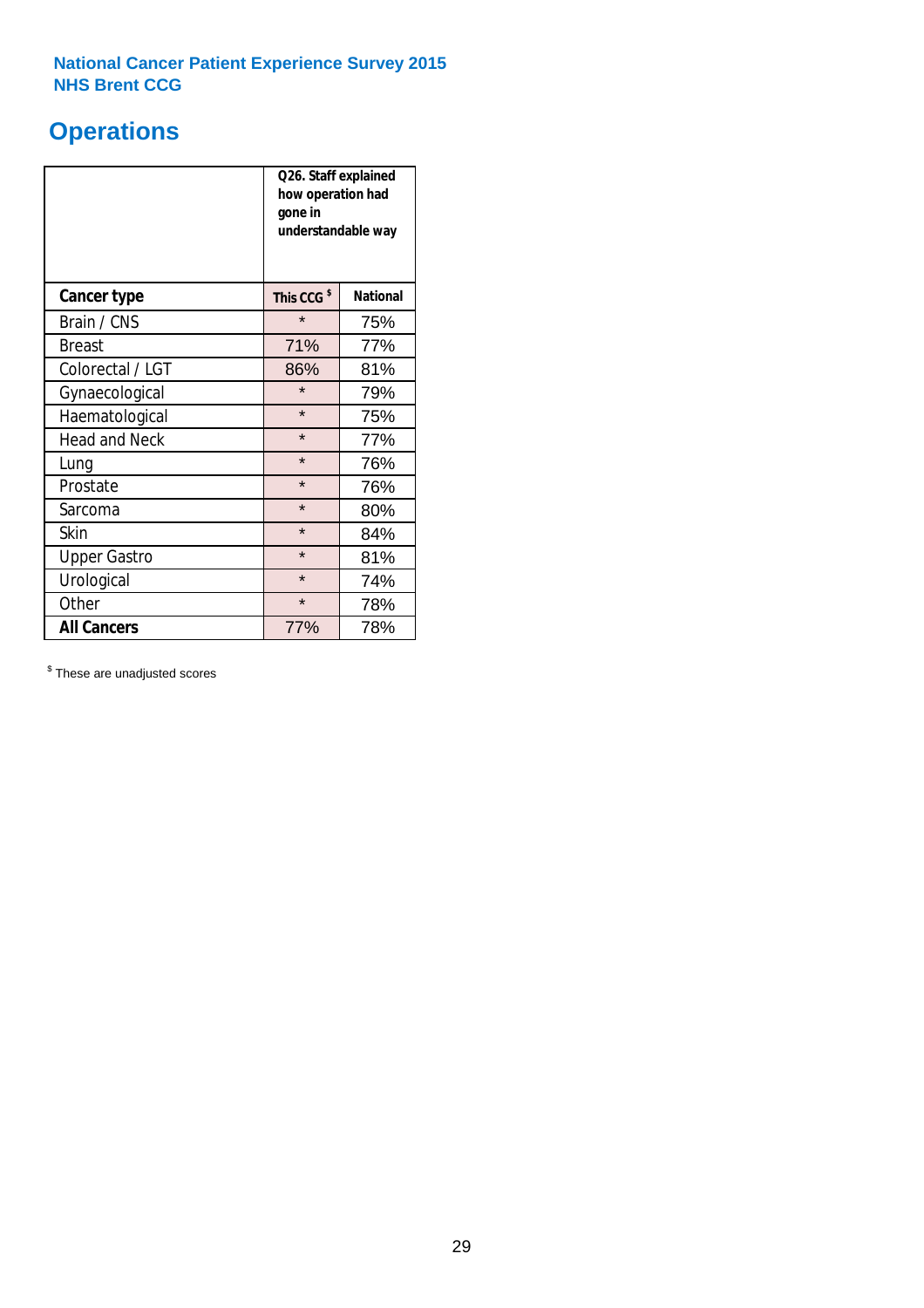# **Operations**

|                      | Q26. Staff explained<br>how operation had<br>gone in<br>understandable way |                 |  |  |
|----------------------|----------------------------------------------------------------------------|-----------------|--|--|
| <b>Cancer type</b>   | This CCG <sup>\$</sup>                                                     | <b>National</b> |  |  |
| Brain / CNS          | $\star$                                                                    | 75%             |  |  |
| <b>Breast</b>        | 71%                                                                        | 77%             |  |  |
| Colorectal / LGT     | 86%                                                                        | 81%             |  |  |
| Gynaecological       | $\star$                                                                    | 79%             |  |  |
| Haematological       | $\star$                                                                    | 75%             |  |  |
| <b>Head and Neck</b> | $\star$                                                                    | 77%             |  |  |
| Lung                 | $\star$                                                                    | 76%             |  |  |
| Prostate             | $\star$                                                                    | 76%             |  |  |
| Sarcoma              | $\star$                                                                    | 80%             |  |  |
| Skin                 | $\star$                                                                    | 84%             |  |  |
| <b>Upper Gastro</b>  | $\star$                                                                    | 81%             |  |  |
| Urological           | $\star$                                                                    | 74%             |  |  |
| Other                | $\star$<br>78%                                                             |                 |  |  |
| <b>All Cancers</b>   | 77%                                                                        | 78%             |  |  |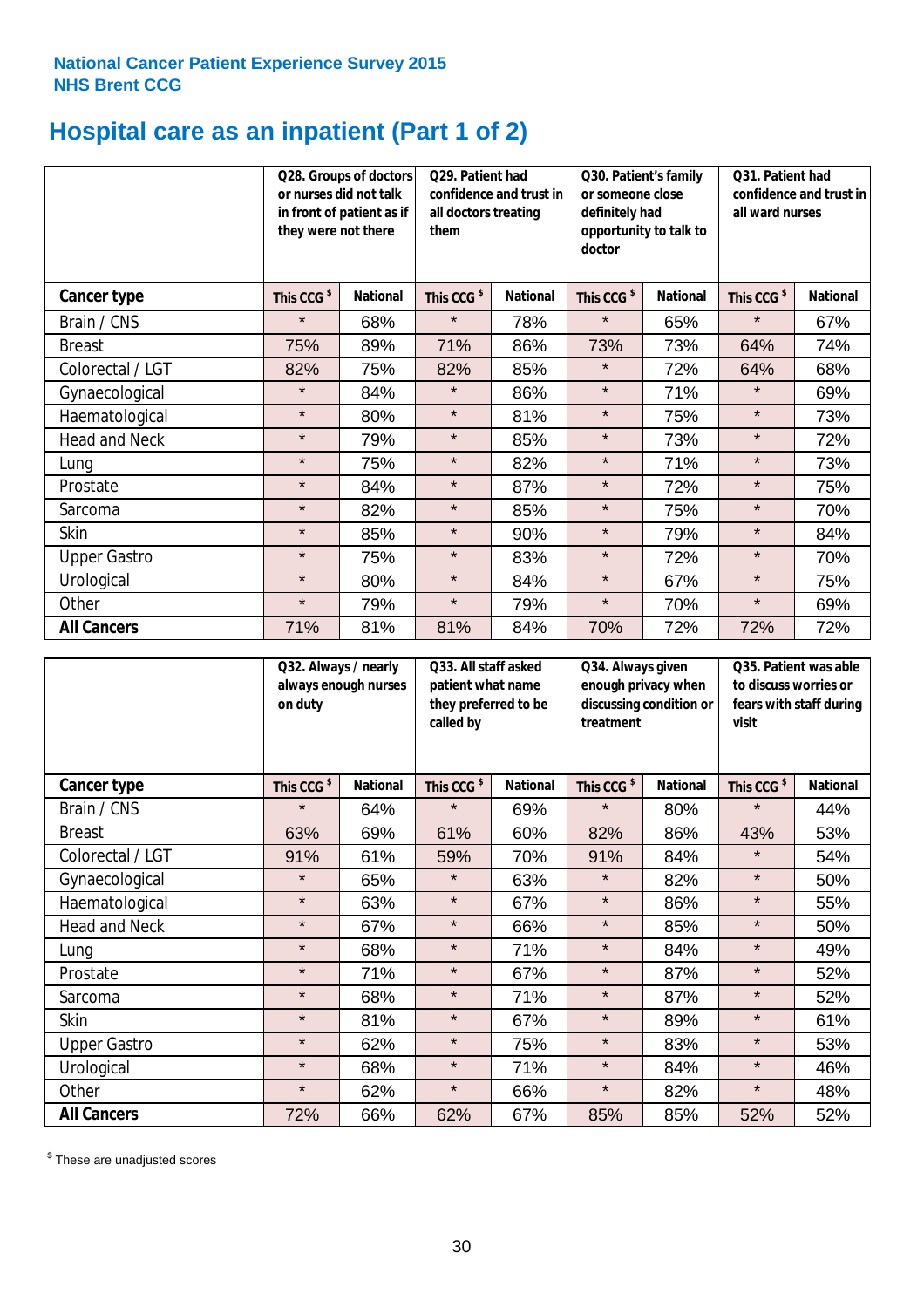# **Hospital care as an inpatient (Part 1 of 2)**

|                      | or nurses did not talk<br>they were not there | Q28. Groups of doctors<br>in front of patient as if | Q29. Patient had<br>confidence and trust in<br>all doctors treating<br>them |                 | Q30. Patient's family<br>or someone close<br>definitely had<br>opportunity to talk to<br>doctor |                 | Q31. Patient had<br>confidence and trust in I<br>all ward nurses |                 |
|----------------------|-----------------------------------------------|-----------------------------------------------------|-----------------------------------------------------------------------------|-----------------|-------------------------------------------------------------------------------------------------|-----------------|------------------------------------------------------------------|-----------------|
| Cancer type          | This CCG <sup>\$</sup>                        | <b>National</b>                                     | This CCG <sup>\$</sup>                                                      | <b>National</b> | This CCG <sup>\$</sup>                                                                          | <b>National</b> | This CCG <sup>\$</sup>                                           | <b>National</b> |
| Brain / CNS          | $\star$                                       | 68%                                                 | $\star$                                                                     | 78%             | $\star$                                                                                         | 65%             | $\star$                                                          | 67%             |
| <b>Breast</b>        | 75%                                           | 89%                                                 | 71%                                                                         | 86%             | 73%                                                                                             | 73%             | 64%                                                              | 74%             |
| Colorectal / LGT     | 82%                                           | 75%                                                 | 82%                                                                         | 85%             | $\star$                                                                                         | 72%             | 64%                                                              | 68%             |
| Gynaecological       | $\star$                                       | 84%                                                 | $\star$                                                                     | 86%             | $\star$                                                                                         | 71%             | $\star$                                                          | 69%             |
| Haematological       | $\star$                                       | 80%                                                 | $\star$                                                                     | 81%             | $\star$                                                                                         | 75%             | $\star$                                                          | 73%             |
| <b>Head and Neck</b> | $\star$                                       | 79%                                                 | $\star$                                                                     | 85%             | $\star$                                                                                         | 73%             | $\star$                                                          | 72%             |
| Lung                 | $\star$                                       | 75%                                                 | $\star$                                                                     | 82%             | $\star$                                                                                         | 71%             | $\star$                                                          | 73%             |
| Prostate             | $\star$                                       | 84%                                                 | $\star$                                                                     | 87%             | $\star$                                                                                         | 72%             | $\star$                                                          | 75%             |
| Sarcoma              | $\star$                                       | 82%                                                 | $\star$                                                                     | 85%             | $\star$                                                                                         | 75%             | $\star$                                                          | 70%             |
| Skin                 | $\star$                                       | 85%                                                 | $\star$                                                                     | 90%             | $\star$                                                                                         | 79%             | $\star$                                                          | 84%             |
| <b>Upper Gastro</b>  | $\star$                                       | 75%                                                 | $\star$                                                                     | 83%             | $\star$                                                                                         | 72%             | $\star$                                                          | 70%             |
| Urological           | $\star$                                       | 80%                                                 | $\star$                                                                     | 84%             | $\star$                                                                                         | 67%             | $\star$                                                          | 75%             |
| Other                | $\star$                                       | 79%                                                 | $\star$                                                                     | 79%             | $\star$                                                                                         | 70%             | $\star$                                                          | 69%             |
| <b>All Cancers</b>   | 71%                                           | 81%                                                 | 81%                                                                         | 84%             | 70%                                                                                             | 72%             | 72%                                                              | 72%             |

|                      | Q32. Always / nearly<br>on duty | always enough nurses | Q33. All staff asked<br>patient what name<br>they preferred to be<br>called by |                 | Q34. Always given<br>treatment | enough privacy when<br>discussing condition or | Q35. Patient was able<br>to discuss worries or<br>fears with staff during<br>visit |                 |
|----------------------|---------------------------------|----------------------|--------------------------------------------------------------------------------|-----------------|--------------------------------|------------------------------------------------|------------------------------------------------------------------------------------|-----------------|
| <b>Cancer type</b>   | This CCG <sup>\$</sup>          | <b>National</b>      | This CCG <sup>\$</sup>                                                         | <b>National</b> | This CCG <sup>\$</sup>         | <b>National</b>                                | This CCG <sup>\$</sup>                                                             | <b>National</b> |
| Brain / CNS          | $\star$                         | 64%                  | $\star$                                                                        | 69%             | $\star$                        | 80%                                            | $\star$                                                                            | 44%             |
| <b>Breast</b>        | 63%                             | 69%                  | 61%                                                                            | 60%             | 82%                            | 86%                                            | 43%                                                                                | 53%             |
| Colorectal / LGT     | 91%                             | 61%                  | 59%                                                                            | 70%             | 91%                            | 84%                                            | $\star$                                                                            | 54%             |
| Gynaecological       | $\star$                         | 65%                  | $\star$                                                                        | 63%             | $\star$                        | 82%                                            | $\star$                                                                            | 50%             |
| Haematological       | $\star$                         | 63%                  | $\star$                                                                        | 67%             | $\star$                        | 86%                                            | $\star$                                                                            | 55%             |
| <b>Head and Neck</b> | $\star$                         | 67%                  | $\star$                                                                        | 66%             | $\star$                        | 85%                                            | $\star$                                                                            | 50%             |
| Lung                 | $\star$                         | 68%                  | $\star$                                                                        | 71%             | $\star$                        | 84%                                            | $\star$                                                                            | 49%             |
| Prostate             | $\star$                         | 71%                  | $\star$                                                                        | 67%             | $\star$                        | 87%                                            | $\star$                                                                            | 52%             |
| Sarcoma              | $\star$                         | 68%                  | $\star$                                                                        | 71%             | $\star$                        | 87%                                            | $\star$                                                                            | 52%             |
| Skin                 | $\star$                         | 81%                  | $\star$                                                                        | 67%             | $\star$                        | 89%                                            | $\star$                                                                            | 61%             |
| <b>Upper Gastro</b>  | $\star$                         | 62%                  | $\star$                                                                        | 75%             | $\star$                        | 83%                                            | $\star$                                                                            | 53%             |
| Urological           | $\star$                         | 68%                  | $\star$                                                                        | 71%             | $\star$                        | 84%                                            | $\star$                                                                            | 46%             |
| Other                | $\star$                         | 62%                  | $\star$                                                                        | 66%             | $\star$                        | 82%                                            | $\star$                                                                            | 48%             |
| <b>All Cancers</b>   | 72%                             | 66%                  | 62%                                                                            | 67%             | 85%                            | 85%                                            | 52%                                                                                | 52%             |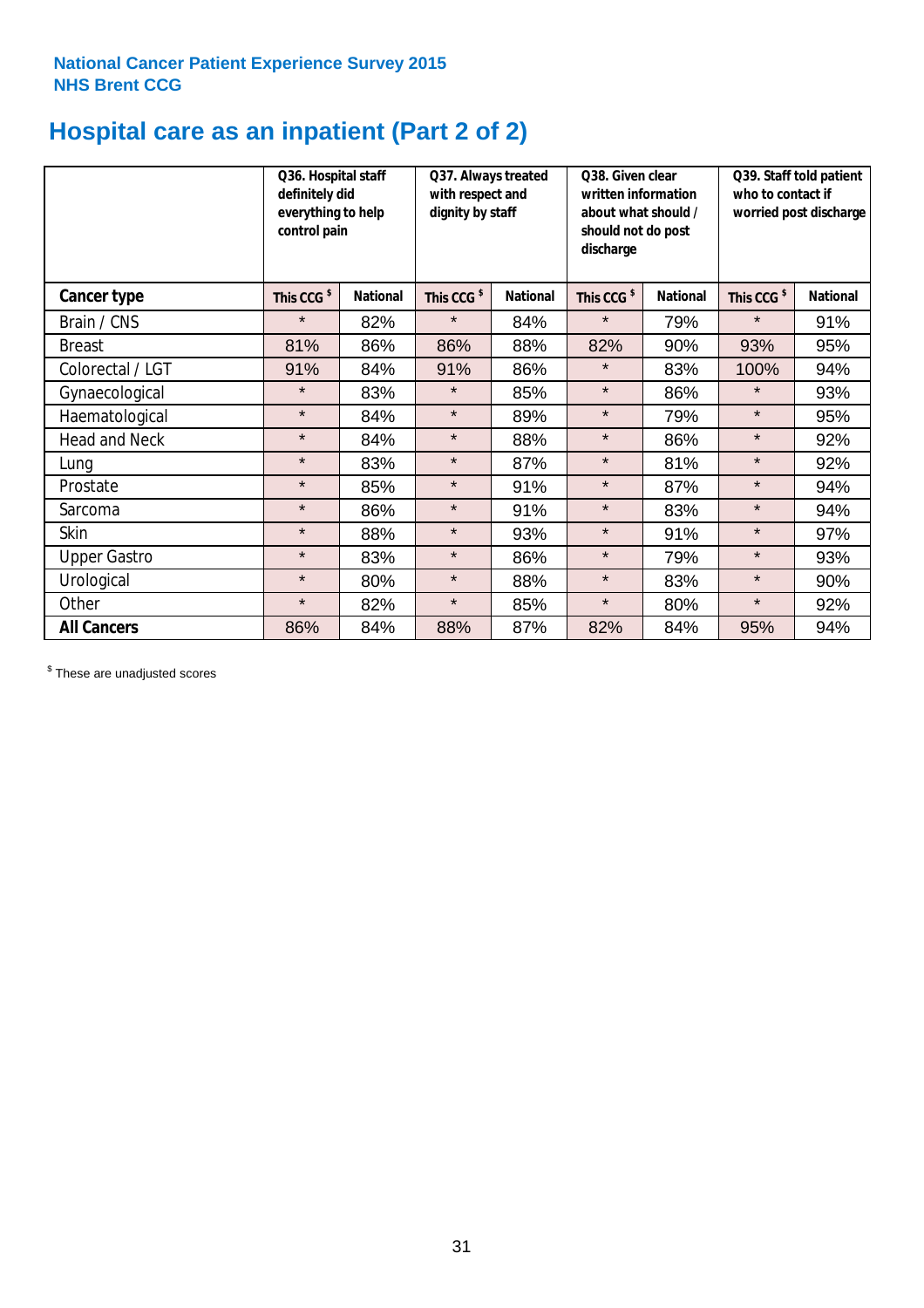# **Hospital care as an inpatient (Part 2 of 2)**

|                      | Q36. Hospital staff<br>definitely did<br>everything to help<br>control pain |                 | Q37. Always treated<br>with respect and<br>dignity by staff |                 | Q38. Given clear<br>written information<br>about what should /<br>should not do post<br>discharge |                 | Q39. Staff told patient<br>who to contact if<br>worried post discharge |                 |
|----------------------|-----------------------------------------------------------------------------|-----------------|-------------------------------------------------------------|-----------------|---------------------------------------------------------------------------------------------------|-----------------|------------------------------------------------------------------------|-----------------|
| Cancer type          | This CCG <sup>\$</sup>                                                      | <b>National</b> | This CCG <sup>\$</sup>                                      | <b>National</b> | This CCG <sup>\$</sup>                                                                            | <b>National</b> | This CCG <sup>\$</sup>                                                 | <b>National</b> |
| Brain / CNS          | $\star$                                                                     | 82%             | $\star$                                                     | 84%             | $\star$                                                                                           | 79%             | $\star$                                                                | 91%             |
| <b>Breast</b>        | 81%                                                                         | 86%             | 86%                                                         | 88%             | 82%                                                                                               | 90%             | 93%                                                                    | 95%             |
| Colorectal / LGT     | 91%                                                                         | 84%             | 91%                                                         | 86%             | $\star$                                                                                           | 83%             | 100%                                                                   | 94%             |
| Gynaecological       | $\star$                                                                     | 83%             | $\star$                                                     | 85%             | $\star$                                                                                           | 86%             | $\star$                                                                | 93%             |
| Haematological       | $\star$                                                                     | 84%             | $\star$                                                     | 89%             | $\star$                                                                                           | 79%             | $\star$                                                                | 95%             |
| <b>Head and Neck</b> | $\star$                                                                     | 84%             | $\star$                                                     | 88%             | $\star$                                                                                           | 86%             | $\star$                                                                | 92%             |
| Lung                 | $\star$                                                                     | 83%             | $\star$                                                     | 87%             | $\star$                                                                                           | 81%             | $\star$                                                                | 92%             |
| Prostate             | $\star$                                                                     | 85%             | $\star$                                                     | 91%             | $\star$                                                                                           | 87%             | $\star$                                                                | 94%             |
| Sarcoma              | $\star$                                                                     | 86%             | $\star$                                                     | 91%             | $\star$                                                                                           | 83%             | $\star$                                                                | 94%             |
| Skin                 | $\star$                                                                     | 88%             | $\star$                                                     | 93%             | $\star$                                                                                           | 91%             | $\star$                                                                | 97%             |
| <b>Upper Gastro</b>  | $\star$                                                                     | 83%             | $\star$                                                     | 86%             | $\star$                                                                                           | 79%             | $\star$                                                                | 93%             |
| Urological           | $\star$                                                                     | 80%             | $\star$                                                     | 88%             | $\star$                                                                                           | 83%             | $\star$                                                                | 90%             |
| Other                | $\star$                                                                     | 82%             | $\star$                                                     | 85%             | $\star$                                                                                           | 80%             | $\star$                                                                | 92%             |
| <b>All Cancers</b>   | 86%                                                                         | 84%             | 88%                                                         | 87%             | 82%                                                                                               | 84%             | 95%                                                                    | 94%             |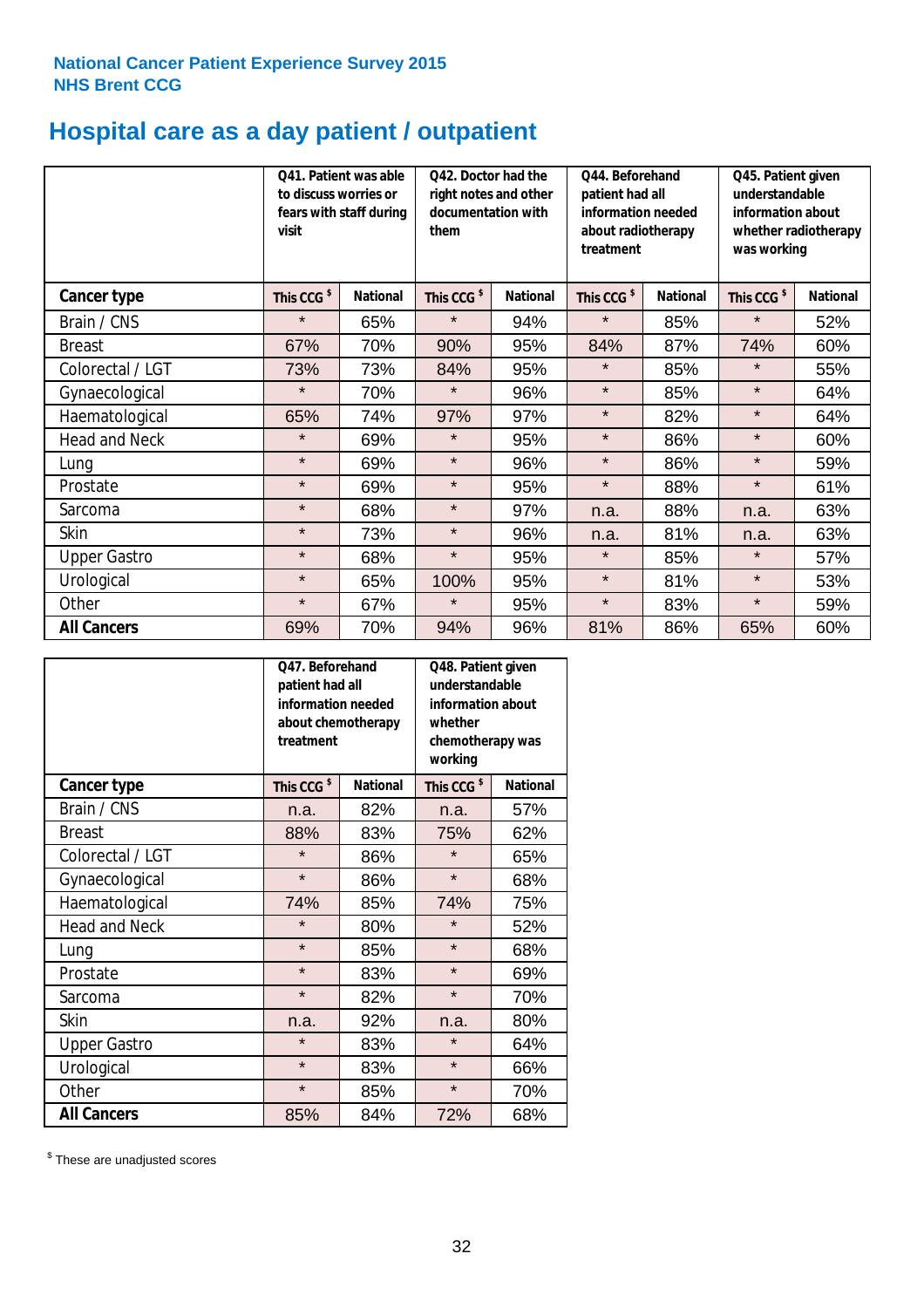# **Hospital care as a day patient / outpatient**

|                      | to discuss worries or<br>visit | Q41. Patient was able<br>fears with staff during | 042. Doctor had the<br>right notes and other<br>documentation with<br>them |                 | Q44. Beforehand<br>patient had all<br>information needed<br>about radiotherapy<br>treatment |                 | Q45. Patient given<br>understandable<br>information about<br>whether radiotherapy<br>was working |                 |
|----------------------|--------------------------------|--------------------------------------------------|----------------------------------------------------------------------------|-----------------|---------------------------------------------------------------------------------------------|-----------------|--------------------------------------------------------------------------------------------------|-----------------|
| Cancer type          | This CCG <sup>\$</sup>         | <b>National</b>                                  | This CCG <sup>\$</sup>                                                     | <b>National</b> | This CCG <sup>\$</sup>                                                                      | <b>National</b> | This CCG <sup>\$</sup>                                                                           | <b>National</b> |
| Brain / CNS          | $\star$                        | 65%                                              | $\star$                                                                    | 94%             | $\star$                                                                                     | 85%             | $\star$                                                                                          | 52%             |
| <b>Breast</b>        | 67%                            | 70%                                              | 90%                                                                        | 95%             | 84%                                                                                         | 87%             | 74%                                                                                              | 60%             |
| Colorectal / LGT     | 73%                            | 73%                                              | 84%                                                                        | 95%             | $\star$                                                                                     | 85%             | $\star$                                                                                          | 55%             |
| Gynaecological       | $\star$                        | 70%                                              | $\star$                                                                    | 96%             | $\star$                                                                                     | 85%             | $\star$                                                                                          | 64%             |
| Haematological       | 65%                            | 74%                                              | 97%                                                                        | 97%             | $\star$                                                                                     | 82%             | $\star$                                                                                          | 64%             |
| <b>Head and Neck</b> | $\star$                        | 69%                                              | $\star$                                                                    | 95%             | $\star$                                                                                     | 86%             | $\star$                                                                                          | 60%             |
| Lung                 | $\star$                        | 69%                                              | $\star$                                                                    | 96%             | $\star$                                                                                     | 86%             | $\star$                                                                                          | 59%             |
| Prostate             | $\star$                        | 69%                                              | $\star$                                                                    | 95%             | $\star$                                                                                     | 88%             | $\star$                                                                                          | 61%             |
| Sarcoma              | $\star$                        | 68%                                              | $\star$                                                                    | 97%             | n.a.                                                                                        | 88%             | n.a.                                                                                             | 63%             |
| Skin                 | $\star$                        | 73%                                              | $\star$                                                                    | 96%             | n.a.                                                                                        | 81%             | n.a.                                                                                             | 63%             |
| <b>Upper Gastro</b>  | $\star$                        | 68%                                              | $\star$                                                                    | 95%             | $\star$                                                                                     | 85%             | $\star$                                                                                          | 57%             |
| Urological           | $\star$                        | 65%                                              | 100%                                                                       | 95%             | $\star$                                                                                     | 81%             | $\star$                                                                                          | 53%             |
| Other                | $\star$                        | 67%                                              | $\star$                                                                    | 95%             | $\star$                                                                                     | 83%             | $\star$                                                                                          | 59%             |
| <b>All Cancers</b>   | 69%                            | 70%                                              | 94%                                                                        | 96%             | 81%                                                                                         | 86%             | 65%                                                                                              | 60%             |

|                      | Q47. Beforehand<br>Q48. Patient given<br>understandable<br>patient had all<br>information needed<br>information about<br>whether<br>about chemotherapy<br>treatment<br>chemotherapy was<br>working |                 |                        |                 |  |
|----------------------|----------------------------------------------------------------------------------------------------------------------------------------------------------------------------------------------------|-----------------|------------------------|-----------------|--|
| <b>Cancer type</b>   | This CCG <sup>\$</sup>                                                                                                                                                                             | <b>National</b> | This CCG <sup>\$</sup> | <b>National</b> |  |
| Brain / CNS          | n.a.                                                                                                                                                                                               | 82%             | n.a.                   | 57%             |  |
| <b>Breast</b>        | 88%                                                                                                                                                                                                | 83%             | 75%                    | 62%             |  |
| Colorectal / LGT     | $\star$                                                                                                                                                                                            | 86%             | $\star$                | 65%             |  |
| Gynaecological       | $\star$                                                                                                                                                                                            | 86%             | $\star$                | 68%             |  |
| Haematological       | 74%                                                                                                                                                                                                | 85%             | 74%                    | 75%             |  |
| <b>Head and Neck</b> | $\star$                                                                                                                                                                                            | 80%             | $\star$                | 52%             |  |
| Lung                 | $\star$                                                                                                                                                                                            | 85%             | $\star$                | 68%             |  |
| Prostate             | $\star$                                                                                                                                                                                            | 83%             | $\star$                | 69%             |  |
| Sarcoma              | $\star$                                                                                                                                                                                            | 82%             | $\star$                | 70%             |  |
| Skin                 | n.a.                                                                                                                                                                                               | 92%             | n.a.                   | 80%             |  |
| <b>Upper Gastro</b>  | $\star$                                                                                                                                                                                            | 83%             | $\star$                | 64%             |  |
| Urological           | $\star$                                                                                                                                                                                            | 83%             | $\star$                | 66%             |  |
| Other                | $\star$                                                                                                                                                                                            | 85%             | $\star$                | 70%             |  |
| <b>All Cancers</b>   | 85%                                                                                                                                                                                                | 84%             | 72%                    | 68%             |  |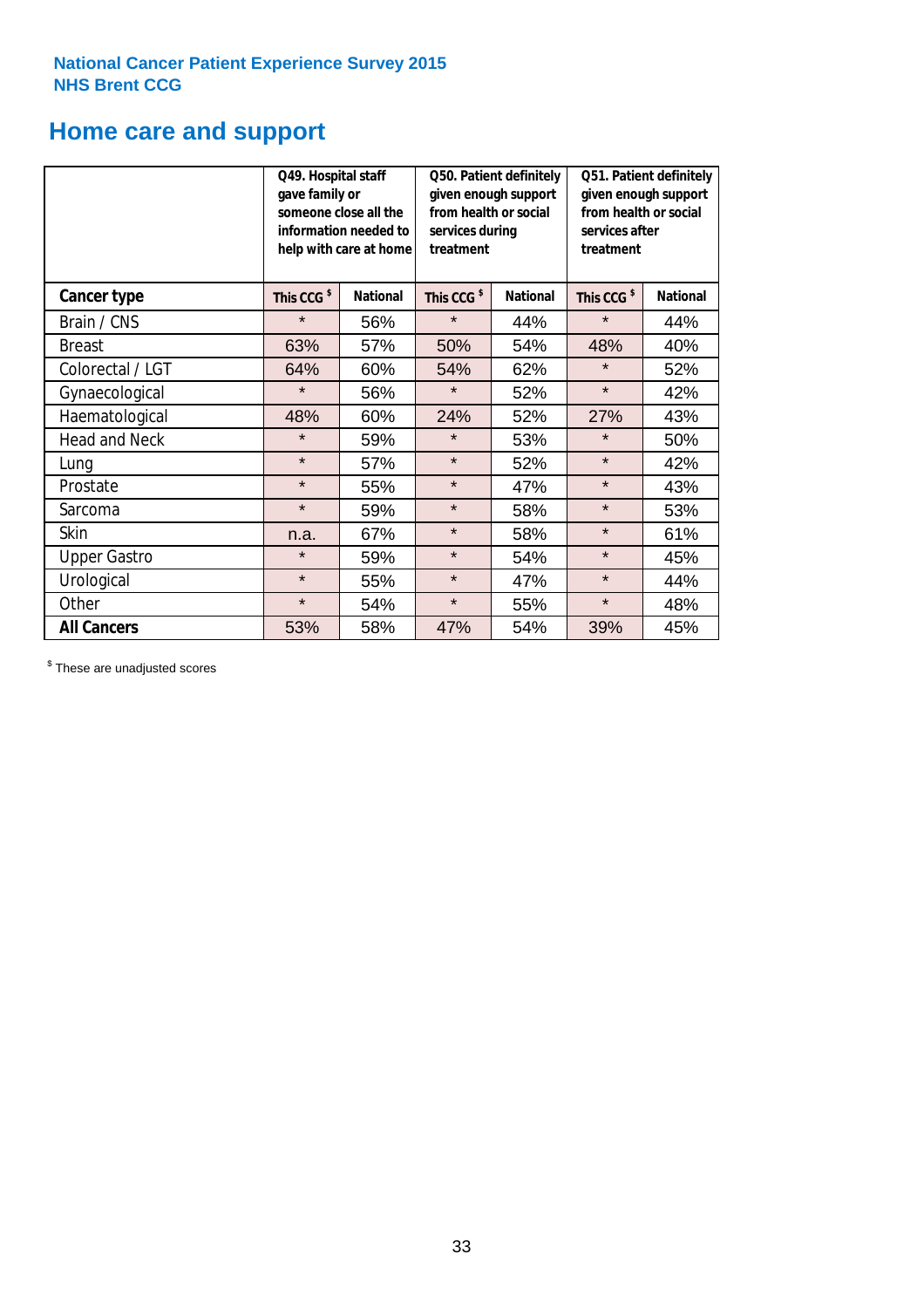# **Home care and support**

|                      | Q49. Hospital staff<br>gave family or | someone close all the<br>information needed to<br>help with care at home | Q50. Patient definitely<br>given enough support<br>from health or social<br>services during<br>treatment |                 | Q51. Patient definitely<br>given enough support<br>from health or social<br>services after<br>treatment |                 |
|----------------------|---------------------------------------|--------------------------------------------------------------------------|----------------------------------------------------------------------------------------------------------|-----------------|---------------------------------------------------------------------------------------------------------|-----------------|
| <b>Cancer type</b>   | This CCG <sup>\$</sup>                | <b>National</b>                                                          | This CCG <sup>\$</sup>                                                                                   | <b>National</b> | This CCG <sup>\$</sup>                                                                                  | <b>National</b> |
| Brain / CNS          | $\star$                               | 56%                                                                      | $\star$                                                                                                  | 44%             | $\star$                                                                                                 | 44%             |
| <b>Breast</b>        | 63%                                   | 57%                                                                      | 50%                                                                                                      | 54%             | 48%                                                                                                     | 40%             |
| Colorectal / LGT     | 64%                                   | 60%                                                                      | 54%                                                                                                      | 62%             | $\star$                                                                                                 | 52%             |
| Gynaecological       | $\star$                               | 56%                                                                      | $\star$                                                                                                  | 52%             | $\star$                                                                                                 | 42%             |
| Haematological       | 48%                                   | 60%                                                                      | 24%                                                                                                      | 52%             | 27%                                                                                                     | 43%             |
| <b>Head and Neck</b> | $\star$                               | 59%                                                                      | $\star$                                                                                                  | 53%             | $\star$                                                                                                 | 50%             |
| Lung                 | $\star$                               | 57%                                                                      | $\star$                                                                                                  | 52%             | $\star$                                                                                                 | 42%             |
| Prostate             | $\star$                               | 55%                                                                      | $\star$                                                                                                  | 47%             | $\star$                                                                                                 | 43%             |
| Sarcoma              | $\star$                               | 59%                                                                      | $\star$                                                                                                  | 58%             | $\star$                                                                                                 | 53%             |
| Skin                 | n.a.                                  | 67%                                                                      | $\star$                                                                                                  | 58%             | $\star$                                                                                                 | 61%             |
| <b>Upper Gastro</b>  | $\star$                               | 59%                                                                      | $\star$                                                                                                  | 54%             | $\star$                                                                                                 | 45%             |
| Urological           | $\star$                               | 55%                                                                      | $\star$                                                                                                  | 47%             | $\star$                                                                                                 | 44%             |
| Other                | $\star$                               | 54%                                                                      | $\star$                                                                                                  | 55%             | $\star$                                                                                                 | 48%             |
| <b>All Cancers</b>   | 53%                                   | 58%                                                                      | 47%                                                                                                      | 54%             | 39%                                                                                                     | 45%             |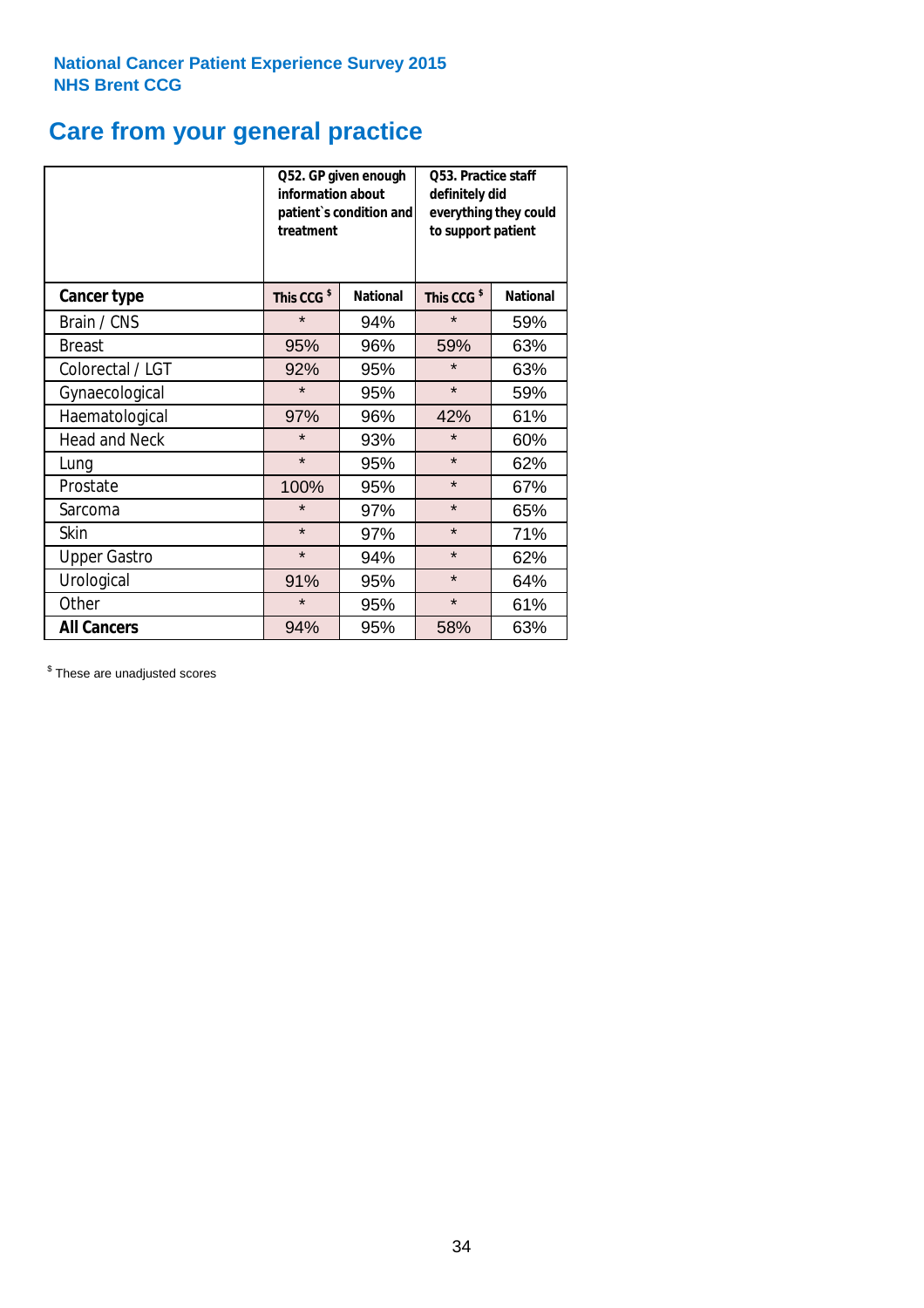# **Care from your general practice**

|                      | information about<br>treatment | Q52. GP given enough<br>patient's condition and | <b>O53. Practice staff</b><br>definitely did<br>everything they could<br>to support patient |                 |  |
|----------------------|--------------------------------|-------------------------------------------------|---------------------------------------------------------------------------------------------|-----------------|--|
| <b>Cancer type</b>   | This CCG <sup>\$</sup>         | <b>National</b>                                 | This CCG <sup>\$</sup>                                                                      | <b>National</b> |  |
| Brain / CNS          | $\star$                        | 94%                                             | $\star$                                                                                     | 59%             |  |
| <b>Breast</b>        | 95%                            | 96%                                             | 59%                                                                                         | 63%             |  |
| Colorectal / LGT     | 92%                            | 95%                                             | $\star$                                                                                     | 63%             |  |
| Gynaecological       | $\star$                        | 95%                                             | $\star$                                                                                     | 59%             |  |
| Haematological       | 97%                            | 96%                                             | 42%                                                                                         | 61%             |  |
| <b>Head and Neck</b> | $\star$                        | 93%                                             | $\star$                                                                                     | 60%             |  |
| Lung                 | $\star$                        | 95%                                             | $\star$                                                                                     | 62%             |  |
| Prostate             | 100%                           | 95%                                             | $\star$                                                                                     | 67%             |  |
| Sarcoma              | $\star$                        | 97%                                             | $\star$                                                                                     | 65%             |  |
| <b>Skin</b>          | $\star$                        | 97%                                             | $\star$                                                                                     | 71%             |  |
| <b>Upper Gastro</b>  | $\star$                        | 94%                                             | $\star$                                                                                     | 62%             |  |
| Urological           | 91%                            | 95%                                             | $\star$                                                                                     | 64%             |  |
| Other                | $\star$                        | 95%                                             | $\star$                                                                                     | 61%             |  |
| <b>All Cancers</b>   | 94%                            | 95%                                             | 58%                                                                                         | 63%             |  |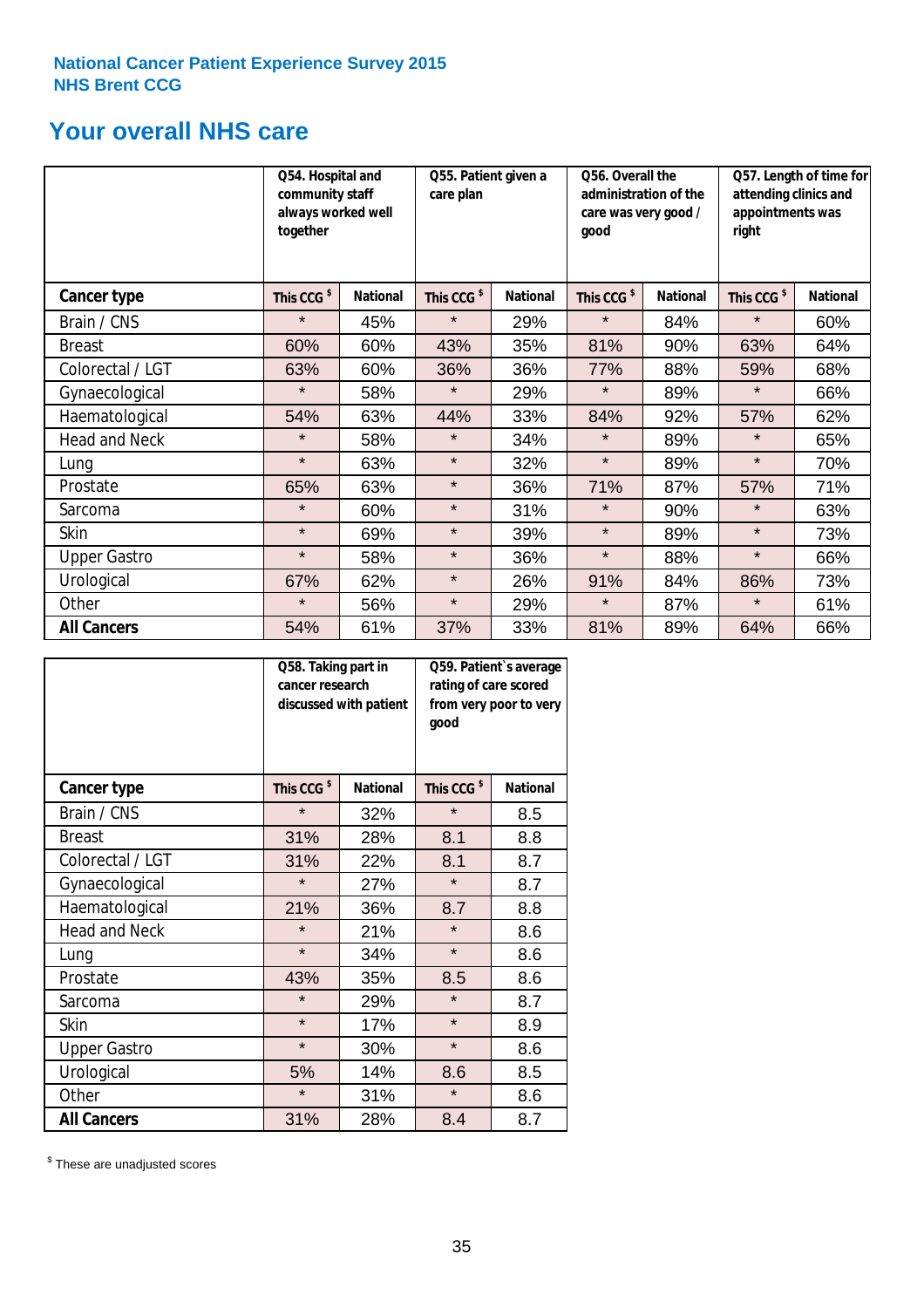# **Your overall NHS care**

|                      | Q54. Hospital and<br>community staff<br>always worked well<br>together |                 | care plan              | Q55. Patient given a |                        | Q56. Overall the<br>administration of the<br>care was very good /<br>qood |                        | Q57. Length of time for<br>attending clinics and<br>appointments was<br>right |  |
|----------------------|------------------------------------------------------------------------|-----------------|------------------------|----------------------|------------------------|---------------------------------------------------------------------------|------------------------|-------------------------------------------------------------------------------|--|
| Cancer type          | This CCG <sup>\$</sup>                                                 | <b>National</b> | This CCG <sup>\$</sup> | <b>National</b>      | This CCG <sup>\$</sup> | <b>National</b>                                                           | This CCG <sup>\$</sup> | <b>National</b>                                                               |  |
| Brain / CNS          | $\star$                                                                | 45%             | $\star$                | 29%                  | $\star$                | 84%                                                                       | $\star$                | 60%                                                                           |  |
| <b>Breast</b>        | 60%                                                                    | 60%             | 43%                    | 35%                  | 81%                    | 90%                                                                       | 63%                    | 64%                                                                           |  |
| Colorectal / LGT     | 63%                                                                    | 60%             | 36%                    | 36%                  | 77%                    | 88%                                                                       | 59%                    | 68%                                                                           |  |
| Gynaecological       | $\star$                                                                | 58%             | $\star$                | 29%                  | $\star$                | 89%                                                                       | $\star$                | 66%                                                                           |  |
| Haematological       | 54%                                                                    | 63%             | 44%                    | 33%                  | 84%                    | 92%                                                                       | 57%                    | 62%                                                                           |  |
| <b>Head and Neck</b> | $\star$                                                                | 58%             | $\star$                | 34%                  | $\star$                | 89%                                                                       | $\star$                | 65%                                                                           |  |
| Lung                 | $\star$                                                                | 63%             | $\star$                | 32%                  | $\star$                | 89%                                                                       | $\star$                | 70%                                                                           |  |
| Prostate             | 65%                                                                    | 63%             | $\star$                | 36%                  | 71%                    | 87%                                                                       | 57%                    | 71%                                                                           |  |
| Sarcoma              | $\star$                                                                | 60%             | $\star$                | 31%                  | $\star$                | 90%                                                                       | $\star$                | 63%                                                                           |  |
| Skin                 | $\star$                                                                | 69%             | $\star$                | 39%                  | $\star$                | 89%                                                                       | $\star$                | 73%                                                                           |  |
| <b>Upper Gastro</b>  | $\star$                                                                | 58%             | $\star$                | 36%                  | $\star$                | 88%                                                                       | $\star$                | 66%                                                                           |  |
| Urological           | 67%                                                                    | 62%             | $\star$                | 26%                  | 91%                    | 84%                                                                       | 86%                    | 73%                                                                           |  |
| Other                | $\star$                                                                | 56%             | $\star$                | 29%                  | $\star$                | 87%                                                                       | $\star$                | 61%                                                                           |  |
| <b>All Cancers</b>   | 54%                                                                    | 61%             | 37%                    | 33%                  | 81%                    | 89%                                                                       | 64%                    | 66%                                                                           |  |

|                      | Q58. Taking part in<br>cancer research | discussed with patient | Q59. Patient's average<br>rating of care scored<br>from very poor to very<br>good |                 |  |
|----------------------|----------------------------------------|------------------------|-----------------------------------------------------------------------------------|-----------------|--|
| <b>Cancer type</b>   | This CCG <sup>\$</sup>                 | <b>National</b>        | This CCG <sup>\$</sup>                                                            | <b>National</b> |  |
| Brain / CNS          | $\star$                                | 32%                    | $\star$                                                                           | 8.5             |  |
| <b>Breast</b>        | 31%                                    | 28%                    | 8.1                                                                               | 8.8             |  |
| Colorectal / LGT     | 31%                                    | 22%                    | 8.1                                                                               | 8.7             |  |
| Gynaecological       | $\star$                                | 27%                    | $\star$                                                                           | 8.7             |  |
| Haematological       | 21%                                    | 36%                    | 8.7                                                                               | 8.8             |  |
| <b>Head and Neck</b> | $\star$                                | 21%                    | $\star$                                                                           | 8.6             |  |
| Lung                 | $\star$                                | 34%                    | $\star$                                                                           | 8.6             |  |
| Prostate             | 43%                                    | 35%                    | 8.5                                                                               | 8.6             |  |
| Sarcoma              | $\star$                                | 29%                    | $\star$                                                                           | 8.7             |  |
| Skin                 | $\star$                                | 17%                    | $\star$                                                                           | 8.9             |  |
| <b>Upper Gastro</b>  | $\star$                                | 30%                    | $\star$                                                                           | 8.6             |  |
| Urological           | 5%                                     | 14%                    | 8.6                                                                               | 8.5             |  |
| Other                | $\star$                                | 31%                    | $\star$                                                                           | 8.6             |  |
| <b>All Cancers</b>   | 31%                                    | 28%                    | 8.4                                                                               | 8.7             |  |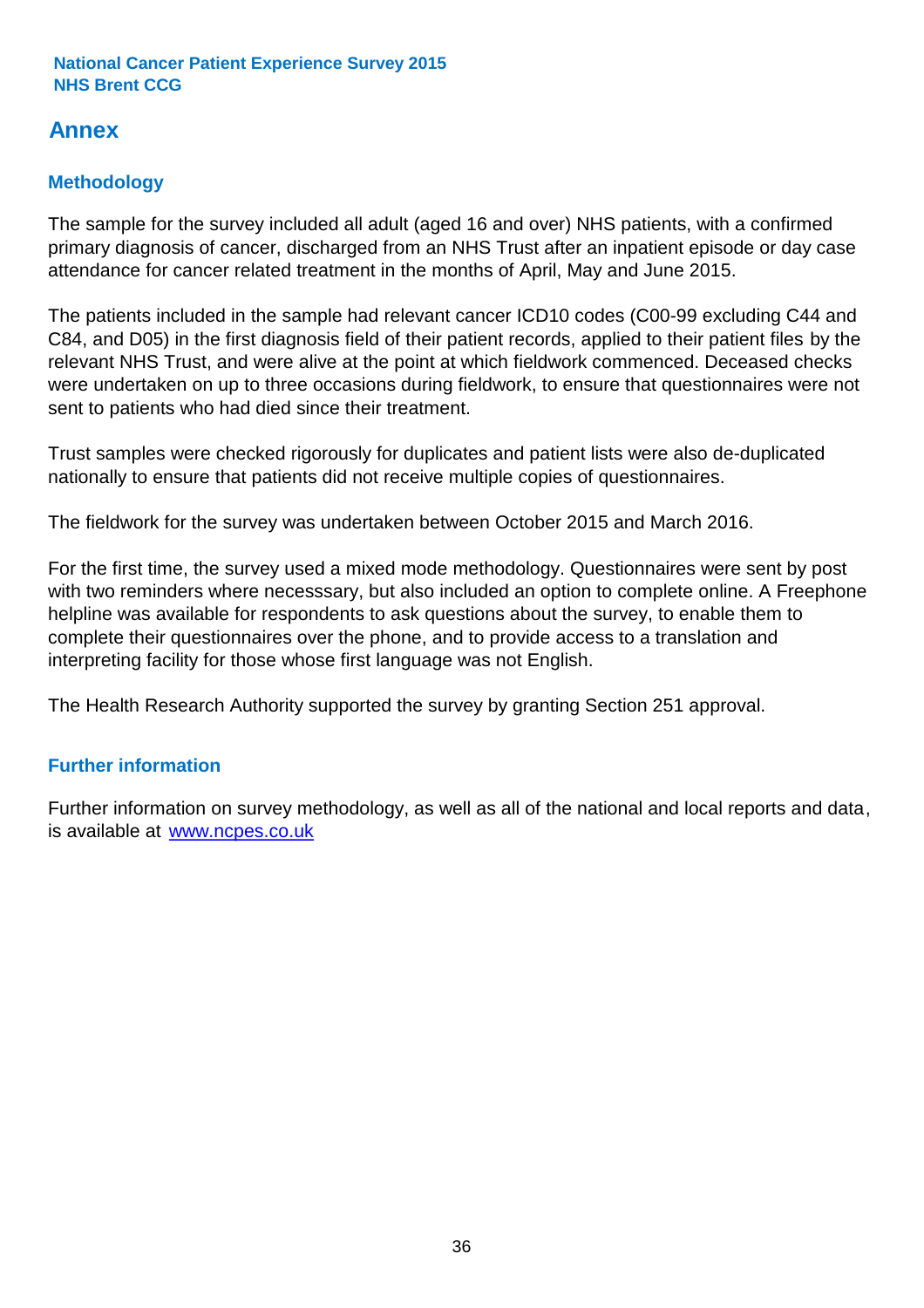# **Annex**

# **Methodology**

The sample for the survey included all adult (aged 16 and over) NHS patients, with a confirmed primary diagnosis of cancer, discharged from an NHS Trust after an inpatient episode or day case attendance for cancer related treatment in the months of April, May and June 2015.

The patients included in the sample had relevant cancer ICD10 codes (C00-99 excluding C44 and C84, and D05) in the first diagnosis field of their patient records, applied to their patient files by the relevant NHS Trust, and were alive at the point at which fieldwork commenced. Deceased checks were undertaken on up to three occasions during fieldwork, to ensure that questionnaires were not sent to patients who had died since their treatment.

Trust samples were checked rigorously for duplicates and patient lists were also de-duplicated nationally to ensure that patients did not receive multiple copies of questionnaires.

The fieldwork for the survey was undertaken between October 2015 and March 2016.

For the first time, the survey used a mixed mode methodology. Questionnaires were sent by post with two reminders where necesssary, but also included an option to complete online. A Freephone helpline was available for respondents to ask questions about the survey, to enable them to complete their questionnaires over the phone, and to provide access to a translation and interpreting facility for those whose first language was not English.

The Health Research Authority supported the survey by granting Section 251 approval.

# **Further information**

Further information on survey methodology, as well as all of the national and local reports and data, is available at www.ncpes.co.uk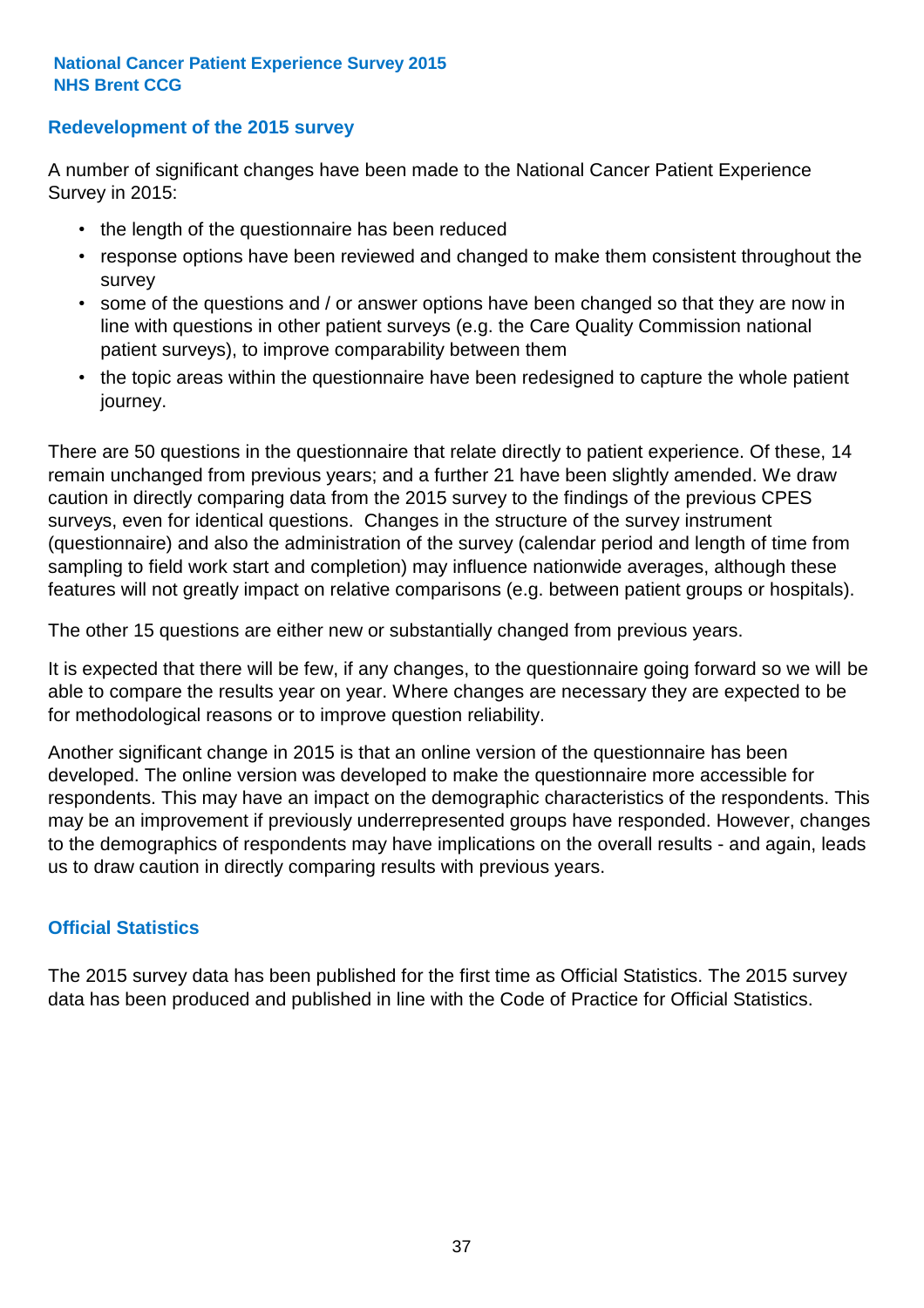### **Redevelopment of the 2015 survey**

A number of significant changes have been made to the National Cancer Patient Experience Survey in 2015:

- the length of the questionnaire has been reduced
- response options have been reviewed and changed to make them consistent throughout the survey
- some of the questions and / or answer options have been changed so that they are now in line with questions in other patient surveys (e.g. the Care Quality Commission national patient surveys), to improve comparability between them
- the topic areas within the questionnaire have been redesigned to capture the whole patient journey.

There are 50 questions in the questionnaire that relate directly to patient experience. Of these, 14 remain unchanged from previous years; and a further 21 have been slightly amended. We draw caution in directly comparing data from the 2015 survey to the findings of the previous CPES surveys, even for identical questions. Changes in the structure of the survey instrument (questionnaire) and also the administration of the survey (calendar period and length of time from sampling to field work start and completion) may influence nationwide averages, although these features will not greatly impact on relative comparisons (e.g. between patient groups or hospitals).

The other 15 questions are either new or substantially changed from previous years.

It is expected that there will be few, if any changes, to the questionnaire going forward so we will be able to compare the results year on year. Where changes are necessary they are expected to be for methodological reasons or to improve question reliability.

Another significant change in 2015 is that an online version of the questionnaire has been developed. The online version was developed to make the questionnaire more accessible for respondents. This may have an impact on the demographic characteristics of the respondents. This may be an improvement if previously underrepresented groups have responded. However, changes to the demographics of respondents may have implications on the overall results - and again, leads us to draw caution in directly comparing results with previous years.

### **Official Statistics**

The 2015 survey data has been published for the first time as Official Statistics. The 2015 survey data has been produced and published in line with the Code of Practice for Official Statistics.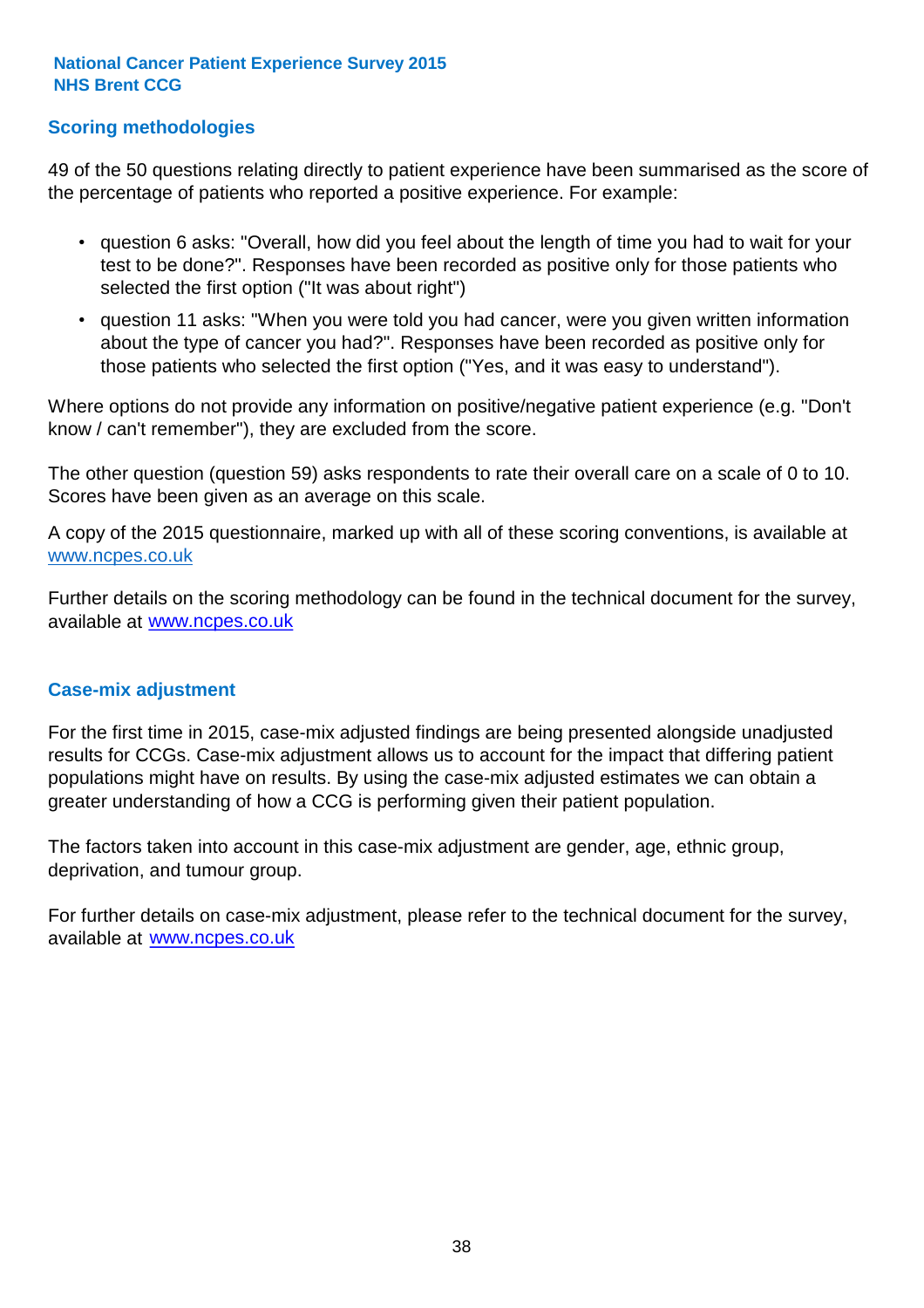### **Scoring methodologies**

49 of the 50 questions relating directly to patient experience have been summarised as the score of the percentage of patients who reported a positive experience. For example:

- question 6 asks: "Overall, how did you feel about the length of time you had to wait for your test to be done?". Responses have been recorded as positive only for those patients who selected the first option ("It was about right")
- question 11 asks: "When you were told you had cancer, were you given written information about the type of cancer you had?". Responses have been recorded as positive only for those patients who selected the first option ("Yes, and it was easy to understand").

Where options do not provide any information on positive/negative patient experience (e.g. "Don't know / can't remember"), they are excluded from the score.

The other question (question 59) asks respondents to rate their overall care on a scale of 0 to 10. Scores have been given as an average on this scale.

A copy of the 2015 questionnaire, marked up with all of these scoring conventions, is available at www.ncpes.co.uk

Further details on the scoring methodology can be found in the technical document for the survey, available at <u>www.ncpes.co.uk</u>

#### **Case-mix adjustment**

For the first time in 2015, case-mix adjusted findings are being presented alongside unadjusted results for CCGs. Case-mix adjustment allows us to account for the impact that differing patient populations might have on results. By using the case-mix adjusted estimates we can obtain a greater understanding of how a CCG is performing given their patient population.

The factors taken into account in this case-mix adjustment are gender, age, ethnic group, deprivation, and tumour group.

For further details on case-mix adjustment, please refer to the technical document for the survey, available at www.ncpes.co.uk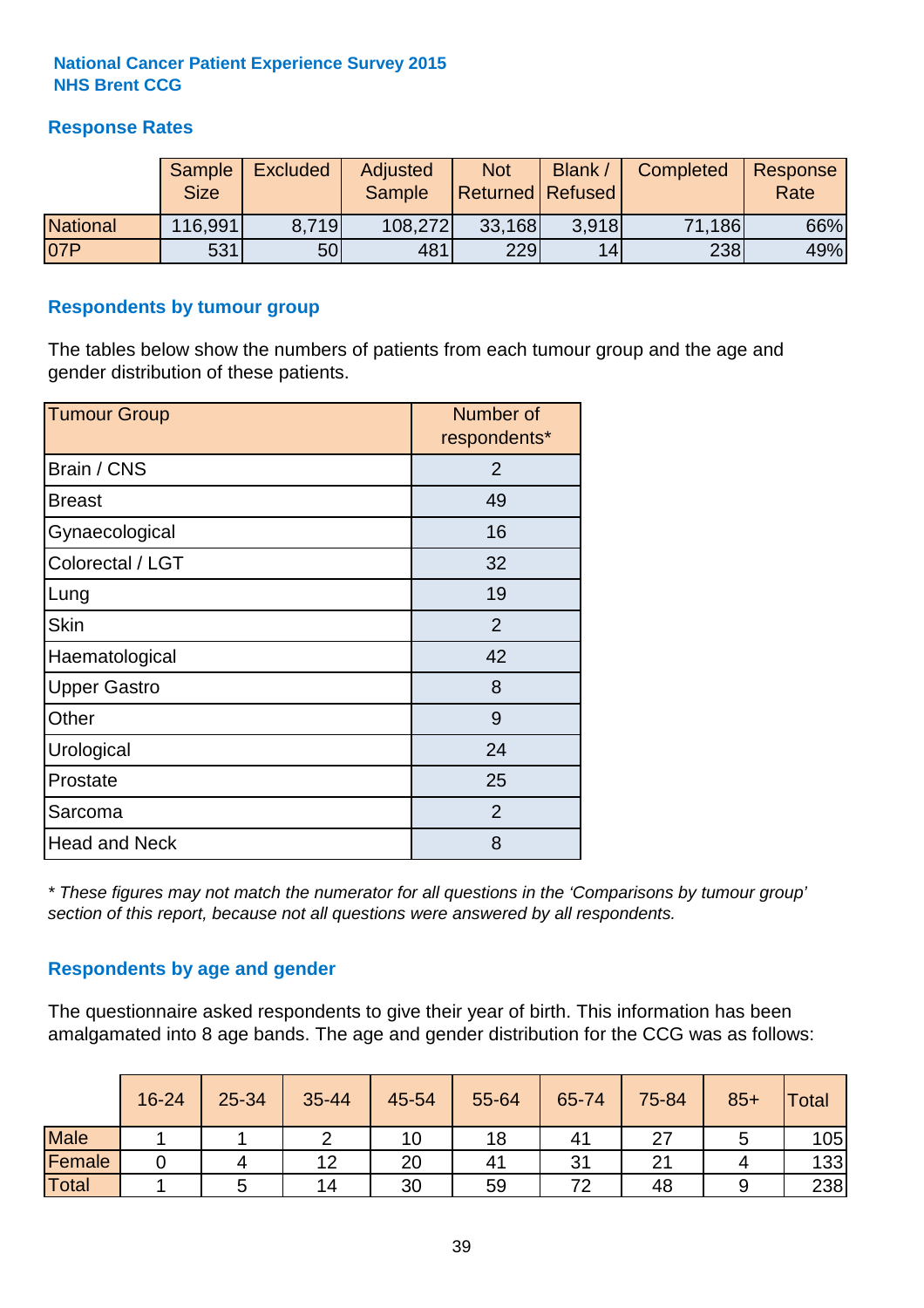### **Response Rates**

|                 | Sample      | <b>Excluded</b> | Adjusted      | <b>Not</b>              | Blank / | Completed | Response |
|-----------------|-------------|-----------------|---------------|-------------------------|---------|-----------|----------|
|                 | <b>Size</b> |                 | <b>Sample</b> | <b>Returned Refused</b> |         |           | Rate     |
| <b>National</b> | 116,991     | 8.719           | 108,272       | 33,168                  | 3.918   | 71,186    | 66%      |
| 07P             | 531         | 50              | 481           | 229                     | 14      | 238       | 49%      |

#### **Respondents by tumour group**

The tables below show the numbers of patients from each tumour group and the age and gender distribution of these patients.

| <b>Tumour Group</b>  | Number of<br>respondents* |
|----------------------|---------------------------|
| Brain / CNS          | 2                         |
| <b>Breast</b>        | 49                        |
| Gynaecological       | 16                        |
| Colorectal / LGT     | 32                        |
| Lung                 | 19                        |
| <b>Skin</b>          | 2                         |
| Haematological       | 42                        |
| <b>Upper Gastro</b>  | 8                         |
| Other                | 9                         |
| Urological           | 24                        |
| Prostate             | 25                        |
| Sarcoma              | 2                         |
| <b>Head and Neck</b> | 8                         |

*\* These figures may not match the numerator for all questions in the 'Comparisons by tumour group' section of this report, because not all questions were answered by all respondents.*

### **Respondents by age and gender**

The questionnaire asked respondents to give their year of birth. This information has been amalgamated into 8 age bands. The age and gender distribution for the CCG was as follows:

|             | 16-24 | 25-34 | 35-44 | 45-54 | 55-64 | 65-74 | 75-84 | $85+$ | <b>Total</b> |
|-------------|-------|-------|-------|-------|-------|-------|-------|-------|--------------|
| <b>Male</b> |       |       |       | 10    | 18    | 41    | ↷⇁    |       | 105          |
| Female      |       |       | 12    | 20    | 41    | 31    | ິ     |       | 133          |
| Total       |       |       | 14    | 30    | 59    | 72    | 48    |       | 238          |